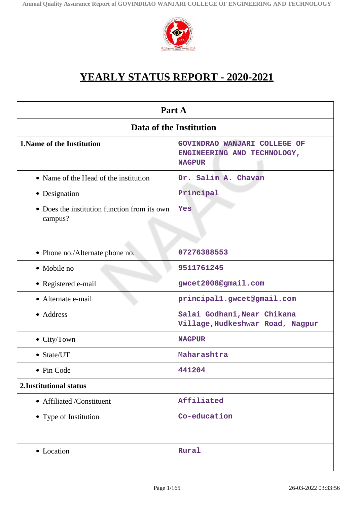

# **YEARLY STATUS REPORT - 2020-2021**

| Part A                                                  |                                                                              |  |
|---------------------------------------------------------|------------------------------------------------------------------------------|--|
| Data of the Institution                                 |                                                                              |  |
| <b>1. Name of the Institution</b>                       | GOVINDRAO WANJARI COLLEGE OF<br>ENGINEERING AND TECHNOLOGY,<br><b>NAGPUR</b> |  |
| • Name of the Head of the institution                   | Dr. Salim A. Chavan                                                          |  |
| • Designation                                           | Principal                                                                    |  |
| • Does the institution function from its own<br>campus? | Yes                                                                          |  |
| • Phone no./Alternate phone no.                         | 07276388553                                                                  |  |
| • Mobile no                                             | 9511761245                                                                   |  |
| · Registered e-mail                                     | gwcet2008@gmail.com                                                          |  |
| • Alternate e-mail                                      | principal1.gwcet@gmail.com                                                   |  |
| • Address                                               | Salai Godhani, Near Chikana<br>Village, Hudkeshwar Road, Nagpur              |  |
| • City/Town                                             | <b>NAGPUR</b>                                                                |  |
| • State/UT                                              | Maharashtra                                                                  |  |
| Pin Code                                                | 441204                                                                       |  |
| 2.Institutional status                                  |                                                                              |  |
| • Affiliated /Constituent                               | Affiliated                                                                   |  |
| • Type of Institution                                   | Co-education                                                                 |  |
| • Location                                              | Rural                                                                        |  |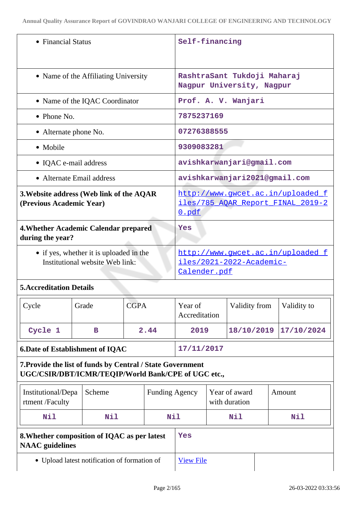| • Financial Status                                                         | Self-financing                                                                  |
|----------------------------------------------------------------------------|---------------------------------------------------------------------------------|
| • Name of the Affiliating University                                       | RashtraSant Tukdoji Maharaj<br>Nagpur University, Nagpur                        |
| • Name of the IQAC Coordinator                                             | Prof. A. V. Wanjari                                                             |
| $\bullet$ Phone No.                                                        | 7875237169                                                                      |
| • Alternate phone No.                                                      | 07276388555                                                                     |
| • Mobile                                                                   | 9309083281                                                                      |
| • IQAC e-mail address                                                      | avishkarwanjari@gmail.com                                                       |
| • Alternate Email address                                                  | avishkarwanjari2021@gmail.com                                                   |
| 3. Website address (Web link of the AQAR<br>(Previous Academic Year)       | http://www.gwcet.ac.in/uploaded_f<br>iles/785_AQAR_Report_FINAL_2019-2<br>0.pdf |
| 4. Whether Academic Calendar prepared<br>during the year?                  | Yes                                                                             |
| • if yes, whether it is uploaded in the<br>Institutional website Web link: | http://www.qwcet.ac.in/uploaded f<br>iles/2021-2022-Academic-<br>Calender.pdf   |

## **5.Accreditation Details**

| $\vert$ Cycle | Grade | <b>CGPA</b> | Year of<br>Accreditation | Validity from         | Validity to |
|---------------|-------|-------------|--------------------------|-----------------------|-------------|
| Cycle 1       | в     | 2.44        | 2019                     | 18/10/2019 17/10/2024 |             |

**6.Date of Establishment of IQAC 17/11/2017**

## **7.Provide the list of funds by Central / State Government UGC/CSIR/DBT/ICMR/TEQIP/World Bank/CPE of UGC etc.,**

| Institutional/Depa<br>rtment /Faculty                                  | Scheme | <b>Funding Agency</b> |     | Year of award<br>with duration | Amount |
|------------------------------------------------------------------------|--------|-----------------------|-----|--------------------------------|--------|
| Nil                                                                    | Nil    | Nil                   |     | Nil                            | Nil    |
| 8. Whether composition of IQAC as per latest<br><b>NAAC</b> guidelines |        |                       | Yes |                                |        |
| • Upload latest notification of formation of                           |        | <b>View File</b>      |     |                                |        |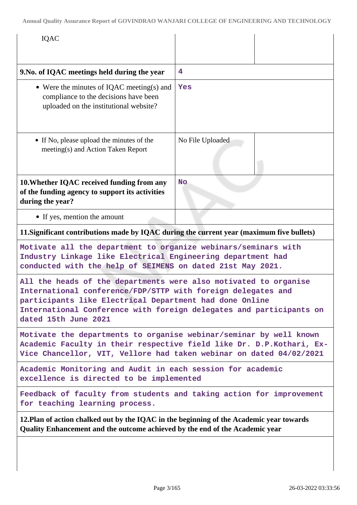| <b>IQAC</b>                                                                                                                                                                                                                                                                                |                  |  |
|--------------------------------------------------------------------------------------------------------------------------------------------------------------------------------------------------------------------------------------------------------------------------------------------|------------------|--|
| 9. No. of IQAC meetings held during the year                                                                                                                                                                                                                                               | 4                |  |
| • Were the minutes of IQAC meeting(s) and<br>compliance to the decisions have been<br>uploaded on the institutional website?                                                                                                                                                               | Yes              |  |
| • If No, please upload the minutes of the<br>meeting(s) and Action Taken Report                                                                                                                                                                                                            | No File Uploaded |  |
| 10. Whether IQAC received funding from any<br>of the funding agency to support its activities<br>during the year?                                                                                                                                                                          | <b>No</b>        |  |
| • If yes, mention the amount                                                                                                                                                                                                                                                               |                  |  |
| 11. Significant contributions made by IQAC during the current year (maximum five bullets)                                                                                                                                                                                                  |                  |  |
| Motivate all the department to organize webinars/seminars with<br>Industry Linkage like Electrical Engineering department had<br>conducted with the help of SEIMENS on dated 21st May 2021.                                                                                                |                  |  |
| All the heads of the departments were also motivated to organise<br>International conference/FDP/STTP with foreign delegates and<br>participants like Electrical Department had done Online<br>International Conference with foreign delegates and participants on<br>dated 15th June 2021 |                  |  |
| Motivate the departments to organise webinar/seminar by well known<br>Academic Faculty in their respective field like Dr. D.P.Kothari, Ex-<br>Vice Chancellor, VIT, Vellore had taken webinar on dated 04/02/2021                                                                          |                  |  |
| Academic Monitoring and Audit in each session for academic<br>excellence is directed to be implemented                                                                                                                                                                                     |                  |  |
| Feedback of faculty from students and taking action for improvement<br>for teaching learning process.                                                                                                                                                                                      |                  |  |
| 12. Plan of action chalked out by the IQAC in the beginning of the Academic year towards<br>Quality Enhancement and the outcome achieved by the end of the Academic year                                                                                                                   |                  |  |
|                                                                                                                                                                                                                                                                                            |                  |  |

 $\overline{\phantom{a}}$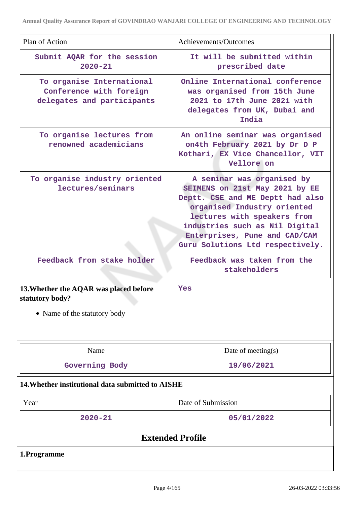| Plan of Action                                                                     | Achievements/Outcomes                                                                                                                                                                                                                                                 |  |
|------------------------------------------------------------------------------------|-----------------------------------------------------------------------------------------------------------------------------------------------------------------------------------------------------------------------------------------------------------------------|--|
|                                                                                    |                                                                                                                                                                                                                                                                       |  |
| Submit AQAR for the session<br>$2020 - 21$                                         | It will be submitted within<br>prescribed date                                                                                                                                                                                                                        |  |
| To organise International<br>Conference with foreign<br>delegates and participants | Online International conference<br>was organised from 15th June<br>2021 to 17th June 2021 with<br>delegates from UK, Dubai and<br>India                                                                                                                               |  |
| To organise lectures from<br>renowned academicians                                 | An online seminar was organised<br>on4th February 2021 by Dr D P<br>Kothari, EX Vice Chancellor, VIT<br>Vellore on                                                                                                                                                    |  |
| To organise industry oriented<br>lectures/seminars                                 | A seminar was organised by<br>SEIMENS on 21st May 2021 by EE<br>Deptt. CSE and ME Deptt had also<br>organised Industry oriented<br>lectures with speakers from<br>industries such as Nil Digital<br>Enterprises, Pune and CAD/CAM<br>Guru Solutions Ltd respectively. |  |
| Feedback from stake holder                                                         | Feedback was taken from the<br>stakeholders                                                                                                                                                                                                                           |  |
| 13. Whether the AQAR was placed before<br>statutory body?                          | Yes                                                                                                                                                                                                                                                                   |  |
| • Name of the statutory body                                                       |                                                                                                                                                                                                                                                                       |  |
| Name                                                                               | Date of meeting $(s)$                                                                                                                                                                                                                                                 |  |
| Governing Body                                                                     | 19/06/2021                                                                                                                                                                                                                                                            |  |
| 14. Whether institutional data submitted to AISHE                                  |                                                                                                                                                                                                                                                                       |  |
| Year                                                                               | Date of Submission                                                                                                                                                                                                                                                    |  |
| $2020 - 21$                                                                        | 05/01/2022                                                                                                                                                                                                                                                            |  |
| <b>Extended Profile</b>                                                            |                                                                                                                                                                                                                                                                       |  |
| 1.Programme                                                                        |                                                                                                                                                                                                                                                                       |  |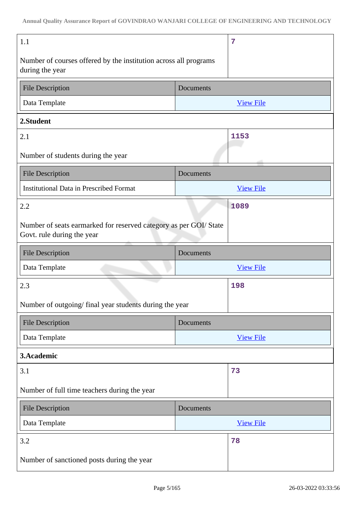| 1.1                                                                                             |           | 7                |  |
|-------------------------------------------------------------------------------------------------|-----------|------------------|--|
| Number of courses offered by the institution across all programs<br>during the year             |           |                  |  |
| <b>File Description</b>                                                                         | Documents |                  |  |
| Data Template                                                                                   |           | <b>View File</b> |  |
| 2.Student                                                                                       |           |                  |  |
| 2.1                                                                                             |           | 1153             |  |
| Number of students during the year                                                              |           |                  |  |
| <b>File Description</b>                                                                         | Documents |                  |  |
| <b>Institutional Data in Prescribed Format</b>                                                  |           | <b>View File</b> |  |
| 2.2                                                                                             |           | 1089             |  |
| Number of seats earmarked for reserved category as per GOI/ State<br>Govt. rule during the year |           |                  |  |
| <b>File Description</b>                                                                         | Documents |                  |  |
| Data Template                                                                                   |           | <b>View File</b> |  |
|                                                                                                 |           |                  |  |
| 2.3                                                                                             |           | 198              |  |
| Number of outgoing/final year students during the year                                          |           |                  |  |
| <b>File Description</b>                                                                         | Documents |                  |  |
| Data Template                                                                                   |           | <b>View File</b> |  |
| 3.Academic                                                                                      |           |                  |  |
| 3.1                                                                                             |           | 73               |  |
| Number of full time teachers during the year                                                    |           |                  |  |
| <b>File Description</b>                                                                         | Documents |                  |  |
| Data Template                                                                                   |           | <b>View File</b> |  |
| 3.2                                                                                             |           | 78               |  |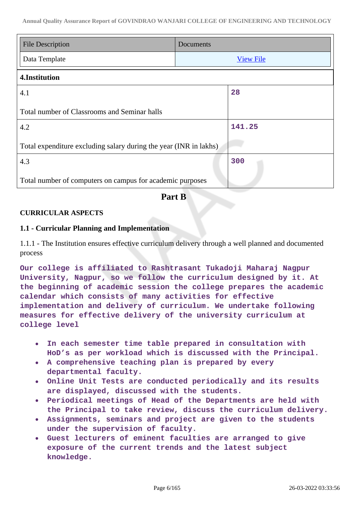| <b>File Description</b><br>Documents                              |  |                  |  |
|-------------------------------------------------------------------|--|------------------|--|
| Data Template                                                     |  | <b>View File</b> |  |
| 4.Institution                                                     |  |                  |  |
| 4.1                                                               |  | 28               |  |
| Total number of Classrooms and Seminar halls                      |  |                  |  |
| 4.2                                                               |  | 141.25           |  |
| Total expenditure excluding salary during the year (INR in lakhs) |  |                  |  |
| 4.3                                                               |  | 300              |  |
| Total number of computers on campus for academic purposes         |  |                  |  |

## **Part B**

## **CURRICULAR ASPECTS**

## **1.1 - Curricular Planning and Implementation**

1.1.1 - The Institution ensures effective curriculum delivery through a well planned and documented process

**Our college is affiliated to Rashtrasant Tukadoji Maharaj Nagpur University, Nagpur, so we follow the curriculum designed by it. At the beginning of academic session the college prepares the academic calendar which consists of many activities for effective implementation and delivery of curriculum. We undertake following measures for effective delivery of the university curriculum at college level**

- **In each semester time table prepared in consultation with**  $\bullet$ **HoD's as per workload which is discussed with the Principal.**
- **A comprehensive teaching plan is prepared by every departmental faculty.**
- **Online Unit Tests are conducted periodically and its results are displayed, discussed with the students.**
- **Periodical meetings of Head of the Departments are held with the Principal to take review, discuss the curriculum delivery.**
- **Assignments, seminars and project are given to the students under the supervision of faculty.**
- **Guest lecturers of eminent faculties are arranged to give exposure of the current trends and the latest subject knowledge.**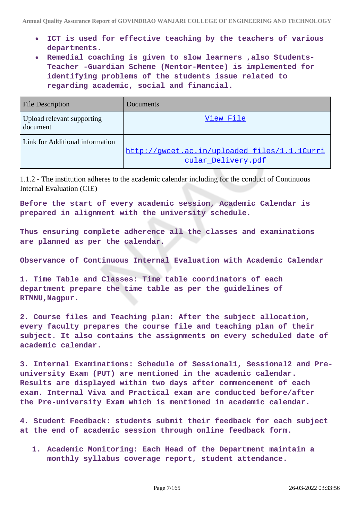- **ICT is used for effective teaching by the teachers of various departments.**
- **Remedial coaching is given to slow learners ,also Students-Teacher -Guardian Scheme (Mentor-Mentee) is implemented for identifying problems of the students issue related to regarding academic, social and financial.**

| <b>File Description</b>                | Documents                                                          |
|----------------------------------------|--------------------------------------------------------------------|
| Upload relevant supporting<br>document | View File                                                          |
| Link for Additional information        | http://qwcet.ac.in/uploaded files/1.1.1Curri<br>cular Delivery.pdf |

1.1.2 - The institution adheres to the academic calendar including for the conduct of Continuous Internal Evaluation (CIE)

**Before the start of every academic session, Academic Calendar is prepared in alignment with the university schedule.**

**Thus ensuring complete adherence all the classes and examinations are planned as per the calendar.**

**Observance of Continuous Internal Evaluation with Academic Calendar**

**1. Time Table and Classes: Time table coordinators of each department prepare the time table as per the guidelines of RTMNU,Nagpur.**

**2. Course files and Teaching plan: After the subject allocation, every faculty prepares the course file and teaching plan of their subject. It also contains the assignments on every scheduled date of academic calendar.**

**3. Internal Examinations: Schedule of Sessional1, Sessional2 and Preuniversity Exam (PUT) are mentioned in the academic calendar. Results are displayed within two days after commencement of each exam. Internal Viva and Practical exam are conducted before/after the Pre-university Exam which is mentioned in academic calendar.**

**4. Student Feedback: students submit their feedback for each subject at the end of academic session through online feedback form.**

**1. Academic Monitoring: Each Head of the Department maintain a monthly syllabus coverage report, student attendance.**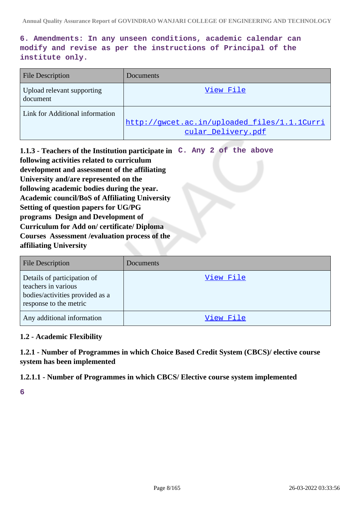**6. Amendments: In any unseen conditions, academic calendar can modify and revise as per the instructions of Principal of the institute only.**

| <b>File Description</b>                | Documents                                                          |
|----------------------------------------|--------------------------------------------------------------------|
| Upload relevant supporting<br>document | View File                                                          |
| Link for Additional information        | http://gwcet.ac.in/uploaded files/1.1.1Curri<br>cular Delivery.pdf |

**1.1.3 - Teachers of the Institution participate in C. Any 2 of the above following activities related to curriculum development and assessment of the affiliating University and/are represented on the following academic bodies during the year. Academic council/BoS of Affiliating University Setting of question papers for UG/PG programs Design and Development of Curriculum for Add on/ certificate/ Diploma Courses Assessment /evaluation process of the affiliating University**

| <b>File Description</b>                                                                                         | Documents |
|-----------------------------------------------------------------------------------------------------------------|-----------|
| Details of participation of<br>teachers in various<br>bodies/activities provided as a<br>response to the metric | View File |
| Any additional information                                                                                      | View File |

## **1.2 - Academic Flexibility**

**1.2.1 - Number of Programmes in which Choice Based Credit System (CBCS)/ elective course system has been implemented**

## **1.2.1.1 - Number of Programmes in which CBCS/ Elective course system implemented**

**6**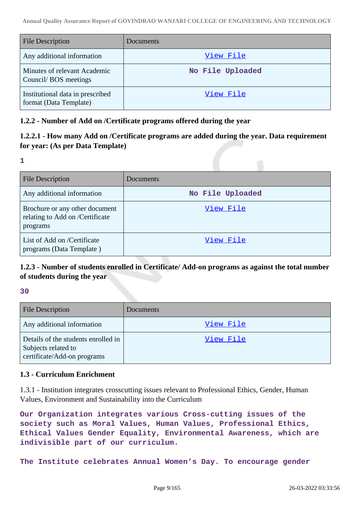| File Description                                           | <b>Documents</b> |
|------------------------------------------------------------|------------------|
| Any additional information                                 | View File        |
| Minutes of relevant Academic<br>Council/BOS meetings       | No File Uploaded |
| Institutional data in prescribed<br>format (Data Template) | View File        |

## **1.2.2 - Number of Add on /Certificate programs offered during the year**

## **1.2.2.1 - How many Add on /Certificate programs are added during the year. Data requirement for year: (As per Data Template)**

## **1**

| <b>File Description</b>                                                       | Documents        |
|-------------------------------------------------------------------------------|------------------|
| Any additional information                                                    | No File Uploaded |
| Brochure or any other document<br>relating to Add on /Certificate<br>programs | View File        |
| List of Add on /Certificate<br>programs (Data Template)                       | View File        |

## **1.2.3 - Number of students enrolled in Certificate/ Add-on programs as against the total number of students during the year**

**30**

| <b>File Description</b>                                                                   | Documents |
|-------------------------------------------------------------------------------------------|-----------|
| Any additional information                                                                | View File |
| Details of the students enrolled in<br>Subjects related to<br>certificate/Add-on programs | View File |

## **1.3 - Curriculum Enrichment**

1.3.1 - Institution integrates crosscutting issues relevant to Professional Ethics, Gender, Human Values, Environment and Sustainability into the Curriculum

**Our Organization integrates various Cross-cutting issues of the society such as Moral Values, Human Values, Professional Ethics, Ethical Values Gender Equality, Environmental Awareness, which are indivisible part of our curriculum.**

**The Institute celebrates Annual Women's Day. To encourage gender**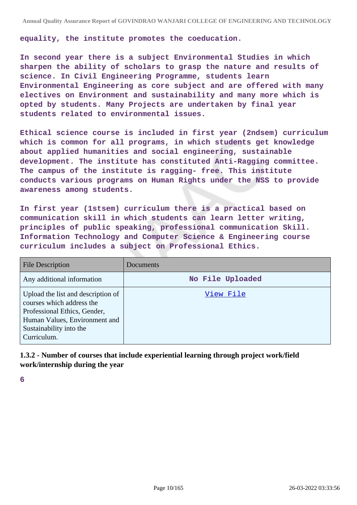**equality, the institute promotes the coeducation.**

**In second year there is a subject Environmental Studies in which sharpen the ability of scholars to grasp the nature and results of science. In Civil Engineering Programme, students learn Environmental Engineering as core subject and are offered with many electives on Environment and sustainability and many more which is opted by students. Many Projects are undertaken by final year students related to environmental issues.**

**Ethical science course is included in first year (2ndsem) curriculum which is common for all programs, in which students get knowledge about applied humanities and social engineering, sustainable development. The institute has constituted Anti-Ragging committee. The campus of the institute is ragging- free. This institute conducts various programs on Human Rights under the NSS to provide awareness among students.**

**In first year (1stsem) curriculum there is a practical based on communication skill in which students can learn letter writing, principles of public speaking, professional communication Skill. Information Technology and Computer Science & Engineering course curriculum includes a subject on Professional Ethics.**

| <b>File Description</b>                                                                                                                                                    | Documents        |
|----------------------------------------------------------------------------------------------------------------------------------------------------------------------------|------------------|
| Any additional information                                                                                                                                                 | No File Uploaded |
| Upload the list and description of<br>courses which address the<br>Professional Ethics, Gender,<br>Human Values, Environment and<br>Sustainability into the<br>Curriculum. | View File        |

**1.3.2 - Number of courses that include experiential learning through project work/field work/internship during the year**

**6**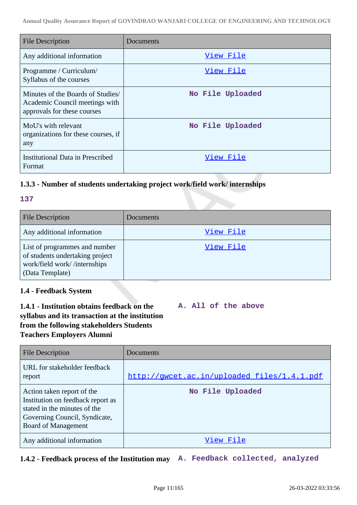| <b>File Description</b>                                                                            | Documents        |
|----------------------------------------------------------------------------------------------------|------------------|
| Any additional information                                                                         | View File        |
| Programme / Curriculum/<br>Syllabus of the courses                                                 | View File        |
| Minutes of the Boards of Studies/<br>Academic Council meetings with<br>approvals for these courses | No File Uploaded |
| MoU's with relevant<br>organizations for these courses, if<br>any                                  | No File Uploaded |
| Institutional Data in Prescribed<br>Format                                                         | View File        |

## **1.3.3 - Number of students undertaking project work/field work/ internships**

| $\overline{a}$ |     |  |
|----------------|-----|--|
| e e            |     |  |
|                |     |  |
|                | . . |  |
|                | -   |  |

| <b>File Description</b>                                                                                             | <b>Documents</b> |
|---------------------------------------------------------------------------------------------------------------------|------------------|
| Any additional information                                                                                          | View File        |
| List of programmes and number<br>of students undertaking project<br>work/field work//internships<br>(Data Template) | View File        |

## **1.4 - Feedback System**

## **1.4.1 - Institution obtains feedback on the syllabus and its transaction at the institution from the following stakeholders Students Teachers Employers Alumni**

**A. All of the above**

| <b>File Description</b>                                                                                                                                        | Documents                                   |
|----------------------------------------------------------------------------------------------------------------------------------------------------------------|---------------------------------------------|
| URL for stakeholder feedback<br>report                                                                                                                         | http://gwcet.ac.in/uploaded_files/1.4.1.pdf |
| Action taken report of the<br>Institution on feedback report as<br>stated in the minutes of the<br>Governing Council, Syndicate,<br><b>Board of Management</b> | No File Uploaded                            |
| Any additional information                                                                                                                                     | View File                                   |

## **1.4.2 - Feedback process of the Institution may A. Feedback collected, analyzed**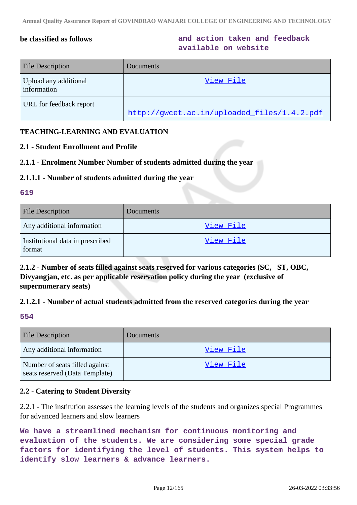**be classified as follows and action taken and feedback available on website**

| <b>File Description</b>              | Documents <sup>1</sup>                      |
|--------------------------------------|---------------------------------------------|
| Upload any additional<br>information | View File                                   |
| URL for feedback report              | http://qwcet.ac.in/uploaded files/1.4.2.pdf |

## **TEACHING-LEARNING AND EVALUATION**

## **2.1 - Student Enrollment and Profile**

## **2.1.1 - Enrolment Number Number of students admitted during the year**

#### **2.1.1.1 - Number of students admitted during the year**

#### **619**

| <b>File Description</b>                    | <b>Documents</b> |
|--------------------------------------------|------------------|
| Any additional information                 | View File        |
| Institutional data in prescribed<br>format | View File        |

**2.1.2 - Number of seats filled against seats reserved for various categories (SC, ST, OBC, Divyangjan, etc. as per applicable reservation policy during the year (exclusive of supernumerary seats)**

## **2.1.2.1 - Number of actual students admitted from the reserved categories during the year**

#### **554**

| <b>File Description</b>                                          | <b>Documents</b> |
|------------------------------------------------------------------|------------------|
| Any additional information                                       | View File        |
| Number of seats filled against<br>seats reserved (Data Template) | <u>View File</u> |

## **2.2 - Catering to Student Diversity**

2.2.1 - The institution assesses the learning levels of the students and organizes special Programmes for advanced learners and slow learners

**We have a streamlined mechanism for continuous monitoring and evaluation of the students. We are considering some special grade factors for identifying the level of students. This system helps to identify slow learners & advance learners.**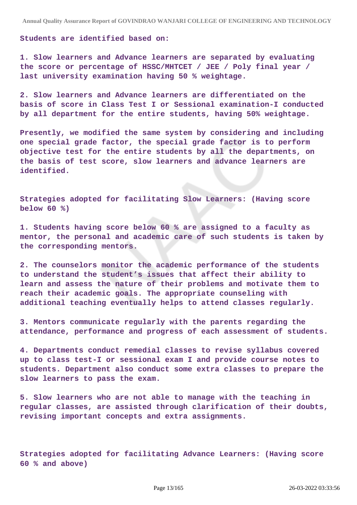#### **Students are identified based on:**

**1. Slow learners and Advance learners are separated by evaluating the score or percentage of HSSC/MHTCET / JEE / Poly final year / last university examination having 50 % weightage.**

**2. Slow learners and Advance learners are differentiated on the basis of score in Class Test I or Sessional examination-I conducted by all department for the entire students, having 50% weightage.**

**Presently, we modified the same system by considering and including one special grade factor, the special grade factor is to perform objective test for the entire students by all the departments, on the basis of test score, slow learners and advance learners are identified.**

**Strategies adopted for facilitating Slow Learners: (Having score below 60 %)**

**1. Students having score below 60 % are assigned to a faculty as mentor, the personal and academic care of such students is taken by the corresponding mentors.**

**2. The counselors monitor the academic performance of the students to understand the student's issues that affect their ability to learn and assess the nature of their problems and motivate them to reach their academic goals. The appropriate counseling with additional teaching eventually helps to attend classes regularly.**

**3. Mentors communicate regularly with the parents regarding the attendance, performance and progress of each assessment of students.**

**4. Departments conduct remedial classes to revise syllabus covered up to class test-I or sessional exam I and provide course notes to students. Department also conduct some extra classes to prepare the slow learners to pass the exam.**

**5. Slow learners who are not able to manage with the teaching in regular classes, are assisted through clarification of their doubts, revising important concepts and extra assignments.**

**Strategies adopted for facilitating Advance Learners: (Having score 60 % and above)**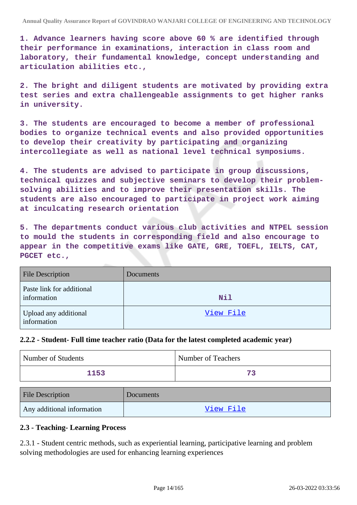**1. Advance learners having score above 60 % are identified through their performance in examinations, interaction in class room and laboratory, their fundamental knowledge, concept understanding and articulation abilities etc.,**

**2. The bright and diligent students are motivated by providing extra test series and extra challengeable assignments to get higher ranks in university.**

**3. The students are encouraged to become a member of professional bodies to organize technical events and also provided opportunities to develop their creativity by participating and organizing intercollegiate as well as national level technical symposiums.**

**4. The students are advised to participate in group discussions, technical quizzes and subjective seminars to develop their problemsolving abilities and to improve their presentation skills. The students are also encouraged to participate in project work aiming at inculcating research orientation**

**5. The departments conduct various club activities and NTPEL session to mould the students in corresponding field and also encourage to appear in the competitive exams like GATE, GRE, TOEFL, IELTS, CAT, PGCET etc.,**

| <b>File Description</b>                  | Documents  |
|------------------------------------------|------------|
| Paste link for additional<br>information | <b>Nil</b> |
| Upload any additional<br>information     | View File  |

## **2.2.2 - Student- Full time teacher ratio (Data for the latest completed academic year)**

| Number of Students | Number of Teachers |
|--------------------|--------------------|
| 1153               |                    |

| <b>File Description</b>    | <b>Documents</b> |
|----------------------------|------------------|
| Any additional information | View File        |

## **2.3 - Teaching- Learning Process**

2.3.1 - Student centric methods, such as experiential learning, participative learning and problem solving methodologies are used for enhancing learning experiences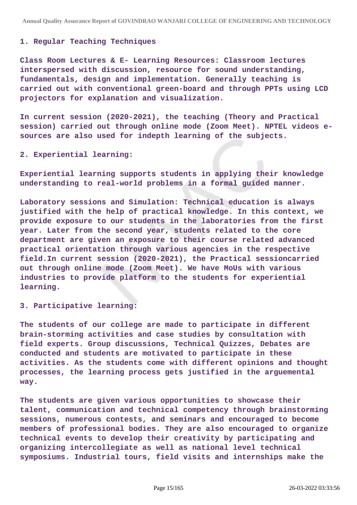#### **1. Regular Teaching Techniques**

**Class Room Lectures & E- Learning Resources: Classroom lectures interspersed with discussion, resource for sound understanding, fundamentals, design and implementation. Generally teaching is carried out with conventional green-board and through PPTs using LCD projectors for explanation and visualization.**

**In current session (2020-2021), the teaching (Theory and Practical session) carried out through online mode (Zoom Meet). NPTEL videos esources are also used for indepth learning of the subjects.**

#### **2. Experiential learning:**

**Experiential learning supports students in applying their knowledge understanding to real-world problems in a formal guided manner.**

**Laboratory sessions and Simulation: Technical education is always justified with the help of practical knowledge. In this context, we provide exposure to our students in the laboratories from the first year. Later from the second year, students related to the core department are given an exposure to their course related advanced practical orientation through various agencies in the respective field.In current session (2020-2021), the Practical sessioncarried out through online mode (Zoom Meet). We have MoUs with various industries to provide platform to the students for experiential learning.**

#### **3. Participative learning:**

**The students of our college are made to participate in different brain-storming activities and case studies by consultation with field experts. Group discussions, Technical Quizzes, Debates are conducted and students are motivated to participate in these activities. As the students come with different opinions and thought processes, the learning process gets justified in the arguemental way.**

**The students are given various opportunities to showcase their talent, communication and technical competency through brainstorming sessions, numerous contests, and seminars and encouraged to become members of professional bodies. They are also encouraged to organize technical events to develop their creativity by participating and organizing intercollegiate as well as national level technical symposiums. Industrial tours, field visits and internships make the**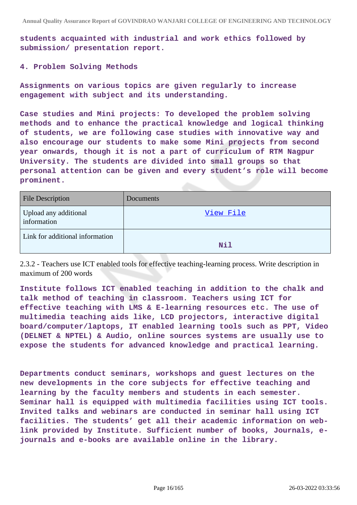**students acquainted with industrial and work ethics followed by submission/ presentation report.**

#### **4. Problem Solving Methods**

**Assignments on various topics are given regularly to increase engagement with subject and its understanding.**

**Case studies and Mini projects: To developed the problem solving methods and to enhance the practical knowledge and logical thinking of students, we are following case studies with innovative way and also encourage our students to make some Mini projects from second year onwards, though it is not a part of curriculum of RTM Nagpur University. The students are divided into small groups so that personal attention can be given and every student's role will become prominent.**

| <b>File Description</b>              | <b>Documents</b> |
|--------------------------------------|------------------|
| Upload any additional<br>information | View File        |
| Link for additional information      | Nil              |

2.3.2 - Teachers use ICT enabled tools for effective teaching-learning process. Write description in maximum of 200 words

**Institute follows ICT enabled teaching in addition to the chalk and talk method of teaching in classroom. Teachers using ICT for effective teaching with LMS & E-learning resources etc. The use of multimedia teaching aids like, LCD projectors, interactive digital board/computer/laptops, IT enabled learning tools such as PPT, Video (DELNET & NPTEL) & Audio, online sources systems are usually use to expose the students for advanced knowledge and practical learning.**

**Departments conduct seminars, workshops and guest lectures on the new developments in the core subjects for effective teaching and learning by the faculty members and students in each semester. Seminar hall is equipped with multimedia facilities using ICT tools. Invited talks and webinars are conducted in seminar hall using ICT facilities. The students' get all their academic information on weblink provided by Institute. Sufficient number of books, Journals, ejournals and e-books are available online in the library.**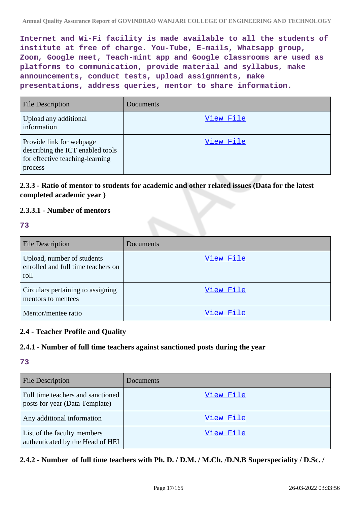**Internet and Wi-Fi facility is made available to all the students of institute at free of charge. You-Tube, E-mails, Whatsapp group, Zoom, Google meet, Teach-mint app and Google classrooms are used as platforms to communication, provide material and syllabus, make announcements, conduct tests, upload assignments, make presentations, address queries, mentor to share information.**

| <b>File Description</b>                                                                                    | Documents |
|------------------------------------------------------------------------------------------------------------|-----------|
| Upload any additional<br>information                                                                       | View File |
| Provide link for webpage<br>describing the ICT enabled tools<br>for effective teaching-learning<br>process | View File |

## **2.3.3 - Ratio of mentor to students for academic and other related issues (Data for the latest completed academic year )**

## **2.3.3.1 - Number of mentors**

#### **73**

| <b>File Description</b>                                                  | Documents |
|--------------------------------------------------------------------------|-----------|
| Upload, number of students<br>enrolled and full time teachers on<br>roll | View File |
| Circulars pertaining to assigning<br>mentors to mentees                  | View File |
| Mentor/mentee ratio                                                      | View File |

## **2.4 - Teacher Profile and Quality**

## **2.4.1 - Number of full time teachers against sanctioned posts during the year**

## **73**

| <b>File Description</b>                                             | <b>Documents</b> |
|---------------------------------------------------------------------|------------------|
| Full time teachers and sanctioned<br>posts for year (Data Template) | View File        |
| Any additional information                                          | View File        |
| List of the faculty members<br>authenticated by the Head of HEI     | View File        |

## **2.4.2 - Number of full time teachers with Ph. D. / D.M. / M.Ch. /D.N.B Superspeciality / D.Sc. /**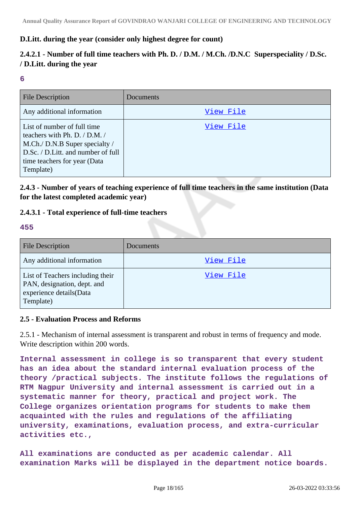## **D.Litt. during the year (consider only highest degree for count)**

## **2.4.2.1 - Number of full time teachers with Ph. D. / D.M. / M.Ch. /D.N.C Superspeciality / D.Sc. / D.Litt. during the year**

#### **6**

| <b>File Description</b>                                                                                                                                                            | Documents |
|------------------------------------------------------------------------------------------------------------------------------------------------------------------------------------|-----------|
| Any additional information                                                                                                                                                         | View File |
| List of number of full time<br>teachers with Ph. D. / D.M. /<br>M.Ch./ D.N.B Super specialty /<br>D.Sc. / D.Litt. and number of full<br>time teachers for year (Data)<br>Template) | View File |

**2.4.3 - Number of years of teaching experience of full time teachers in the same institution (Data for the latest completed academic year)**

## **2.4.3.1 - Total experience of full-time teachers**

#### **455**

| <b>File Description</b>                                                                                 | <b>Documents</b> |
|---------------------------------------------------------------------------------------------------------|------------------|
| Any additional information                                                                              | View File        |
| List of Teachers including their<br>PAN, designation, dept. and<br>experience details(Data<br>Template) | View File        |

## **2.5 - Evaluation Process and Reforms**

2.5.1 - Mechanism of internal assessment is transparent and robust in terms of frequency and mode. Write description within 200 words.

**Internal assessment in college is so transparent that every student has an idea about the standard internal evaluation process of the theory /practical subjects. The institute follows the regulations of RTM Nagpur University and internal assessment is carried out in a systematic manner for theory, practical and project work. The College organizes orientation programs for students to make them acquainted with the rules and regulations of the affiliating university, examinations, evaluation process, and extra-curricular activities etc.,**

**All examinations are conducted as per academic calendar. All examination Marks will be displayed in the department notice boards.**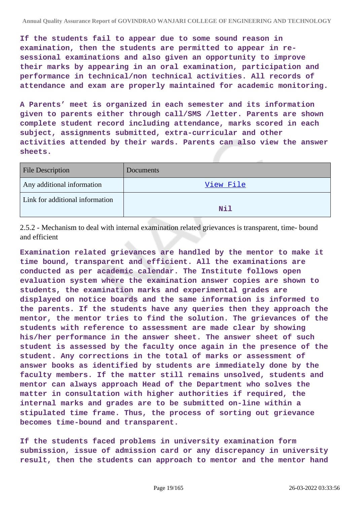**If the students fail to appear due to some sound reason in examination, then the students are permitted to appear in resessional examinations and also given an opportunity to improve their marks by appearing in an oral examination, participation and performance in technical/non technical activities. All records of attendance and exam are properly maintained for academic monitoring.**

**A Parents' meet is organized in each semester and its information given to parents either through call/SMS /letter. Parents are shown complete student record including attendance, marks scored in each subject, assignments submitted, extra-curricular and other activities attended by their wards. Parents can also view the answer sheets.**

| <b>File Description</b>         | Documents |
|---------------------------------|-----------|
| Any additional information      | View File |
| Link for additional information | Nil       |

2.5.2 - Mechanism to deal with internal examination related grievances is transparent, time- bound and efficient

**Examination related grievances are handled by the mentor to make it time bound, transparent and efficient. All the examinations are conducted as per academic calendar. The Institute follows open evaluation system where the examination answer copies are shown to students, the examination marks and experimental grades are displayed on notice boards and the same information is informed to the parents. If the students have any queries then they approach the mentor, the mentor tries to find the solution. The grievances of the students with reference to assessment are made clear by showing his/her performance in the answer sheet. The answer sheet of such student is assessed by the faculty once again in the presence of the student. Any corrections in the total of marks or assessment of answer books as identified by students are immediately done by the faculty members. If the matter still remains unsolved, students and mentor can always approach Head of the Department who solves the matter in consultation with higher authorities if required, the internal marks and grades are to be submitted on-line within a stipulated time frame. Thus, the process of sorting out grievance becomes time-bound and transparent.**

**If the students faced problems in university examination form submission, issue of admission card or any discrepancy in university result, then the students can approach to mentor and the mentor hand**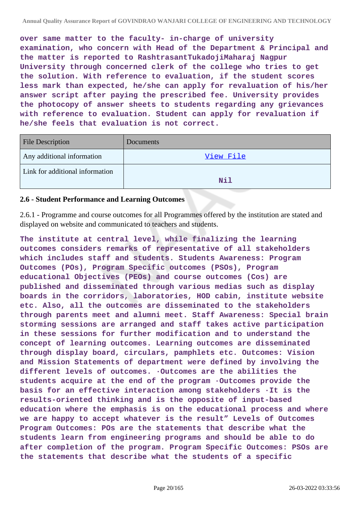**over same matter to the faculty- in-charge of university examination, who concern with Head of the Department & Principal and the matter is reported to RashtrasantTukadojiMaharaj Nagpur University through concerned clerk of the college who tries to get the solution. With reference to evaluation, if the student scores less mark than expected, he/she can apply for revaluation of his/her answer script after paying the prescribed fee. University provides the photocopy of answer sheets to students regarding any grievances with reference to evaluation. Student can apply for revaluation if he/she feels that evaluation is not correct.**

| <b>File Description</b>         | <b>Documents</b> |
|---------------------------------|------------------|
| Any additional information      | View File        |
| Link for additional information | Nil              |
|                                 |                  |

## **2.6 - Student Performance and Learning Outcomes**

2.6.1 - Programme and course outcomes for all Programmes offered by the institution are stated and displayed on website and communicated to teachers and students.

**The institute at central level, while finalizing the learning outcomes considers remarks of representative of all stakeholders which includes staff and students. Students Awareness: Program Outcomes (POs), Program Specific outcomes (PSOs), Program educational Objectives (PEOs) and course outcomes (Cos) are published and disseminated through various medias such as display boards in the corridors, laboratories, HOD cabin, institute website etc. Also, all the outcomes are disseminated to the stakeholders through parents meet and alumni meet. Staff Awareness: Special brain storming sessions are arranged and staff takes active participation in these sessions for further modification and to understand the concept of learning outcomes. Learning outcomes are disseminated through display board, circulars, pamphlets etc. Outcomes: Vision and Mission Statements of department were defined by involving the different levels of outcomes. ·Outcomes are the abilities the students acquire at the end of the program ·Outcomes provide the basis for an effective interaction among stakeholders ·It is the results-oriented thinking and is the opposite of input-based education where the emphasis is on the educational process and where we are happy to accept whatever is the result" Levels of Outcomes Program Outcomes: POs are the statements that describe what the students learn from engineering programs and should be able to do after completion of the program. Program Specific Outcomes: PSOs are the statements that describe what the students of a specific**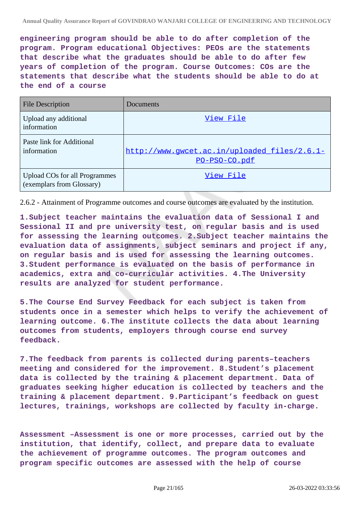**engineering program should be able to do after completion of the program. Program educational Objectives: PEOs are the statements that describe what the graduates should be able to do after few years of completion of the program. Course Outcomes: COs are the statements that describe what the students should be able to do at the end of a course**

| <b>File Description</b>                                    | Documents                                                     |
|------------------------------------------------------------|---------------------------------------------------------------|
| Upload any additional<br>information                       | View File                                                     |
| Paste link for Additional<br>information                   | http://www.qwcet.ac.in/uploaded files/2.6.1-<br>PO-PSO-CO.pdf |
| Upload COs for all Programmes<br>(exemplars from Glossary) | View File                                                     |

2.6.2 - Attainment of Programme outcomes and course outcomes are evaluated by the institution.

**1.Subject teacher maintains the evaluation data of Sessional I and Sessional II and pre university test, on regular basis and is used for assessing the learning outcomes. 2.Subject teacher maintains the evaluation data of assignments, subject seminars and project if any, on regular basis and is used for assessing the learning outcomes. 3.Student performance is evaluated on the basis of performance in academics, extra and co-curricular activities. 4.The University results are analyzed for student performance.**

**5.The Course End Survey Feedback for each subject is taken from students once in a semester which helps to verify the achievement of learning outcome. 6.The institute collects the data about learning outcomes from students, employers through course end survey feedback.**

**7.The feedback from parents is collected during parents–teachers meeting and considered for the improvement. 8.Student's placement data is collected by the training & placement department. Data of graduates seeking higher education is collected by teachers and the training & placement department. 9.Participant's feedback on guest lectures, trainings, workshops are collected by faculty in-charge.**

**Assessment –Assessment is one or more processes, carried out by the institution, that identify, collect, and prepare data to evaluate the achievement of programme outcomes. The program outcomes and program specific outcomes are assessed with the help of course**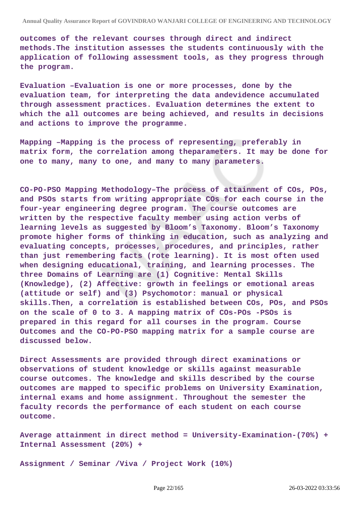**outcomes of the relevant courses through direct and indirect methods.The institution assesses the students continuously with the application of following assessment tools, as they progress through the program.**

**Evaluation –Evaluation is one or more processes, done by the evaluation team, for interpreting the data andevidence accumulated through assessment practices. Evaluation determines the extent to which the all outcomes are being achieved, and results in decisions and actions to improve the programme.**

**Mapping –Mapping is the process of representing, preferably in matrix form, the correlation among theparameters. It may be done for one to many, many to one, and many to many parameters.**

**CO-PO-PSO Mapping Methodology–The process of attainment of COs, POs, and PSOs starts from writing appropriate COs for each course in the four-year engineering degree program. The course outcomes are written by the respective faculty member using action verbs of learning levels as suggested by Bloom's Taxonomy. Bloom's Taxonomy promote higher forms of thinking in education, such as analyzing and evaluating concepts, processes, procedures, and principles, rather than just remembering facts (rote learning). It is most often used when designing educational, training, and learning processes. The three Domains of Learning are (1) Cognitive: Mental Skills (Knowledge), (2) Affective: growth in feelings or emotional areas (attitude or self) and (3) Psychomotor: manual or physical skills.Then, a correlation is established between COs, POs, and PSOs on the scale of 0 to 3. A mapping matrix of COs-POs -PSOs is prepared in this regard for all courses in the program. Course Outcomes and the CO-PO-PSO mapping matrix for a sample course are discussed below.**

**Direct Assessments are provided through direct examinations or observations of student knowledge or skills against measurable course outcomes. The knowledge and skills described by the course outcomes are mapped to specific problems on University Examination, internal exams and home assignment. Throughout the semester the faculty records the performance of each student on each course outcome.**

**Average attainment in direct method = University-Examination-(70%) + Internal Assessment (20%) +**

**Assignment / Seminar /Viva / Project Work (10%)**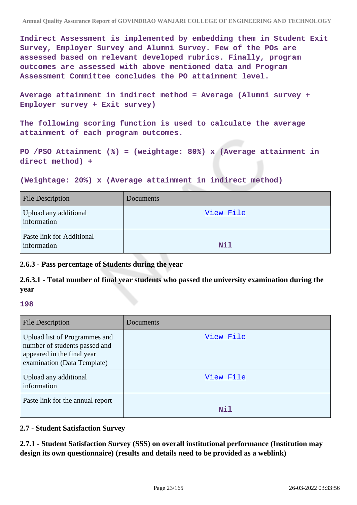**Indirect Assessment is implemented by embedding them in Student Exit Survey, Employer Survey and Alumni Survey. Few of the POs are assessed based on relevant developed rubrics. Finally, program outcomes are assessed with above mentioned data and Program Assessment Committee concludes the PO attainment level.**

**Average attainment in indirect method = Average (Alumni survey + Employer survey + Exit survey)**

**The following scoring function is used to calculate the average attainment of each program outcomes.**

**PO /PSO Attainment (%) = (weightage: 80%) x (Average attainment in direct method) +**

**(Weightage: 20%) x (Average attainment in indirect method)**

| <b>File Description</b>                  | Documents  |
|------------------------------------------|------------|
| Upload any additional<br>information     | View File  |
| Paste link for Additional<br>information | <b>Nil</b> |

**2.6.3 - Pass percentage of Students during the year**

**2.6.3.1 - Total number of final year students who passed the university examination during the year**

**198**

| <b>File Description</b>                                                                                                     | Documents |
|-----------------------------------------------------------------------------------------------------------------------------|-----------|
| Upload list of Programmes and<br>number of students passed and<br>appeared in the final year<br>examination (Data Template) | View File |
| Upload any additional<br>information                                                                                        | View File |
| Paste link for the annual report                                                                                            | Nil       |

## **2.7 - Student Satisfaction Survey**

**2.7.1 - Student Satisfaction Survey (SSS) on overall institutional performance (Institution may design its own questionnaire) (results and details need to be provided as a weblink)**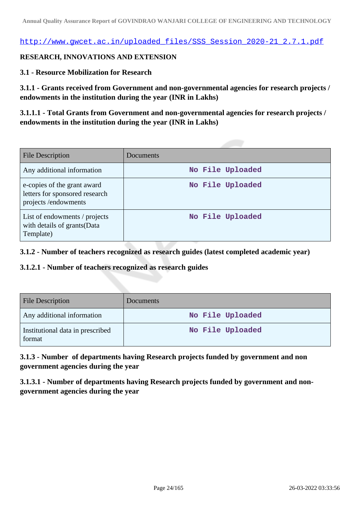[http://www.gwcet.ac.in/uploaded\\_files/SSS\\_Session\\_2020-21\\_2.7.1.pdf](http://www.gwcet.ac.in/uploaded_files/SSS_Session_2020-21_2.7.1.pdf)

## **RESEARCH, INNOVATIONS AND EXTENSION**

## **3.1 - Resource Mobilization for Research**

**3.1.1 - Grants received from Government and non-governmental agencies for research projects / endowments in the institution during the year (INR in Lakhs)**

**3.1.1.1 - Total Grants from Government and non-governmental agencies for research projects / endowments in the institution during the year (INR in Lakhs)**

| <b>File Description</b>                                                              | Documents        |
|--------------------------------------------------------------------------------------|------------------|
| Any additional information                                                           | No File Uploaded |
| e-copies of the grant award<br>letters for sponsored research<br>projects/endowments | No File Uploaded |
| List of endowments / projects<br>with details of grants (Data<br>Template)           | No File Uploaded |

**3.1.2 - Number of teachers recognized as research guides (latest completed academic year)**

**3.1.2.1 - Number of teachers recognized as research guides**

| <b>File Description</b>                    | <b>Documents</b> |
|--------------------------------------------|------------------|
| Any additional information                 | No File Uploaded |
| Institutional data in prescribed<br>format | No File Uploaded |

**3.1.3 - Number of departments having Research projects funded by government and non government agencies during the year**

**3.1.3.1 - Number of departments having Research projects funded by government and nongovernment agencies during the year**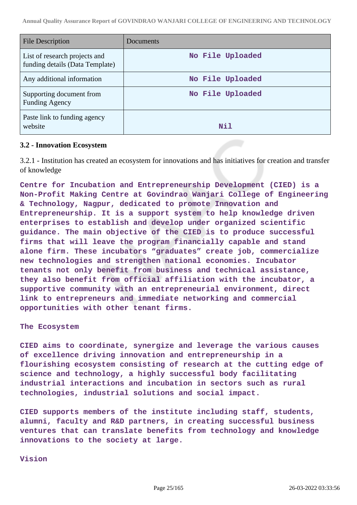| File Description                                                 | Documents        |
|------------------------------------------------------------------|------------------|
| List of research projects and<br>funding details (Data Template) | No File Uploaded |
| Any additional information                                       | No File Uploaded |
| Supporting document from<br><b>Funding Agency</b>                | No File Uploaded |
| Paste link to funding agency<br>website                          | Nil              |

#### **3.2 - Innovation Ecosystem**

3.2.1 - Institution has created an ecosystem for innovations and has initiatives for creation and transfer of knowledge

**Centre for Incubation and Entrepreneurship Development (CIED) is a Non-Profit Making Centre at Govindrao Wanjari College of Engineering & Technology, Nagpur, dedicated to promote Innovation and Entrepreneurship. It is a support system to help knowledge driven enterprises to establish and develop under organized scientific guidance. The main objective of the CIED is to produce successful firms that will leave the program financially capable and stand alone firm. These incubators "graduates" create job, commercialize new technologies and strengthen national economies. Incubator tenants not only benefit from business and technical assistance, they also benefit from official affiliation with the incubator, a supportive community with an entrepreneurial environment, direct link to entrepreneurs and immediate networking and commercial opportunities with other tenant firms.**

#### **The Ecosystem**

**CIED aims to coordinate, synergize and leverage the various causes of excellence driving innovation and entrepreneurship in a flourishing ecosystem consisting of research at the cutting edge of science and technology, a highly successful body facilitating industrial interactions and incubation in sectors such as rural technologies, industrial solutions and social impact.**

**CIED supports members of the institute including staff, students, alumni, faculty and R&D partners, in creating successful business ventures that can translate benefits from technology and knowledge innovations to the society at large.**

**Vision**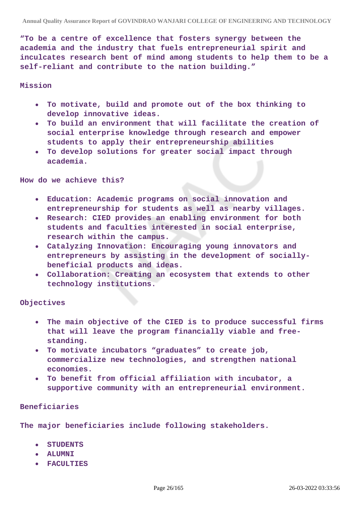**"To be a centre of excellence that fosters synergy between the academia and the industry that fuels entrepreneurial spirit and inculcates research bent of mind among students to help them to be a self-reliant and contribute to the nation building."**

#### **Mission**

- **To motivate, build and promote out of the box thinking to**  $\bullet$ **develop innovative ideas.**
- **To build an environment that will facilitate the creation of**  $\bullet$ **social enterprise knowledge through research and empower students to apply their entrepreneurship abilities**
- **To develop solutions for greater social impact through academia.**

**How do we achieve this?**

- **Education: Academic programs on social innovation and entrepreneurship for students as well as nearby villages.**
- **Research: CIED provides an enabling environment for both students and faculties interested in social enterprise, research within the campus.**
- **Catalyzing Innovation: Encouraging young innovators and entrepreneurs by assisting in the development of sociallybeneficial products and ideas.**
- **Collaboration: Creating an ecosystem that extends to other technology institutions.**

**Objectives**

- **The main objective of the CIED is to produce successful firms that will leave the program financially viable and freestanding.**
- **To motivate incubators "graduates" to create job, commercialize new technologies, and strengthen national economies.**
- **To benefit from official affiliation with incubator, a supportive community with an entrepreneurial environment.**

#### **Beneficiaries**

**The major beneficiaries include following stakeholders.**

- **STUDENTS**
- **ALUMNI**
- **FACULTIES**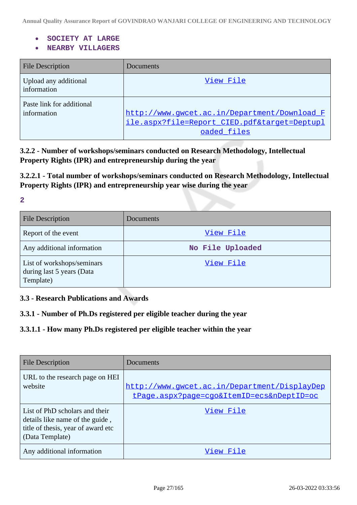- **SOCIETY AT LARGE**
- **NEARBY VILLAGERS**  $\bullet$

| <b>File Description</b>                  | Documents                                                                                             |
|------------------------------------------|-------------------------------------------------------------------------------------------------------|
| Upload any additional<br>information     | View File                                                                                             |
| Paste link for additional<br>information | http://www.qwcet.ac.in/Department/Download F<br>ile.aspx?file=Report CIED.pdf⌖=Deptupl<br>oaded files |

**3.2.2 - Number of workshops/seminars conducted on Research Methodology, Intellectual Property Rights (IPR) and entrepreneurship during the year**

**3.2.2.1 - Total number of workshops/seminars conducted on Research Methodology, Intellectual Property Rights (IPR) and entrepreneurship year wise during the year**

**2**

| <b>File Description</b>                                              | <b>Documents</b> |
|----------------------------------------------------------------------|------------------|
| Report of the event                                                  | View File        |
| Any additional information                                           | No File Uploaded |
| List of workshops/seminars<br>during last 5 years (Data<br>Template) | View File        |

**3.3 - Research Publications and Awards**

**3.3.1 - Number of Ph.Ds registered per eligible teacher during the year**

## **3.3.1.1 - How many Ph.Ds registered per eligible teacher within the year**

| <b>File Description</b>                                                                                                    | Documents                                                                                 |
|----------------------------------------------------------------------------------------------------------------------------|-------------------------------------------------------------------------------------------|
| URL to the research page on HEI<br>website                                                                                 | http://www.gwcet.ac.in/Department/DisplayDep<br>tPage.aspx?page=cgo&ItemID=ecs&nDeptID=oc |
| List of PhD scholars and their<br>details like name of the guide,<br>title of thesis, year of award etc<br>(Data Template) | View File                                                                                 |
| Any additional information                                                                                                 | View File                                                                                 |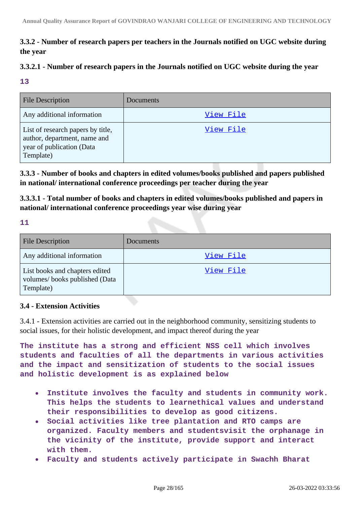## **3.3.2 - Number of research papers per teachers in the Journals notified on UGC website during the year**

## **3.3.2.1 - Number of research papers in the Journals notified on UGC website during the year**

**13**

| <b>File Description</b>                                                                                     | Documents |
|-------------------------------------------------------------------------------------------------------------|-----------|
| Any additional information                                                                                  | View File |
| List of research papers by title,<br>author, department, name and<br>year of publication (Data<br>Template) | View File |

**3.3.3 - Number of books and chapters in edited volumes/books published and papers published in national/ international conference proceedings per teacher during the year**

**3.3.3.1 - Total number of books and chapters in edited volumes/books published and papers in national/ international conference proceedings year wise during year**

**11**

| File Description                                                             | Documents |
|------------------------------------------------------------------------------|-----------|
| Any additional information                                                   | View File |
| List books and chapters edited<br>volumes/books published (Data<br>Template) | View File |

## **3.4 - Extension Activities**

3.4.1 - Extension activities are carried out in the neighborhood community, sensitizing students to social issues, for their holistic development, and impact thereof during the year

**The institute has a strong and efficient NSS cell which involves students and faculties of all the departments in various activities and the impact and sensitization of students to the social issues and holistic development is as explained below**

- **Institute involves the faculty and students in community work.**  $\bullet$ **This helps the students to learnethical values and understand their responsibilities to develop as good citizens.**
- **Social activities like tree plantation and RTO camps are**  $\bullet$ **organized. Faculty members and studentsvisit the orphanage in the vicinity of the institute, provide support and interact with them.**
- **Faculty and students actively participate in Swachh Bharat**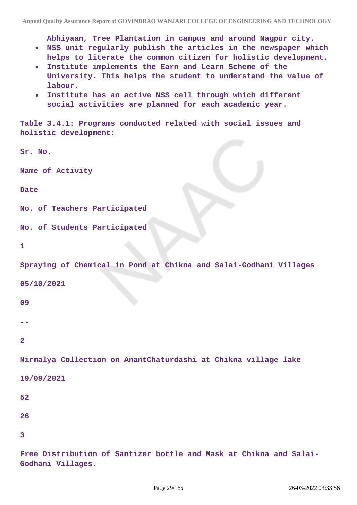**Abhiyaan, Tree Plantation in campus and around Nagpur city.**

- **NSS unit regularly publish the articles in the newspaper which helps to literate the common citizen for holistic development.**
- **Institute implements the Earn and Learn Scheme of the University. This helps the student to understand the value of labour.**
- **Institute has an active NSS cell through which different**  $\bullet$ **social activities are planned for each academic year.**

**Table 3.4.1: Programs conducted related with social issues and holistic development:**

**Sr. No.** 

**Name of Activity**

#### **Date**

```
No. of Teachers Participated
```
**No. of Students Participated**

```
1
```
**Spraying of Chemical in Pond at Chikna and Salai-Godhani Villages**

**05/10/2021**

#### **09**

**--**

## **2**

**Nirmalya Collection on AnantChaturdashi at Chikna village lake**

```
19/09/2021
```
- **52**
- **26**
- **3**

**Free Distribution of Santizer bottle and Mask at Chikna and Salai-**

**Godhani Villages.**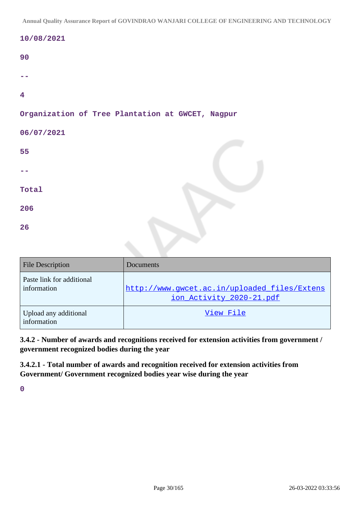|  |  | 10/08/2021 |  |
|--|--|------------|--|
|  |  |            |  |

| I<br>۰, | I<br>M.<br>٧ |
|---------|--------------|

| $\overline{4}$                                   |  |  |  |
|--------------------------------------------------|--|--|--|
| Organization of Tree Plantation at GWCET, Nagpur |  |  |  |
| 06/07/2021                                       |  |  |  |
| 55                                               |  |  |  |

| Total |  |
|-------|--|
| 206   |  |
| 26    |  |

| <b>File Description</b>                  | Documents                                                                |
|------------------------------------------|--------------------------------------------------------------------------|
| Paste link for additional<br>information | http://www.qwcet.ac.in/uploaded files/Extens<br>ion_Activity_2020-21.pdf |
| Upload any additional<br>information     | View File                                                                |

**3.4.2 - Number of awards and recognitions received for extension activities from government / government recognized bodies during the year**

**3.4.2.1 - Total number of awards and recognition received for extension activities from Government/ Government recognized bodies year wise during the year**

**0**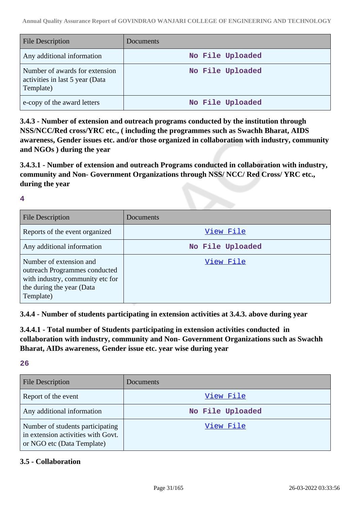| <b>File Description</b>                                                        | Documents        |
|--------------------------------------------------------------------------------|------------------|
| Any additional information                                                     | No File Uploaded |
| Number of awards for extension<br>activities in last 5 year (Data<br>Template) | No File Uploaded |
| e-copy of the award letters                                                    | No File Uploaded |

**3.4.3 - Number of extension and outreach programs conducted by the institution through NSS/NCC/Red cross/YRC etc., ( including the programmes such as Swachh Bharat, AIDS awareness, Gender issues etc. and/or those organized in collaboration with industry, community and NGOs ) during the year**

**3.4.3.1 - Number of extension and outreach Programs conducted in collaboration with industry, community and Non- Government Organizations through NSS/ NCC/ Red Cross/ YRC etc., during the year**

**4**

| <b>File Description</b>                                                                                                                | Documents        |
|----------------------------------------------------------------------------------------------------------------------------------------|------------------|
| Reports of the event organized                                                                                                         | View File        |
| Any additional information                                                                                                             | No File Uploaded |
| Number of extension and<br>outreach Programmes conducted<br>with industry, community etc for<br>the during the year (Data<br>Template) | View File        |

**3.4.4 - Number of students participating in extension activities at 3.4.3. above during year**

**3.4.4.1 - Total number of Students participating in extension activities conducted in collaboration with industry, community and Non- Government Organizations such as Swachh Bharat, AIDs awareness, Gender issue etc. year wise during year**

**26**

| <b>File Description</b>                                                                              | Documents        |
|------------------------------------------------------------------------------------------------------|------------------|
| Report of the event                                                                                  | View File        |
| Any additional information                                                                           | No File Uploaded |
| Number of students participating<br>in extension activities with Govt.<br>or NGO etc (Data Template) | View File        |

## **3.5 - Collaboration**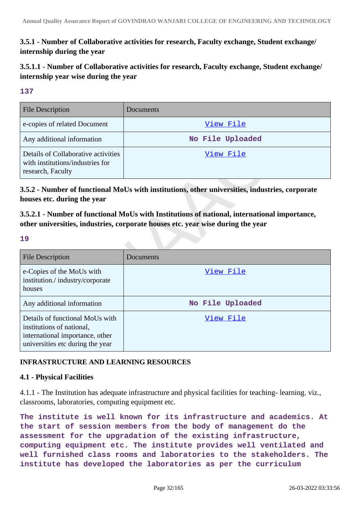## **3.5.1 - Number of Collaborative activities for research, Faculty exchange, Student exchange/ internship during the year**

**3.5.1.1 - Number of Collaborative activities for research, Faculty exchange, Student exchange/ internship year wise during the year**

## **137**

| <b>File Description</b>                                                                      | Documents        |
|----------------------------------------------------------------------------------------------|------------------|
| e-copies of related Document                                                                 | View File        |
| Any additional information                                                                   | No File Uploaded |
| Details of Collaborative activities<br>with institutions/industries for<br>research, Faculty | View File        |

**3.5.2 - Number of functional MoUs with institutions, other universities, industries, corporate houses etc. during the year**

**3.5.2.1 - Number of functional MoUs with Institutions of national, international importance, other universities, industries, corporate houses etc. year wise during the year**

## **19**

| <b>File Description</b>                                                                                                             | Documents        |
|-------------------------------------------------------------------------------------------------------------------------------------|------------------|
| e-Copies of the MoUs with<br>institution./industry/corporate<br>houses                                                              | View File        |
| Any additional information                                                                                                          | No File Uploaded |
| Details of functional MoUs with<br>institutions of national,<br>international importance, other<br>universities etc during the year | View File        |

## **INFRASTRUCTURE AND LEARNING RESOURCES**

## **4.1 - Physical Facilities**

4.1.1 - The Institution has adequate infrastructure and physical facilities for teaching- learning. viz., classrooms, laboratories, computing equipment etc.

**The institute is well known for its infrastructure and academics. At the start of session members from the body of management do the assessment for the upgradation of the existing infrastructure, computing equipment etc. The institute provides well ventilated and well furnished class rooms and laboratories to the stakeholders. The institute has developed the laboratories as per the curriculum**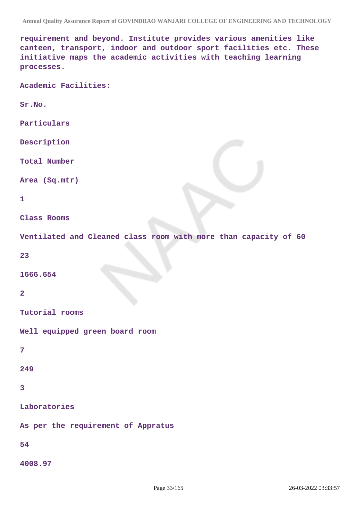**requirement and beyond. Institute provides various amenities like canteen, transport, indoor and outdoor sport facilities etc. These initiative maps the academic activities with teaching learning processes.**

**Academic Facilities:**

**Sr.No.**

**Particulars**

**Description**

**Total Number**

**Area (Sq.mtr)**

#### **1**

**Class Rooms**

**Ventilated and Cleaned class room with more than capacity of 60**

**23**

**1666.654**

#### **2**

**Tutorial rooms**

**Well equipped green board room**

```
7
```
**249**

```
3
```
**Laboratories**

**As per the requirement of Appratus**

## **54**

**4008.97**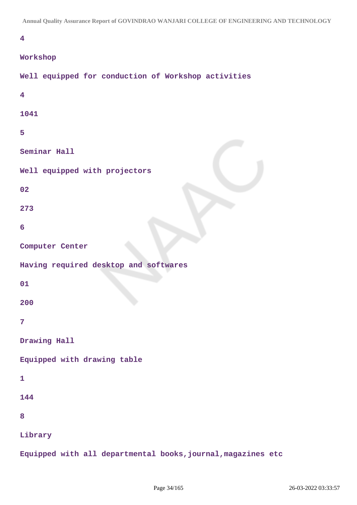## **4**

#### **Workshop**

| Well equipped for conduction of Workshop activities          |
|--------------------------------------------------------------|
| $\overline{\mathbf{4}}$                                      |
| 1041                                                         |
| 5                                                            |
| Seminar Hall                                                 |
| Well equipped with projectors                                |
| 02                                                           |
| 273                                                          |
| 6                                                            |
| Computer Center                                              |
| Having required desktop and softwares                        |
| 01                                                           |
| 200                                                          |
| $\overline{7}$                                               |
| Drawing Hall                                                 |
| Equipped with drawing table                                  |
| $\mathbf{1}$                                                 |
| 144                                                          |
| 8                                                            |
| Library                                                      |
| Equipped with all departmental books, journal, magazines etc |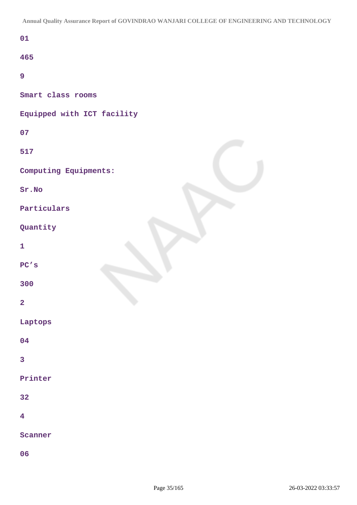| 01                         |
|----------------------------|
| 465                        |
| 9                          |
| Smart class rooms          |
| Equipped with ICT facility |
| 07                         |
| 517                        |
| Computing Equipments:      |
| Sr.No                      |
| Particulars                |
| Quantity                   |
| $\mathbf{1}$               |
| PC's                       |
| 300                        |
| $\overline{\mathbf{2}}$    |
| Laptops                    |
| 04                         |
| 3                          |
| Printer                    |
| 32                         |
| $\overline{\mathbf{4}}$    |
| Scanner                    |
| 06                         |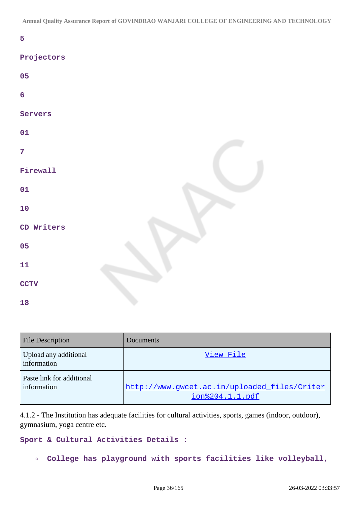**5**

## **Projectors**

| 05             |  |
|----------------|--|
| $\overline{6}$ |  |
| Servers        |  |
| 01             |  |
| $\overline{7}$ |  |
| Firewall       |  |
| 01             |  |
| 10             |  |
| CD Writers     |  |
| 05             |  |
| 11             |  |
| <b>CCTV</b>    |  |
| 18             |  |

| <b>File Description</b>                  | Documents                                                       |
|------------------------------------------|-----------------------------------------------------------------|
| Upload any additional<br>information     | View File                                                       |
| Paste link for additional<br>information | http://www.gwcet.ac.in/uploaded_files/Criter<br>ion%204.1.1.pdf |

4.1.2 - The Institution has adequate facilities for cultural activities, sports, games (indoor, outdoor), gymnasium, yoga centre etc.

## **Sport & Cultural Activities Details :**

**College has playground with sports facilities like volleyball,**  $\bullet$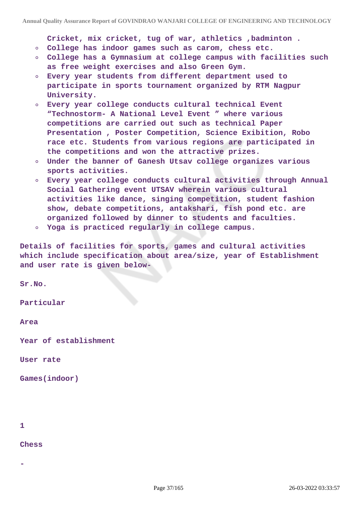**Cricket, mix cricket, tug of war, athletics ,badminton .**

- **College has indoor games such as carom, chess etc.**
- **College has a Gymnasium at college campus with facilities such**  $\circ$ **as free weight exercises and also Green Gym.**
- **Every year students from different department used to participate in sports tournament organized by RTM Nagpur University.**
- **Every year college conducts cultural technical Event "Technostorm- A National Level Event " where various competitions are carried out such as technical Paper Presentation , Poster Competition, Science Exibition, Robo race etc. Students from various regions are participated in the competitions and won the attractive prizes.**
- **Under the banner of Ganesh Utsav college organizes various sports activities.**
- **Every year college conducts cultural activities through Annual Social Gathering event UTSAV wherein various cultural activities like dance, singing competition, student fashion show, debate competitions, antakshari, fish pond etc. are organized followed by dinner to students and faculties.**
- **Yoga is practiced regularly in college campus.**

**Details of facilities for sports, games and cultural activities which include specification about area/size, year of Establishment and user rate is given below-**

**Sr.No.**

**Particular**

**Area**

**Year of establishment**

**User rate**

**Games(indoor)**

**1**

**-**

**Chess**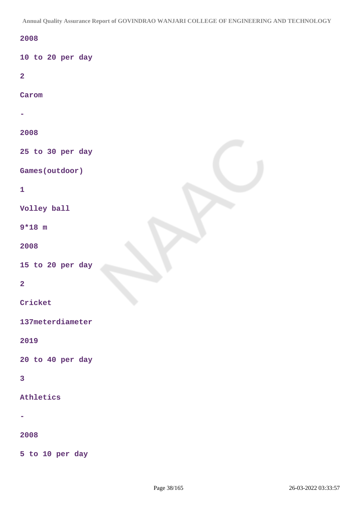**Annual Quality Assurance Report of GOVINDRAO WANJARI COLLEGE OF ENGINEERING AND TECHNOLOGY**

# **2008**

**10 to 20 per day**

**2**

**Carom**

**- 2008 25 to 30 per day Games(outdoor) 1 Volley ball 9\*18 m 2008 15 to 20 per day 2 Cricket 137meterdiameter**

## **2019**

**20 to 40 per day**

# **3**

**Athletics**

**-**

#### **2008**

**5 to 10 per day**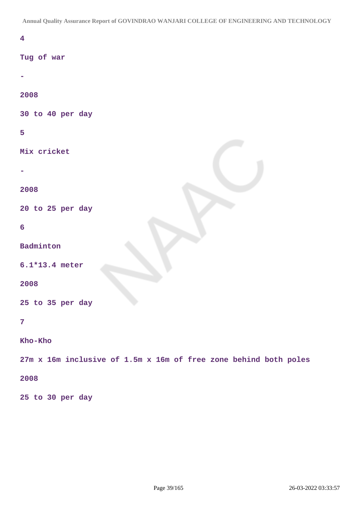**Annual Quality Assurance Report of GOVINDRAO WANJARI COLLEGE OF ENGINEERING AND TECHNOLOGY**

| $\overline{\mathbf{4}}$                                          |
|------------------------------------------------------------------|
| Tug of war                                                       |
| ۰                                                                |
| 2008                                                             |
| 30 to 40 per day                                                 |
| 5                                                                |
| Mix cricket                                                      |
|                                                                  |
| 2008                                                             |
| 20 to 25 per day                                                 |
| 6                                                                |
| Badminton                                                        |
| $6.1*13.4$ meter                                                 |
| 2008                                                             |
| 25 to 35 per day                                                 |
| $\overline{7}$                                                   |
| Kho-Kho                                                          |
| 27m x 16m inclusive of 1.5m x 16m of free zone behind both poles |
| 2008                                                             |
| 25 to 30 per day                                                 |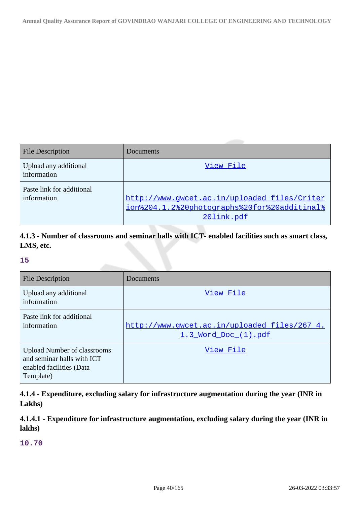| <b>File Description</b>                  | Documents                                                                                                  |
|------------------------------------------|------------------------------------------------------------------------------------------------------------|
| Upload any additional<br>information     | View File                                                                                                  |
| Paste link for additional<br>information | http://www.gwcet.ac.in/uploaded_files/Criter<br>ion%204.1.2%20photographs%20for%20additinal%<br>20link.pdf |

# **4.1.3 - Number of classrooms and seminar halls with ICT- enabled facilities such as smart class, LMS, etc.**

# **15**

| <b>File Description</b>                                                                                   | Documents                                                            |
|-----------------------------------------------------------------------------------------------------------|----------------------------------------------------------------------|
| Upload any additional<br>information                                                                      | View File                                                            |
| Paste link for additional<br>information                                                                  | http://www.gwcet.ac.in/uploaded_files/267_4.<br>1.3 Word Doc (1).pdf |
| <b>Upload Number of classrooms</b><br>and seminar halls with ICT<br>enabled facilities (Data<br>Template) | View File                                                            |

**4.1.4 - Expenditure, excluding salary for infrastructure augmentation during the year (INR in Lakhs)**

**4.1.4.1 - Expenditure for infrastructure augmentation, excluding salary during the year (INR in lakhs)**

**10.70**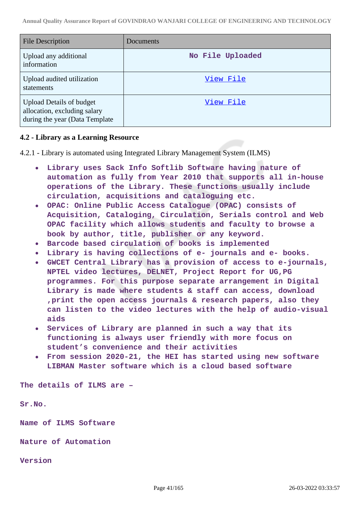| <b>File Description</b>                                                                            | Documents        |
|----------------------------------------------------------------------------------------------------|------------------|
| Upload any additional<br>information                                                               | No File Uploaded |
| Upload audited utilization<br>statements                                                           | View File        |
| <b>Upload Details of budget</b><br>allocation, excluding salary<br>during the year (Data Template) | View File        |

# **4.2 - Library as a Learning Resource**

4.2.1 - Library is automated using Integrated Library Management System (ILMS)

- **Library uses Sack Info Softlib Software having nature of automation as fully from Year 2010 that supports all in-house operations of the Library. These functions usually include circulation, acquisitions and cataloguing etc.**
- **OPAC: Online Public Access Catalogue (OPAC) consists of Acquisition, Cataloging, Circulation, Serials control and Web OPAC facility which allows students and faculty to browse a book by author, title, publisher or any keyword.**
- **Barcode based circulation of books is implemented**
- **Library is having collections of e- journals and e- books.**
- **GWCET Central Library has a provision of access to e-journals, NPTEL video lectures, DELNET, Project Report for UG,PG programmes. For this purpose separate arrangement in Digital Library is made where students & staff can access, download ,print the open access journals & research papers, also they can listen to the video lectures with the help of audio-visual aids**
- **Services of Library are planned in such a way that its functioning is always user friendly with more focus on student's convenience and their activities**
- **From session 2020-21, the HEI has started using new software LIBMAN Master software which is a cloud based software**

**The details of ILMS are –**

**Sr.No.**

**Name of ILMS Software**

**Nature of Automation**

**Version**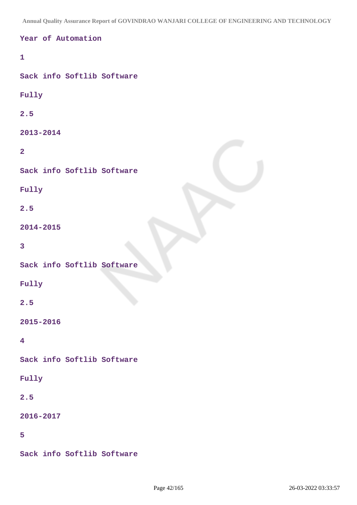**Annual Quality Assurance Report of GOVINDRAO WANJARI COLLEGE OF ENGINEERING AND TECHNOLOGY**

```
Year of Automation
1
Sack info Softlib Software
Fully
2.5
2013-2014
2
Sack info Softlib Software
Fully
2.5
2014-2015
3
Sack info Softlib Software
Fully
2.5
2015-2016
4
Sack info Softlib Software
Fully
2.5
2016-2017
5
Sack info Softlib Software
```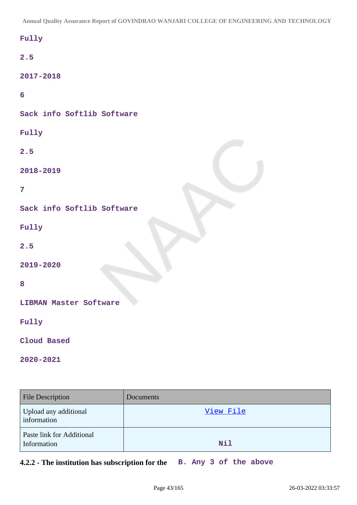**Annual Quality Assurance Report of GOVINDRAO WANJARI COLLEGE OF ENGINEERING AND TECHNOLOGY**

| $_{\rm{Fully}}$               |
|-------------------------------|
| 2.5                           |
| 2017-2018                     |
| $6\overline{6}$               |
| Sack info Softlib Software    |
| Fully                         |
| 2.5                           |
| 2018-2019                     |
| $\overline{7}$                |
| Sack info Softlib Software    |
| Fully                         |
| 2.5                           |
| 2019-2020                     |
| 8                             |
| <b>LIBMAN Master Software</b> |
| Fully                         |
| Cloud Based                   |

**2020-2021**

| File Description                         | Documents |
|------------------------------------------|-----------|
| Upload any additional<br>information     | View File |
| Paste link for Additional<br>Information | Nil       |

**4.2.2 - The institution has subscription for the B. Any 3 of the above**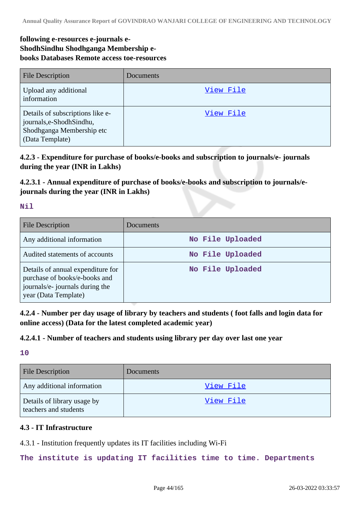# **following e-resources e-journals e-ShodhSindhu Shodhganga Membership ebooks Databases Remote access toe-resources**

| <b>File Description</b>                                                                                     | <b>Documents</b> |
|-------------------------------------------------------------------------------------------------------------|------------------|
| Upload any additional<br>information                                                                        | View File        |
| Details of subscriptions like e-<br>journals,e-ShodhSindhu,<br>Shodhganga Membership etc<br>(Data Template) | View File        |

**4.2.3 - Expenditure for purchase of books/e-books and subscription to journals/e- journals during the year (INR in Lakhs)**

# **4.2.3.1 - Annual expenditure of purchase of books/e-books and subscription to journals/ejournals during the year (INR in Lakhs)**

# **Nil**

| <b>File Description</b>                                                                                                       | Documents        |
|-------------------------------------------------------------------------------------------------------------------------------|------------------|
| Any additional information                                                                                                    | No File Uploaded |
| Audited statements of accounts                                                                                                | No File Uploaded |
| Details of annual expenditure for<br>purchase of books/e-books and<br>journals/e- journals during the<br>year (Data Template) | No File Uploaded |

**4.2.4 - Number per day usage of library by teachers and students ( foot falls and login data for online access) (Data for the latest completed academic year)**

# **4.2.4.1 - Number of teachers and students using library per day over last one year**

**10**

| <b>File Description</b>                              | <b>Documents</b> |
|------------------------------------------------------|------------------|
| Any additional information                           | View File        |
| Details of library usage by<br>teachers and students | <u>View File</u> |

# **4.3 - IT Infrastructure**

4.3.1 - Institution frequently updates its IT facilities including Wi-Fi

**The institute is updating IT facilities time to time. Departments**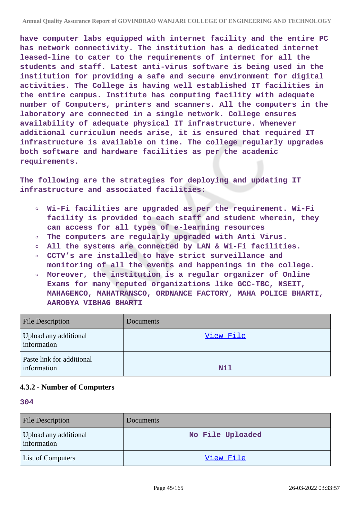**have computer labs equipped with internet facility and the entire PC has network connectivity. The institution has a dedicated internet leased-line to cater to the requirements of internet for all the students and staff. Latest anti-virus software is being used in the institution for providing a safe and secure environment for digital activities. The College is having well established IT facilities in the entire campus. Institute has computing facility with adequate number of Computers, printers and scanners. All the computers in the laboratory are connected in a single network. College ensures availability of adequate physical IT infrastructure. Whenever additional curriculum needs arise, it is ensured that required IT infrastructure is available on time. The college regularly upgrades both software and hardware facilities as per the academic requirements.**

**The following are the strategies for deploying and updating IT infrastructure and associated facilities:**

- **Wi-Fi facilities are upgraded as per the requirement. Wi-Fi facility is provided to each staff and student wherein, they can access for all types of e-learning resources**
- **The computers are regularly upgraded with Anti Virus.**  $\circ$
- **All the systems are connected by LAN & Wi-Fi facilities.**  $\circ$
- **CCTV's are installed to have strict surveillance and monitoring of all the events and happenings in the college.**
- **Moreover, the institution is a regular organizer of Online Exams for many reputed organizations like GCC-TBC, NSEIT, MAHAGENCO, MAHATRANSCO, ORDNANCE FACTORY, MAHA POLICE BHARTI, AAROGYA VIBHAG BHARTI**

| <b>File Description</b>                  | <b>Documents</b> |
|------------------------------------------|------------------|
| Upload any additional<br>information     | View File        |
| Paste link for additional<br>information | Nil              |

# **4.3.2 - Number of Computers**

#### **304**

| <b>File Description</b>              | <b>Documents</b> |
|--------------------------------------|------------------|
| Upload any additional<br>information | No File Uploaded |
| <b>List of Computers</b>             | View File        |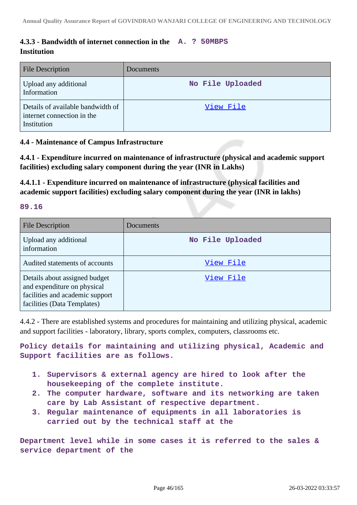# **4.3.3 - Bandwidth of internet connection in the A. ? 50MBPS Institution**

| <b>File Description</b>                                                        | Documents        |
|--------------------------------------------------------------------------------|------------------|
| Upload any additional<br>Information                                           | No File Uploaded |
| Details of available bandwidth of<br>internet connection in the<br>Institution | View File        |

# **4.4 - Maintenance of Campus Infrastructure**

**4.4.1 - Expenditure incurred on maintenance of infrastructure (physical and academic support facilities) excluding salary component during the year (INR in Lakhs)**

**4.4.1.1 - Expenditure incurred on maintenance of infrastructure (physical facilities and academic support facilities) excluding salary component during the year (INR in lakhs)**

### **89.16**

| <b>File Description</b>                                                                                                        | Documents        |
|--------------------------------------------------------------------------------------------------------------------------------|------------------|
| Upload any additional<br>information                                                                                           | No File Uploaded |
| Audited statements of accounts                                                                                                 | View File        |
| Details about assigned budget<br>and expenditure on physical<br>facilities and academic support<br>facilities (Data Templates) | View File        |

4.4.2 - There are established systems and procedures for maintaining and utilizing physical, academic and support facilities - laboratory, library, sports complex, computers, classrooms etc.

**Policy details for maintaining and utilizing physical, Academic and Support facilities are as follows.**

- **1. Supervisors & external agency are hired to look after the housekeeping of the complete institute.**
- **2. The computer hardware, software and its networking are taken care by Lab Assistant of respective department.**
- **3. Regular maintenance of equipments in all laboratories is carried out by the technical staff at the**

**Department level while in some cases it is referred to the sales & service department of the**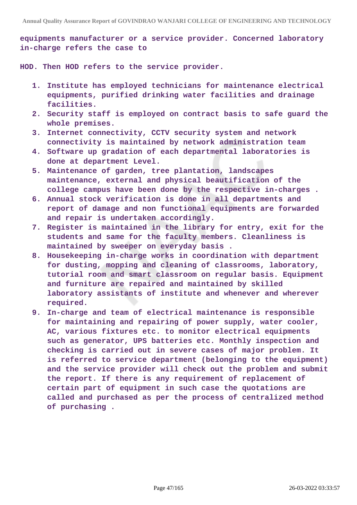**equipments manufacturer or a service provider. Concerned laboratory in-charge refers the case to**

**HOD. Then HOD refers to the service provider.**

- **1. Institute has employed technicians for maintenance electrical equipments, purified drinking water facilities and drainage facilities.**
- **2. Security staff is employed on contract basis to safe guard the whole premises.**
- **3. Internet connectivity, CCTV security system and network connectivity is maintained by network administration team**
- **4. Software up gradation of each departmental laboratories is done at department Level.**
- **5. Maintenance of garden, tree plantation, landscapes maintenance, external and physical beautification of the college campus have been done by the respective in-charges .**
- **6. Annual stock verification is done in all departments and report of damage and non functional equipments are forwarded and repair is undertaken accordingly.**
- **7. Register is maintained in the library for entry, exit for the students and same for the faculty members. Cleanliness is maintained by sweeper on everyday basis .**
- **8. Housekeeping in-charge works in coordination with department for dusting, mopping and cleaning of classrooms, laboratory, tutorial room and smart classroom on regular basis. Equipment and furniture are repaired and maintained by skilled laboratory assistants of institute and whenever and wherever required.**
- **9. In-charge and team of electrical maintenance is responsible for maintaining and repairing of power supply, water cooler, AC, various fixtures etc. to monitor electrical equipments such as generator, UPS batteries etc. Monthly inspection and checking is carried out in severe cases of major problem. It is referred to service department (belonging to the equipment) and the service provider will check out the problem and submit the report. If there is any requirement of replacement of certain part of equipment in such case the quotations are called and purchased as per the process of centralized method of purchasing .**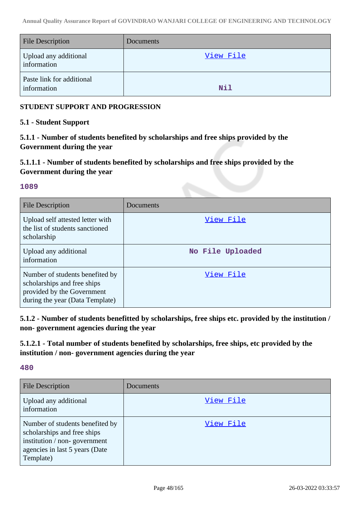| <b>File Description</b>                  | Documents |
|------------------------------------------|-----------|
| Upload any additional<br>information     | View File |
| Paste link for additional<br>information | Nil       |

# **STUDENT SUPPORT AND PROGRESSION**

## **5.1 - Student Support**

**5.1.1 - Number of students benefited by scholarships and free ships provided by the Government during the year**

# **5.1.1.1 - Number of students benefited by scholarships and free ships provided by the Government during the year**

## **1089**

| File Description                                                                                                                | Documents        |
|---------------------------------------------------------------------------------------------------------------------------------|------------------|
| Upload self attested letter with<br>the list of students sanctioned<br>scholarship                                              | View File        |
| Upload any additional<br>information                                                                                            | No File Uploaded |
| Number of students benefited by<br>scholarships and free ships<br>provided by the Government<br>during the year (Data Template) | View File        |

**5.1.2 - Number of students benefitted by scholarships, free ships etc. provided by the institution / non- government agencies during the year**

**5.1.2.1 - Total number of students benefited by scholarships, free ships, etc provided by the institution / non- government agencies during the year**

**480**

| <b>File Description</b>                                                                                                                       | Documents |
|-----------------------------------------------------------------------------------------------------------------------------------------------|-----------|
| Upload any additional<br>information                                                                                                          | View File |
| Number of students benefited by<br>scholarships and free ships<br>institution / non-government<br>agencies in last 5 years (Date<br>Template) | View File |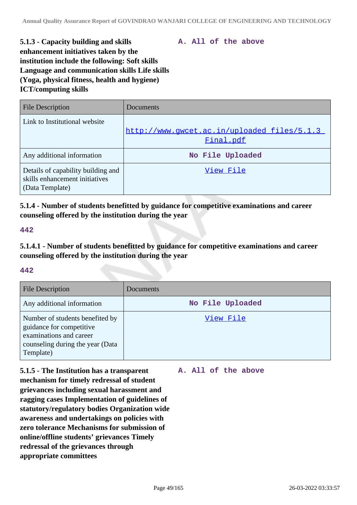**A. All of the above**

# **5.1.3 - Capacity building and skills enhancement initiatives taken by the institution include the following: Soft skills Language and communication skills Life skills (Yoga, physical fitness, health and hygiene) ICT/computing skills**

| <b>File Description</b>                                                                 | Documents                                                 |
|-----------------------------------------------------------------------------------------|-----------------------------------------------------------|
| Link to Institutional website                                                           | http://www.gwcet.ac.in/uploaded_files/5.1.3_<br>Final.pdf |
| Any additional information                                                              | No File Uploaded                                          |
| Details of capability building and<br>skills enhancement initiatives<br>(Data Template) | View File                                                 |

**5.1.4 - Number of students benefitted by guidance for competitive examinations and career counseling offered by the institution during the year**

### **442**

**5.1.4.1 - Number of students benefitted by guidance for competitive examinations and career counseling offered by the institution during the year**

### **442**

| <b>File Description</b>                                                                                                                 | Documents        |
|-----------------------------------------------------------------------------------------------------------------------------------------|------------------|
| Any additional information                                                                                                              | No File Uploaded |
| Number of students benefited by<br>guidance for competitive<br>examinations and career<br>counseling during the year (Data<br>Template) | View File        |

**5.1.5 - The Institution has a transparent mechanism for timely redressal of student grievances including sexual harassment and ragging cases Implementation of guidelines of statutory/regulatory bodies Organization wide awareness and undertakings on policies with zero tolerance Mechanisms for submission of online/offline students' grievances Timely redressal of the grievances through appropriate committees**

### **A. All of the above**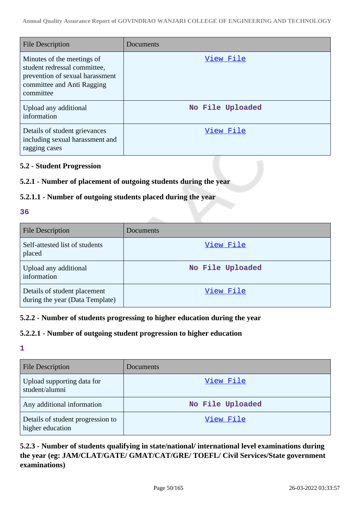| <b>File Description</b>                                                                                                                  | Documents        |
|------------------------------------------------------------------------------------------------------------------------------------------|------------------|
| Minutes of the meetings of<br>student redressal committee,<br>prevention of sexual harassment<br>committee and Anti Ragging<br>committee | View File        |
| Upload any additional<br>information                                                                                                     | No File Uploaded |
| Details of student grievances<br>including sexual harassment and<br>ragging cases                                                        | View File        |

## **5.2 - Student Progression**

# **5.2.1 - Number of placement of outgoing students during the year**

# **5.2.1.1 - Number of outgoing students placed during the year**

#### **36**

| <b>File Description</b>                                         | Documents        |
|-----------------------------------------------------------------|------------------|
| Self-attested list of students<br>placed                        | View File        |
| Upload any additional<br>information                            | No File Uploaded |
| Details of student placement<br>during the year (Data Template) | View File        |

# **5.2.2 - Number of students progressing to higher education during the year**

# **5.2.2.1 - Number of outgoing student progression to higher education**

# **1**

| <b>File Description</b>                               | Documents        |
|-------------------------------------------------------|------------------|
| Upload supporting data for<br>student/alumni          | View File        |
| Any additional information                            | No File Uploaded |
| Details of student progression to<br>higher education | View File        |

# **5.2.3 - Number of students qualifying in state/national/ international level examinations during the year (eg: JAM/CLAT/GATE/ GMAT/CAT/GRE/ TOEFL/ Civil Services/State government examinations)**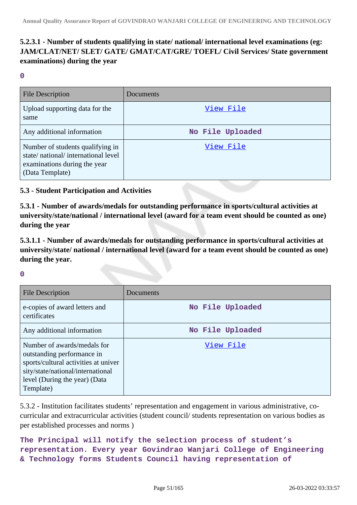# **5.2.3.1 - Number of students qualifying in state/ national/ international level examinations (eg: JAM/CLAT/NET/ SLET/ GATE/ GMAT/CAT/GRE/ TOEFL/ Civil Services/ State government examinations) during the year**

**0**

| <b>File Description</b>                                                                                                   | Documents        |
|---------------------------------------------------------------------------------------------------------------------------|------------------|
| Upload supporting data for the<br>same                                                                                    | View File        |
| Any additional information                                                                                                | No File Uploaded |
| Number of students qualifying in<br>state/national/international level<br>examinations during the year<br>(Data Template) | View File        |

# **5.3 - Student Participation and Activities**

**5.3.1 - Number of awards/medals for outstanding performance in sports/cultural activities at university/state/national / international level (award for a team event should be counted as one) during the year**

**5.3.1.1 - Number of awards/medals for outstanding performance in sports/cultural activities at university/state/ national / international level (award for a team event should be counted as one) during the year.**

**0**

| <b>File Description</b>                                                                                                                                                              | Documents        |
|--------------------------------------------------------------------------------------------------------------------------------------------------------------------------------------|------------------|
| e-copies of award letters and<br>certificates                                                                                                                                        | No File Uploaded |
| Any additional information                                                                                                                                                           | No File Uploaded |
| Number of awards/medals for<br>outstanding performance in<br>sports/cultural activities at univer<br>sity/state/national/international<br>level (During the year) (Data<br>Template) | View File        |

5.3.2 - Institution facilitates students' representation and engagement in various administrative, cocurricular and extracurricular activities (student council/ students representation on various bodies as per established processes and norms )

```
The Principal will notify the selection process of student's
representation. Every year Govindrao Wanjari College of Engineering
& Technology forms Students Council having representation of
```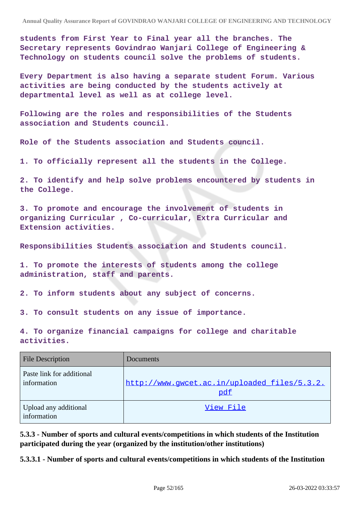**students from First Year to Final year all the branches. The Secretary represents Govindrao Wanjari College of Engineering & Technology on students council solve the problems of students.**

**Every Department is also having a separate student Forum. Various activities are being conducted by the students actively at departmental level as well as at college level.**

**Following are the roles and responsibilities of the Students association and Students council.**

**Role of the Students association and Students council.**

**1. To officially represent all the students in the College.**

**2. To identify and help solve problems encountered by students in the College.**

**3. To promote and encourage the involvement of students in organizing Curricular , Co-curricular, Extra Curricular and Extension activities.**

**Responsibilities Students association and Students council.**

**1. To promote the interests of students among the college administration, staff and parents.**

**2. To inform students about any subject of concerns.**

**3. To consult students on any issue of importance.**

**4. To organize financial campaigns for college and charitable activities.**

| <b>File Description</b>                  | <b>Documents</b>                                    |
|------------------------------------------|-----------------------------------------------------|
| Paste link for additional<br>information | http://www.qwcet.ac.in/uploaded files/5.3.2.<br>pdf |
| Upload any additional<br>information     | View File                                           |

**5.3.3 - Number of sports and cultural events/competitions in which students of the Institution participated during the year (organized by the institution/other institutions)**

**5.3.3.1 - Number of sports and cultural events/competitions in which students of the Institution**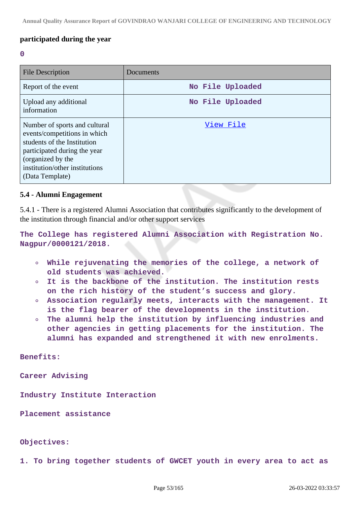## **participated during the year**

#### **0**

| <b>File Description</b>                                                                                                                                                                                | Documents        |
|--------------------------------------------------------------------------------------------------------------------------------------------------------------------------------------------------------|------------------|
| Report of the event                                                                                                                                                                                    | No File Uploaded |
| Upload any additional<br>information                                                                                                                                                                   | No File Uploaded |
| Number of sports and cultural<br>events/competitions in which<br>students of the Institution<br>participated during the year<br>(organized by the<br>institution/other institutions<br>(Data Template) | View File        |

#### **5.4 - Alumni Engagement**

5.4.1 - There is a registered Alumni Association that contributes significantly to the development of the institution through financial and/or other support services

**The College has registered Alumni Association with Registration No. Nagpur/0000121/2018.**

- **While rejuvenating the memories of the college, a network of old students was achieved.**
- **It is the backbone of the institution. The institution rests on the rich history of the student's success and glory.**
- **Association regularly meets, interacts with the management. It**  $\Omega$ **is the flag bearer of the developments in the institution.**
- **The alumni help the institution by influencing industries and**  $\circ$ **other agencies in getting placements for the institution. The alumni has expanded and strengthened it with new enrolments.**

**Benefits:**

**Career Advising**

**Industry Institute Interaction**

**Placement assistance**

#### **Objectives:**

**1. To bring together students of GWCET youth in every area to act as**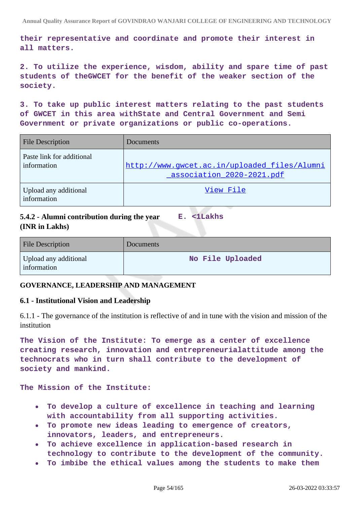**their representative and coordinate and promote their interest in all matters.**

**2. To utilize the experience, wisdom, ability and spare time of past students of theGWCET for the benefit of the weaker section of the society.**

**3. To take up public interest matters relating to the past students of GWCET in this area withState and Central Government and Semi Government or private organizations or public co-operations.**

| <b>File Description</b>                  | Documents                                                                 |
|------------------------------------------|---------------------------------------------------------------------------|
| Paste link for additional<br>information | http://www.gwcet.ac.in/uploaded_files/Alumni<br>association 2020-2021.pdf |
| Upload any additional<br>information     | View File                                                                 |

#### **5.4.2 - Alumni contribution during the year (INR in Lakhs) E. <1Lakhs**

| <b>File Description</b>              | <b>Documents</b> |
|--------------------------------------|------------------|
| Upload any additional<br>information | No File Uploaded |

# **GOVERNANCE, LEADERSHIP AND MANAGEMENT**

### **6.1 - Institutional Vision and Leadership**

6.1.1 - The governance of the institution is reflective of and in tune with the vision and mission of the institution

**The Vision of the Institute: To emerge as a center of excellence creating research, innovation and entrepreneurialattitude among the technocrats who in turn shall contribute to the development of society and mankind.**

**The Mission of the Institute:**

- **To develop a culture of excellence in teaching and learning**  $\bullet$ **with accountability from all supporting activities.**
- **To promote new ideas leading to emergence of creators, innovators, leaders, and entrepreneurs.**
- **To achieve excellence in application-based research in technology to contribute to the development of the community.**
- **To imbibe the ethical values among the students to make them**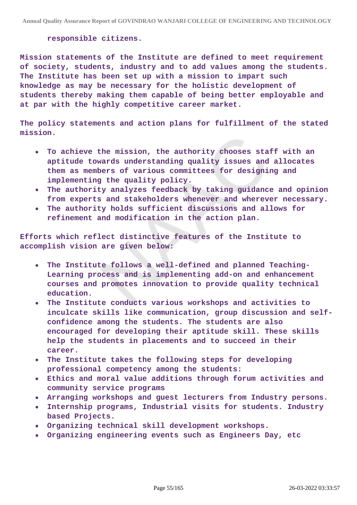#### **responsible citizens.**

**Mission statements of the Institute are defined to meet requirement of society, students, industry and to add values among the students. The Institute has been set up with a mission to impart such knowledge as may be necessary for the holistic development of students thereby making them capable of being better employable and at par with the highly competitive career market.**

**The policy statements and action plans for fulfillment of the stated mission.**

- **To achieve the mission, the authority chooses staff with an**  $\bullet$ **aptitude towards understanding quality issues and allocates them as members of various committees for designing and implementing the quality policy.**
- **The authority analyzes feedback by taking guidance and opinion**  $\bullet$ **from experts and stakeholders whenever and wherever necessary.**
- **The authority holds sufficient discussions and allows for refinement and modification in the action plan.**

**Efforts which reflect distinctive features of the Institute to accomplish vision are given below:**

- **The Institute follows a well-defined and planned Teaching-** $\bullet$ **Learning process and is implementing add-on and enhancement courses and promotes innovation to provide quality technical education.**
- **The Institute conducts various workshops and activities to inculcate skills like communication, group discussion and selfconfidence among the students. The students are also encouraged for developing their aptitude skill. These skills help the students in placements and to succeed in their career.**
- **The Institute takes the following steps for developing**  $\bullet$ **professional competency among the students:**
- **Ethics and moral value additions through forum activities and community service programs**
- **Arranging workshops and guest lecturers from Industry persons.**  $\bullet$
- **Internship programs, Industrial visits for students. Industry based Projects.**
- **Organizing technical skill development workshops.**
- **Organizing engineering events such as Engineers Day, etc**  $\bullet$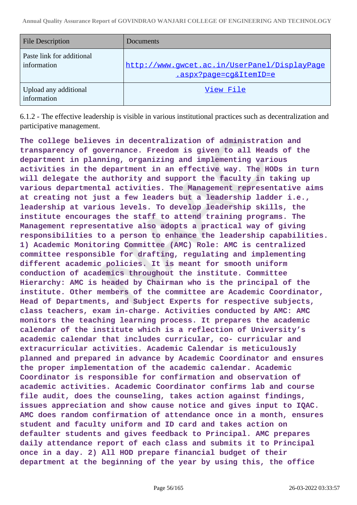| <b>File Description</b>                  | Documents                                                              |
|------------------------------------------|------------------------------------------------------------------------|
| Paste link for additional<br>information | http://www.gwcet.ac.in/UserPanel/DisplayPage<br>.aspx?page=cg&ItemID=e |
| Upload any additional<br>information     | View File                                                              |

6.1.2 - The effective leadership is visible in various institutional practices such as decentralization and participative management.

**The college believes in decentralization of administration and transparency of governance. Freedom is given to all Heads of the department in planning, organizing and implementing various activities in the department in an effective way. The HODs in turn will delegate the authority and support the faculty in taking up various departmental activities. The Management representative aims at creating not just a few leaders but a leadership ladder i.e., leadership at various levels. To develop leadership skills, the institute encourages the staff to attend training programs. The Management representative also adopts a practical way of giving responsibilities to a person to enhance the leadership capabilities. 1) Academic Monitoring Committee (AMC) Role: AMC is centralized committee responsible for drafting, regulating and implementing different academic policies. It is meant for smooth uniform conduction of academics throughout the institute. Committee Hierarchy: AMC is headed by Chairman who is the principal of the institute. Other members of the committee are Academic Coordinator, Head of Departments, and Subject Experts for respective subjects, class teachers, exam in-charge. Activities conducted by AMC: AMC monitors the teaching learning process. It prepares the academic calendar of the institute which is a reflection of University's academic calendar that includes curricular, co- curricular and extracurricular activities. Academic Calendar is meticulously planned and prepared in advance by Academic Coordinator and ensures the proper implementation of the academic calendar. Academic Coordinator is responsible for confirmation and observation of academic activities. Academic Coordinator confirms lab and course file audit, does the counseling, takes action against findings, issues appreciation and show cause notice and gives input to IQAC. AMC does random confirmation of attendance once in a month, ensures student and faculty uniform and ID card and takes action on defaulter students and gives feedback to Principal. AMC prepares daily attendance report of each class and submits it to Principal once in a day. 2) All HOD prepare financial budget of their department at the beginning of the year by using this, the office**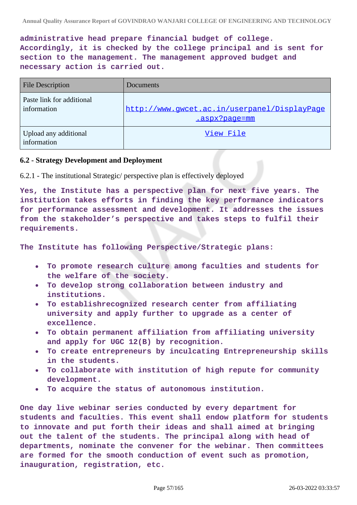**administrative head prepare financial budget of college. Accordingly, it is checked by the college principal and is sent for section to the management. The management approved budget and necessary action is carried out.**

| <b>File Description</b>                  | Documents                                                     |
|------------------------------------------|---------------------------------------------------------------|
| Paste link for additional<br>information | http://www.qwcet.ac.in/userpanel/DisplayPaqe<br>.aspx?page=mm |
| Upload any additional<br>information     | View File                                                     |

### **6.2 - Strategy Development and Deployment**

6.2.1 - The institutional Strategic/ perspective plan is effectively deployed

**Yes, the Institute has a perspective plan for next five years. The institution takes efforts in finding the key performance indicators for performance assessment and development. It addresses the issues from the stakeholder's perspective and takes steps to fulfil their requirements.**

**The Institute has following Perspective/Strategic plans:**

- **To promote research culture among faculties and students for**  $\bullet$ **the welfare of the society.**
- **To develop strong collaboration between industry and institutions.**
- **To establishrecognized research center from affiliating university and apply further to upgrade as a center of excellence.**
- **To obtain permanent affiliation from affiliating university and apply for UGC 12(B) by recognition.**
- **To create entrepreneurs by inculcating Entrepreneurship skills in the students.**
- **To collaborate with institution of high repute for community development.**
- **To acquire the status of autonomous institution.**

**One day live webinar series conducted by every department for students and faculties. This event shall endow platform for students to innovate and put forth their ideas and shall aimed at bringing out the talent of the students. The principal along with head of departments, nominate the convener for the webinar. Then committees are formed for the smooth conduction of event such as promotion, inauguration, registration, etc.**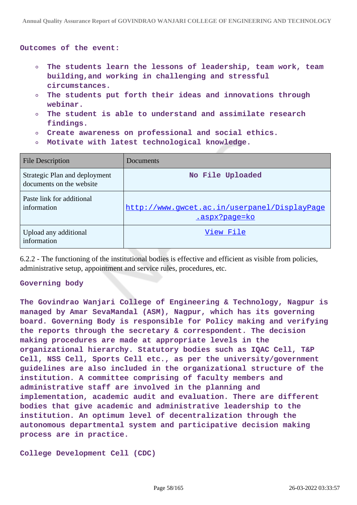**Outcomes of the event:**

- **The students learn the lessons of leadership, team work, team building,and working in challenging and stressful circumstances.**
- **The students put forth their ideas and innovations through**  $\circ$ **webinar.**
- **The student is able to understand and assimilate research**  $\circ$ **findings.**
- **Create awareness on professional and social ethics.**
- **Motivate with latest technological knowledge.**

| <b>File Description</b>                                   | Documents                                                            |
|-----------------------------------------------------------|----------------------------------------------------------------------|
| Strategic Plan and deployment<br>documents on the website | No File Uploaded                                                     |
| Paste link for additional<br>information                  | http://www.qwcet.ac.in/userpanel/DisplayPaqe<br><u>.aspx?page=ko</u> |
| Upload any additional<br>information                      | View File                                                            |

6.2.2 - The functioning of the institutional bodies is effective and efficient as visible from policies, administrative setup, appointment and service rules, procedures, etc.

#### **Governing body**

**The Govindrao Wanjari College of Engineering & Technology, Nagpur is managed by Amar SevaMandal (ASM), Nagpur, which has its governing board. Governing Body is responsible for Policy making and verifying the reports through the secretary & correspondent. The decision making procedures are made at appropriate levels in the organizational hierarchy. Statutory bodies such as IQAC Cell, T&P Cell, NSS Cell, Sports Cell etc., as per the university/government guidelines are also included in the organizational structure of the institution. A committee comprising of faculty members and administrative staff are involved in the planning and implementation, academic audit and evaluation. There are different bodies that give academic and administrative leadership to the institution. An optimum level of decentralization through the autonomous departmental system and participative decision making process are in practice.**

**College Development Cell (CDC)**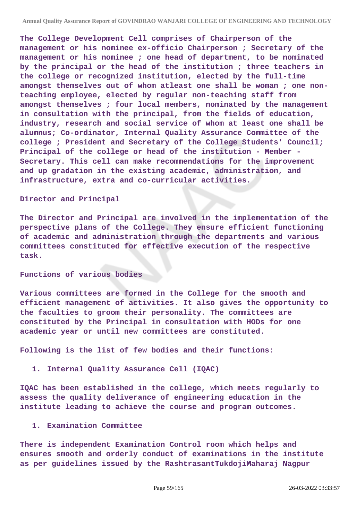**The College Development Cell comprises of Chairperson of the management or his nominee ex-officio Chairperson ; Secretary of the management or his nominee ; one head of department, to be nominated by the principal or the head of the institution ; three teachers in the college or recognized institution, elected by the full-time amongst themselves out of whom atleast one shall be woman ; one nonteaching employee, elected by regular non-teaching staff from amongst themselves ; four local members, nominated by the management in consultation with the principal, from the fields of education, industry, research and social service of whom at least one shall be alumnus; Co-ordinator, Internal Quality Assurance Committee of the college ; President and Secretary of the College Students' Council; Principal of the college or head of the institution - Member - Secretary. This cell can make recommendations for the improvement and up gradation in the existing academic, administration, and infrastructure, extra and co-curricular activities.**

#### **Director and Principal**

**The Director and Principal are involved in the implementation of the perspective plans of the College. They ensure efficient functioning of academic and administration through the departments and various committees constituted for effective execution of the respective task.**

#### **Functions of various bodies**

**Various committees are formed in the College for the smooth and efficient management of activities. It also gives the opportunity to the faculties to groom their personality. The committees are constituted by the Principal in consultation with HODs for one academic year or until new committees are constituted.**

**Following is the list of few bodies and their functions:**

#### **1. Internal Quality Assurance Cell (IQAC)**

**IQAC has been established in the college, which meets regularly to assess the quality deliverance of engineering education in the institute leading to achieve the course and program outcomes.**

#### **1. Examination Committee**

**There is independent Examination Control room which helps and ensures smooth and orderly conduct of examinations in the institute as per guidelines issued by the RashtrasantTukdojiMaharaj Nagpur**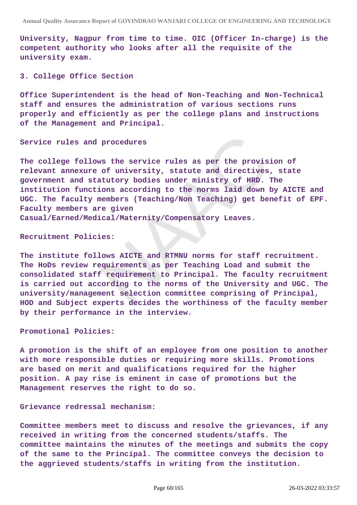**University, Nagpur from time to time. OIC (Officer In-charge) is the competent authority who looks after all the requisite of the university exam.**

#### **3. College Office Section**

**Office Superintendent is the head of Non-Teaching and Non-Technical staff and ensures the administration of various sections runs properly and efficiently as per the college plans and instructions of the Management and Principal.**

#### **Service rules and procedures**

**The college follows the service rules as per the provision of relevant annexure of university, statute and directives, state government and statutory bodies under ministry of HRD. The institution functions according to the norms laid down by AICTE and UGC. The faculty members (Teaching/Non Teaching) get benefit of EPF. Faculty members are given Casual/Earned/Medical/Maternity/Compensatory Leaves.**

#### **Recruitment Policies:**

**The institute follows AICTE and RTMNU norms for staff recruitment. The HoDs review requirements as per Teaching Load and submit the consolidated staff requirement to Principal. The faculty recruitment is carried out according to the norms of the University and UGC. The university/management selection committee comprising of Principal, HOD and Subject experts decides the worthiness of the faculty member by their performance in the interview.**

#### **Promotional Policies:**

**A promotion is the shift of an employee from one position to another with more responsible duties or requiring more skills. Promotions are based on merit and qualifications required for the higher position. A pay rise is eminent in case of promotions but the Management reserves the right to do so.**

#### **Grievance redressal mechanism:**

**Committee members meet to discuss and resolve the grievances, if any received in writing from the concerned students/staffs. The committee maintains the minutes of the meetings and submits the copy of the same to the Principal. The committee conveys the decision to the aggrieved students/staffs in writing from the institution.**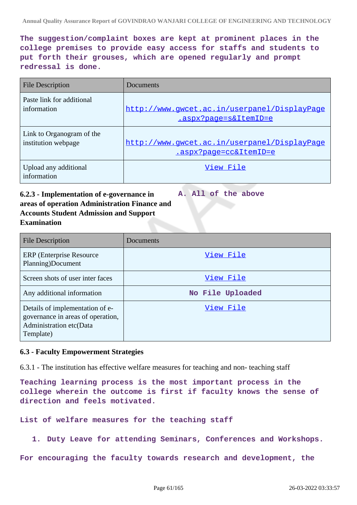**The suggestion/complaint boxes are kept at prominent places in the college premises to provide easy access for staffs and students to put forth their grouses, which are opened regularly and prompt redressal is done.**

| <b>File Description</b>              | Documents                                    |
|--------------------------------------|----------------------------------------------|
| Paste link for additional            | http://www.gwcet.ac.in/userpanel/DisplayPage |
| information                          | .aspx?page=s&ItemID=e                        |
| Link to Organogram of the            | http://www.qwcet.ac.in/userpanel/DisplayPaqe |
| institution webpage                  | .aspx?page=cc&ItemID=e                       |
| Upload any additional<br>information | View File                                    |

### **6.2.3 - Implementation of e-governance in areas of operation Administration Finance and Accounts Student Admission and Support Examination A. All of the above**

| <b>File Description</b>                                                                                      | Documents        |
|--------------------------------------------------------------------------------------------------------------|------------------|
| <b>ERP</b> (Enterprise Resource)<br>Planning)Document                                                        | View File        |
| Screen shots of user inter faces                                                                             | View File        |
| Any additional information                                                                                   | No File Uploaded |
| Details of implementation of e-<br>governance in areas of operation,<br>Administration etc(Data<br>Template) | View File        |

# **6.3 - Faculty Empowerment Strategies**

6.3.1 - The institution has effective welfare measures for teaching and non- teaching staff

**Teaching learning process is the most important process in the college wherein the outcome is first if faculty knows the sense of direction and feels motivated.**

**List of welfare measures for the teaching staff**

**1. Duty Leave for attending Seminars, Conferences and Workshops.**

**For encouraging the faculty towards research and development, the**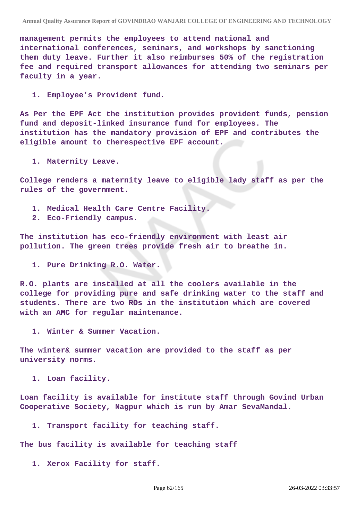**management permits the employees to attend national and international conferences, seminars, and workshops by sanctioning them duty leave. Further it also reimburses 50% of the registration fee and required transport allowances for attending two seminars per faculty in a year.**

**1. Employee's Provident fund.**

**As Per the EPF Act the institution provides provident funds, pension fund and deposit-linked insurance fund for employees. The institution has the mandatory provision of EPF and contributes the eligible amount to therespective EPF account.**

**1. Maternity Leave.**

**College renders a maternity leave to eligible lady staff as per the rules of the government.**

- **1. Medical Health Care Centre Facility.**
- **2. Eco-Friendly campus.**

**The institution has eco-friendly environment with least air pollution. The green trees provide fresh air to breathe in.**

**1. Pure Drinking R.O. Water.**

**R.O. plants are installed at all the coolers available in the college for providing pure and safe drinking water to the staff and students. There are two ROs in the institution which are covered with an AMC for regular maintenance.**

**1. Winter & Summer Vacation.**

**The winter& summer vacation are provided to the staff as per university norms.**

**1. Loan facility.**

**Loan facility is available for institute staff through Govind Urban Cooperative Society, Nagpur which is run by Amar SevaMandal.**

**1. Transport facility for teaching staff.**

**The bus facility is available for teaching staff**

**1. Xerox Facility for staff.**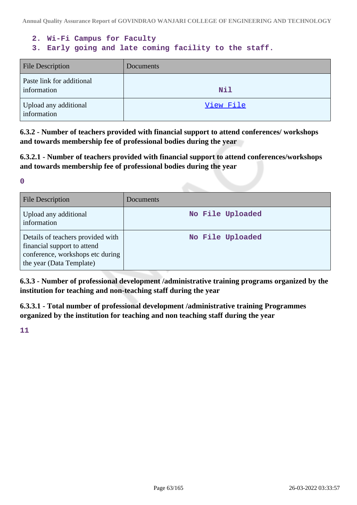## **2. Wi-Fi Campus for Faculty**

# **3. Early going and late coming facility to the staff.**

| <b>File Description</b>                  | <b>Documents</b> |
|------------------------------------------|------------------|
| Paste link for additional<br>information | <b>Nil</b>       |
| Upload any additional<br>information     | View File        |

**6.3.2 - Number of teachers provided with financial support to attend conferences/ workshops and towards membership fee of professional bodies during the year**

**6.3.2.1 - Number of teachers provided with financial support to attend conferences/workshops and towards membership fee of professional bodies during the year**

**0**

| <b>File Description</b>                                                                                                          | <b>Documents</b> |
|----------------------------------------------------------------------------------------------------------------------------------|------------------|
| Upload any additional<br>information                                                                                             | No File Uploaded |
| Details of teachers provided with<br>financial support to attend<br>conference, workshops etc during<br>the year (Data Template) | No File Uploaded |

**6.3.3 - Number of professional development /administrative training programs organized by the institution for teaching and non-teaching staff during the year**

**6.3.3.1 - Total number of professional development /administrative training Programmes organized by the institution for teaching and non teaching staff during the year**

**11**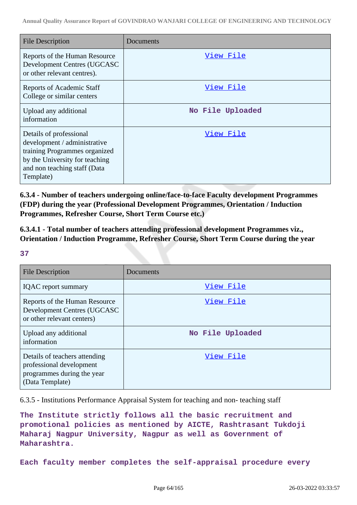| <b>File Description</b>                                                                                                                                                 | Documents        |
|-------------------------------------------------------------------------------------------------------------------------------------------------------------------------|------------------|
| Reports of the Human Resource<br>Development Centres (UGCASC<br>or other relevant centres).                                                                             | View File        |
| <b>Reports of Academic Staff</b><br>College or similar centers                                                                                                          | View File        |
| Upload any additional<br>information                                                                                                                                    | No File Uploaded |
| Details of professional<br>development / administrative<br>training Programmes organized<br>by the University for teaching<br>and non teaching staff (Data<br>Template) | View File        |

**6.3.4 - Number of teachers undergoing online/face-to-face Faculty development Programmes (FDP) during the year (Professional Development Programmes, Orientation / Induction Programmes, Refresher Course, Short Term Course etc.)**

**6.3.4.1 - Total number of teachers attending professional development Programmes viz., Orientation / Induction Programme, Refresher Course, Short Term Course during the year**

**37**

| <b>File Description</b>                                                                                    | Documents        |
|------------------------------------------------------------------------------------------------------------|------------------|
| <b>IQAC</b> report summary                                                                                 | View File        |
| Reports of the Human Resource<br>Development Centres (UGCASC<br>or other relevant centers)                 | View File        |
| Upload any additional<br>information                                                                       | No File Uploaded |
| Details of teachers attending<br>professional development<br>programmes during the year<br>(Data Template) | View File        |

6.3.5 - Institutions Performance Appraisal System for teaching and non- teaching staff

**The Institute strictly follows all the basic recruitment and promotional policies as mentioned by AICTE, Rashtrasant Tukdoji Maharaj Nagpur University, Nagpur as well as Government of Maharashtra.**

**Each faculty member completes the self-appraisal procedure every**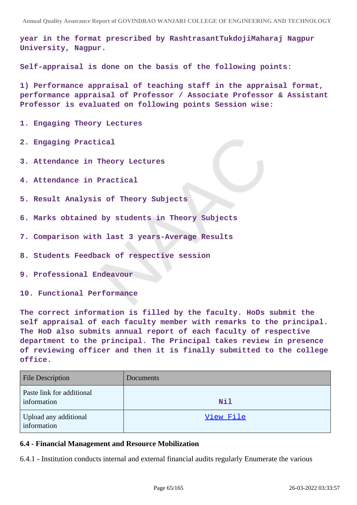**year in the format prescribed by RashtrasantTukdojiMaharaj Nagpur University, Nagpur.**

**Self-appraisal is done on the basis of the following points:**

**1) Performance appraisal of teaching staff in the appraisal format, performance appraisal of Professor / Associate Professor & Assistant Professor is evaluated on following points Session wise:**

**1. Engaging Theory Lectures**

**2. Engaging Practical**

- **3. Attendance in Theory Lectures**
- **4. Attendance in Practical**
- **5. Result Analysis of Theory Subjects**
- **6. Marks obtained by students in Theory Subjects**
- **7. Comparison with last 3 years-Average Results**
- **8. Students Feedback of respective session**
- **9. Professional Endeavour**
- **10. Functional Performance**

**The correct information is filled by the faculty. HoDs submit the self appraisal of each faculty member with remarks to the principal. The HoD also submits annual report of each faculty of respective department to the principal. The Principal takes review in presence of reviewing officer and then it is finally submitted to the college office.**

| <b>File Description</b>                  | Documents  |
|------------------------------------------|------------|
| Paste link for additional<br>information | <b>Nil</b> |
| Upload any additional<br>information     | View File  |

### **6.4 - Financial Management and Resource Mobilization**

6.4.1 - Institution conducts internal and external financial audits regularly Enumerate the various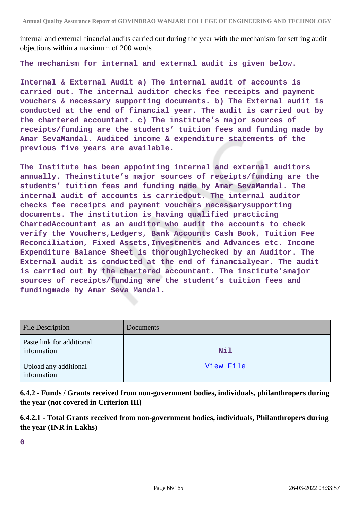internal and external financial audits carried out during the year with the mechanism for settling audit objections within a maximum of 200 words

**The mechanism for internal and external audit is given below.**

**Internal & External Audit a) The internal audit of accounts is carried out. The internal auditor checks fee receipts and payment vouchers & necessary supporting documents. b) The External audit is conducted at the end of financial year. The audit is carried out by the chartered accountant. c) The institute's major sources of receipts/funding are the students' tuition fees and funding made by Amar SevaMandal. Audited income & expenditure statements of the previous five years are available.**

**The Institute has been appointing internal and external auditors annually. Theinstitute's major sources of receipts/funding are the students' tuition fees and funding made by Amar SevaMandal. The internal audit of accounts is carriedout. The internal auditor checks fee receipts and payment vouchers necessarysupporting documents. The institution is having qualified practicing ChartedAccountant as an auditor who audit the accounts to check verify the Vouchers,Ledgers, Bank Accounts Cash Book, Tuition Fee Reconciliation, Fixed Assets,Investments and Advances etc. Income Expenditure Balance Sheet is thoroughlychecked by an Auditor. The External audit is conducted at the end of financialyear. The audit is carried out by the chartered accountant. The institute'smajor sources of receipts/funding are the student's tuition fees and fundingmade by Amar Seva Mandal.**

| <b>File Description</b>                  | <b>Documents</b> |
|------------------------------------------|------------------|
| Paste link for additional<br>information | Nil              |
| Upload any additional<br>information     | View File        |

**6.4.2 - Funds / Grants received from non-government bodies, individuals, philanthropers during the year (not covered in Criterion III)**

**6.4.2.1 - Total Grants received from non-government bodies, individuals, Philanthropers during the year (INR in Lakhs)**

**0**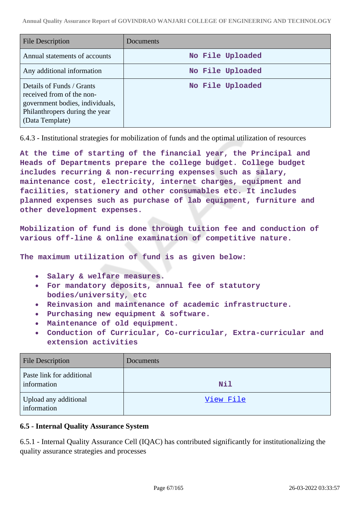| File Description                                                                                                                               | Documents        |
|------------------------------------------------------------------------------------------------------------------------------------------------|------------------|
| Annual statements of accounts                                                                                                                  | No File Uploaded |
| Any additional information                                                                                                                     | No File Uploaded |
| Details of Funds / Grants<br>received from of the non-<br>government bodies, individuals,<br>Philanthropers during the year<br>(Data Template) | No File Uploaded |

6.4.3 - Institutional strategies for mobilization of funds and the optimal utilization of resources

**At the time of starting of the financial year, the Principal and Heads of Departments prepare the college budget. College budget includes recurring & non-recurring expenses such as salary, maintenance cost, electricity, internet charges, equipment and facilities, stationery and other consumables etc. It includes planned expenses such as purchase of lab equipment, furniture and other development expenses.**

**Mobilization of fund is done through tuition fee and conduction of various off-line & online examination of competitive nature.**

**The maximum utilization of fund is as given below:**

- **Salary & welfare measures.**  $\bullet$
- **For mandatory deposits, annual fee of statutory bodies/university, etc**
- **Reinvasion and maintenance of academic infrastructure.**
- **Purchasing new equipment & software.**  $\bullet$
- **Maintenance of old equipment.**
- **Conduction of Curricular, Co-curricular, Extra-curricular and extension activities**

| <b>File Description</b>                  | Documents  |
|------------------------------------------|------------|
| Paste link for additional<br>information | <b>Nil</b> |
| Upload any additional<br>information     | View File  |

# **6.5 - Internal Quality Assurance System**

6.5.1 - Internal Quality Assurance Cell (IQAC) has contributed significantly for institutionalizing the quality assurance strategies and processes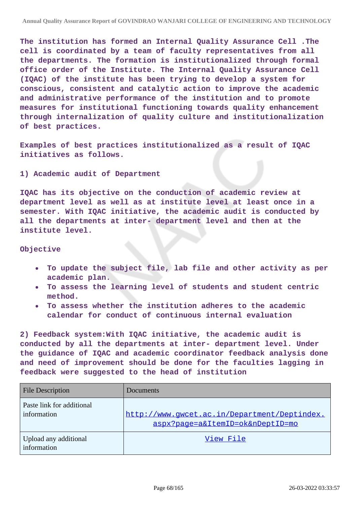**The institution has formed an Internal Quality Assurance Cell .The cell is coordinated by a team of faculty representatives from all the departments. The formation is institutionalized through formal office order of the Institute. The Internal Quality Assurance Cell (IQAC) of the institute has been trying to develop a system for conscious, consistent and catalytic action to improve the academic and administrative performance of the institution and to promote measures for institutional functioning towards quality enhancement through internalization of quality culture and institutionalization of best practices.**

**Examples of best practices institutionalized as a result of IQAC initiatives as follows.**

**1) Academic audit of Department**

**IQAC has its objective on the conduction of academic review at department level as well as at institute level at least once in a semester. With IQAC initiative, the academic audit is conducted by all the departments at inter- department level and then at the institute level.**

**Objective**

- **To update the subject file, lab file and other activity as per academic plan.**
- **To assess the learning level of students and student centric method.**
- **To assess whether the institution adheres to the academic calendar for conduct of continuous internal evaluation**

**2) Feedback system:With IQAC initiative, the academic audit is conducted by all the departments at inter- department level. Under the guidance of IQAC and academic coordinator feedback analysis done and need of improvement should be done for the faculties lagging in feedback were suggested to the head of institution**

| <b>File Description</b>                  | Documents                                                                        |
|------------------------------------------|----------------------------------------------------------------------------------|
| Paste link for additional<br>information | http://www.gwcet.ac.in/Department/Deptindex.<br>aspx?page=a&ItemID=ok&nDeptID=mo |
| Upload any additional<br>information     | View File                                                                        |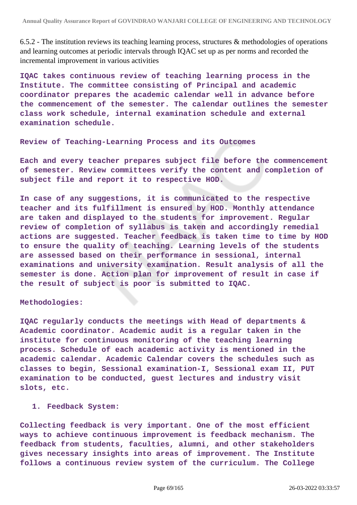6.5.2 - The institution reviews its teaching learning process, structures & methodologies of operations and learning outcomes at periodic intervals through IQAC set up as per norms and recorded the incremental improvement in various activities

**IQAC takes continuous review of teaching learning process in the Institute. The committee consisting of Principal and academic coordinator prepares the academic calendar well in advance before the commencement of the semester. The calendar outlines the semester class work schedule, internal examination schedule and external examination schedule.**

#### **Review of Teaching-Learning Process and its Outcomes**

**Each and every teacher prepares subject file before the commencement of semester. Review committees verify the content and completion of subject file and report it to respective HOD.**

**In case of any suggestions, it is communicated to the respective teacher and its fulfillment is ensured by HOD. Monthly attendance are taken and displayed to the students for improvement. Regular review of completion of syllabus is taken and accordingly remedial actions are suggested. Teacher feedback is taken time to time by HOD to ensure the quality of teaching. Learning levels of the students are assessed based on their performance in sessional, internal examinations and university examination. Result analysis of all the semester is done. Action plan for improvement of result in case if the result of subject is poor is submitted to IQAC.**

#### **Methodologies:**

**IQAC regularly conducts the meetings with Head of departments & Academic coordinator. Academic audit is a regular taken in the institute for continuous monitoring of the teaching learning process. Schedule of each academic activity is mentioned in the academic calendar. Academic Calendar covers the schedules such as classes to begin, Sessional examination-I, Sessional exam II, PUT examination to be conducted, guest lectures and industry visit slots, etc.**

#### **1. Feedback System:**

**Collecting feedback is very important. One of the most efficient ways to achieve continuous improvement is feedback mechanism. The feedback from students, faculties, alumni, and other stakeholders gives necessary insights into areas of improvement. The Institute follows a continuous review system of the curriculum. The College**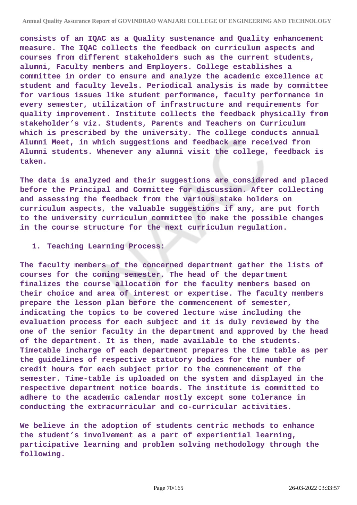**consists of an IQAC as a Quality sustenance and Quality enhancement measure. The IQAC collects the feedback on curriculum aspects and courses from different stakeholders such as the current students, alumni, Faculty members and Employers. College establishes a committee in order to ensure and analyze the academic excellence at student and faculty levels. Periodical analysis is made by committee for various issues like student performance, faculty performance in every semester, utilization of infrastructure and requirements for quality improvement. Institute collects the feedback physically from stakeholder's viz. Students, Parents and Teachers on Curriculum which is prescribed by the university. The college conducts annual Alumni Meet, in which suggestions and feedback are received from Alumni students. Whenever any alumni visit the college, feedback is taken.**

**The data is analyzed and their suggestions are considered and placed before the Principal and Committee for discussion. After collecting and assessing the feedback from the various stake holders on curriculum aspects, the valuable suggestions if any, are put forth to the university curriculum committee to make the possible changes in the course structure for the next curriculum regulation.**

#### **1. Teaching Learning Process:**

**The faculty members of the concerned department gather the lists of courses for the coming semester. The head of the department finalizes the course allocation for the faculty members based on their choice and area of interest or expertise. The faculty members prepare the lesson plan before the commencement of semester, indicating the topics to be covered lecture wise including the evaluation process for each subject and it is duly reviewed by the one of the senior faculty in the department and approved by the head of the department. It is then, made available to the students. Timetable incharge of each department prepares the time table as per the guidelines of respective statutory bodies for the number of credit hours for each subject prior to the commencement of the semester. Time-table is uploaded on the system and displayed in the respective department notice boards. The institute is committed to adhere to the academic calendar mostly except some tolerance in conducting the extracurricular and co-curricular activities.**

**We believe in the adoption of students centric methods to enhance the student's involvement as a part of experiential learning, participative learning and problem solving methodology through the following.**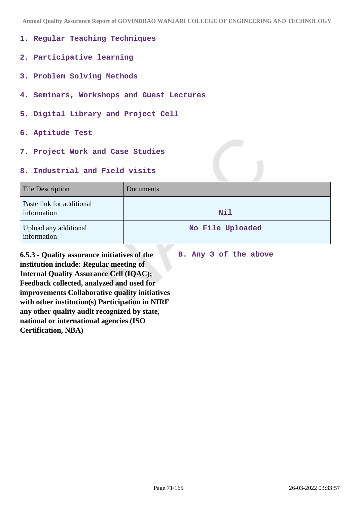**Annual Quality Assurance Report of GOVINDRAO WANJARI COLLEGE OF ENGINEERING AND TECHNOLOGY**

- **1. Regular Teaching Techniques**
- **2. Participative learning**
- **3. Problem Solving Methods**
- **4. Seminars, Workshops and Guest Lectures**
- **5. Digital Library and Project Cell**
- **6. Aptitude Test**
- **7. Project Work and Case Studies**

## **8. Industrial and Field visits**

| <b>File Description</b>                  | Documents        |
|------------------------------------------|------------------|
| Paste link for additional<br>information | Nil              |
| Upload any additional<br>information     | No File Uploaded |

**B. Any 3 of the above**

**6.5.3 - Quality assurance initiatives of the institution include: Regular meeting of Internal Quality Assurance Cell (IQAC); Feedback collected, analyzed and used for improvements Collaborative quality initiatives with other institution(s) Participation in NIRF any other quality audit recognized by state, national or international agencies (ISO Certification, NBA)**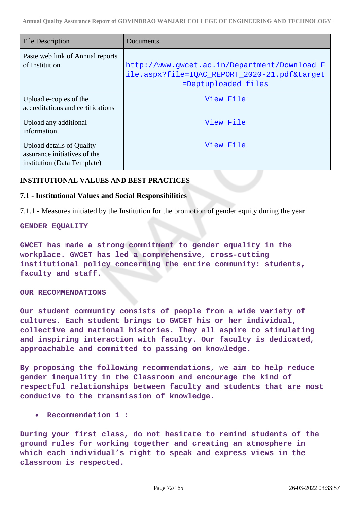| <b>File Description</b>                                                                  | Documents                                                                                                            |
|------------------------------------------------------------------------------------------|----------------------------------------------------------------------------------------------------------------------|
| Paste web link of Annual reports<br>of Institution                                       | http://www.qwcet.ac.in/Department/Download F<br>ile.aspx?file=IOAC REPORT 2020-21.pdf⌖<br><u>=Deptuploaded files</u> |
| Upload e-copies of the<br>accreditations and certifications                              | View File                                                                                                            |
| Upload any additional<br>information                                                     | View File                                                                                                            |
| Upload details of Quality<br>assurance initiatives of the<br>institution (Data Template) | View File                                                                                                            |

### **INSTITUTIONAL VALUES AND BEST PRACTICES**

#### **7.1 - Institutional Values and Social Responsibilities**

7.1.1 - Measures initiated by the Institution for the promotion of gender equity during the year

#### **GENDER EQUALITY**

**GWCET has made a strong commitment to gender equality in the workplace. GWCET has led a comprehensive, cross-cutting institutional policy concerning the entire community: students, faculty and staff.**

#### **OUR RECOMMENDATIONS**

**Our student community consists of people from a wide variety of cultures. Each student brings to GWCET his or her individual, collective and national histories. They all aspire to stimulating and inspiring interaction with faculty. Our faculty is dedicated, approachable and committed to passing on knowledge.**

**By proposing the following recommendations, we aim to help reduce gender inequality in the Classroom and encourage the kind of respectful relationships between faculty and students that are most conducive to the transmission of knowledge.**

**Recommendation 1 :**

**During your first class, do not hesitate to remind students of the ground rules for working together and creating an atmosphere in which each individual's right to speak and express views in the classroom is respected.**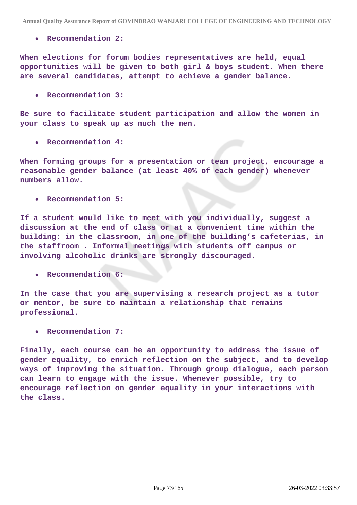**Recommendation 2:**

**When elections for forum bodies representatives are held, equal opportunities will be given to both girl & boys student. When there are several candidates, attempt to achieve a gender balance.**

**Recommendation 3:**  $\bullet$ 

**Be sure to facilitate student participation and allow the women in your class to speak up as much the men.**

**Recommendation 4:**

**When forming groups for a presentation or team project, encourage a reasonable gender balance (at least 40% of each gender) whenever numbers allow.**

**Recommendation 5:**

**If a student would like to meet with you individually, suggest a discussion at the end of class or at a convenient time within the building: in the classroom, in one of the building's cafeterias, in the staffroom . Informal meetings with students off campus or involving alcoholic drinks are strongly discouraged.**

**Recommendation 6:**

**In the case that you are supervising a research project as a tutor or mentor, be sure to maintain a relationship that remains professional.**

**Recommendation 7:**

**Finally, each course can be an opportunity to address the issue of gender equality, to enrich reflection on the subject, and to develop ways of improving the situation. Through group dialogue, each person can learn to engage with the issue. Whenever possible, try to encourage reflection on gender equality in your interactions with the class.**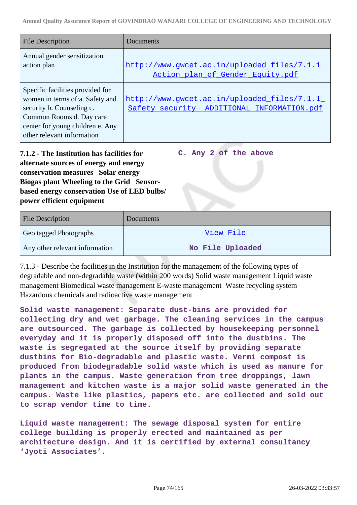| <b>File Description</b>                                                                                                                                                                        | Documents                                                                                 |
|------------------------------------------------------------------------------------------------------------------------------------------------------------------------------------------------|-------------------------------------------------------------------------------------------|
| Annual gender sensitization<br>action plan                                                                                                                                                     | http://www.qwcet.ac.in/uploaded files/7.1.1<br>Action plan of Gender Equity.pdf           |
| Specific facilities provided for<br>women in terms of:a. Safety and<br>security b. Counseling c.<br>Common Rooms d. Day care<br>center for young children e. Any<br>other relevant information | http://www.gwcet.ac.in/uploaded_files/7.1.1<br>Safety security ADDITIONAL INFORMATION.pdf |

**7.1.2 - The Institution has facilities for alternate sources of energy and energy conservation measures Solar energy Biogas plant Wheeling to the Grid Sensorbased energy conservation Use of LED bulbs/ power efficient equipment** 

**C. Any 2 of the above**

| <b>File Description</b>        | Documents        |
|--------------------------------|------------------|
| Geo tagged Photographs         | View File        |
| Any other relevant information | No File Uploaded |

7.1.3 - Describe the facilities in the Institution for the management of the following types of degradable and non-degradable waste (within 200 words) Solid waste management Liquid waste management Biomedical waste management E-waste management Waste recycling system Hazardous chemicals and radioactive waste management

**Solid waste management: Separate dust-bins are provided for collecting dry and wet garbage. The cleaning services in the campus are outsourced. The garbage is collected by housekeeping personnel everyday and it is properly disposed off into the dustbins. The waste is segregated at the source itself by providing separate dustbins for Bio-degradable and plastic waste. Vermi compost is produced from biodegradable solid waste which is used as manure for plants in the campus. Waste generation from tree droppings, lawn management and kitchen waste is a major solid waste generated in the campus. Waste like plastics, papers etc. are collected and sold out to scrap vendor time to time.**

**Liquid waste management: The sewage disposal system for entire college building is properly erected and maintained as per architecture design. And it is certified by external consultancy 'Jyoti Associates'.**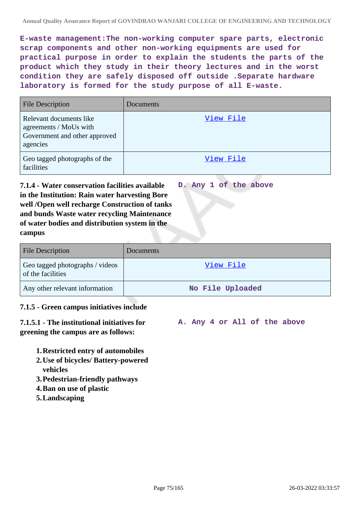**E-waste management:The non-working computer spare parts, electronic scrap components and other non-working equipments are used for practical purpose in order to explain the students the parts of the product which they study in their theory lectures and in the worst condition they are safely disposed off outside .Separate hardware laboratory is formed for the study purpose of all E-waste.**

| <b>File Description</b>                                                                        | Documents |
|------------------------------------------------------------------------------------------------|-----------|
| Relevant documents like<br>agreements / MoUs with<br>Government and other approved<br>agencies | View File |
| Geo tagged photographs of the<br>facilities                                                    | View File |

**7.1.4 - Water conservation facilities available in the Institution: Rain water harvesting Bore well /Open well recharge Construction of tanks and bunds Waste water recycling Maintenance of water bodies and distribution system in the campus D. Any 1 of the above**

| <b>File Description</b>                              | Documents        |
|------------------------------------------------------|------------------|
| Geo tagged photographs / videos<br>of the facilities | View File        |
| Any other relevant information                       | No File Uploaded |

## **7.1.5 - Green campus initiatives include**

**7.1.5.1 - The institutional initiatives for greening the campus are as follows:**

**A. Any 4 or All of the above**

- **1.Restricted entry of automobiles**
- **2.Use of bicycles/ Battery-powered vehicles**
- **3.Pedestrian-friendly pathways**
- **4.Ban on use of plastic**
- **5.Landscaping**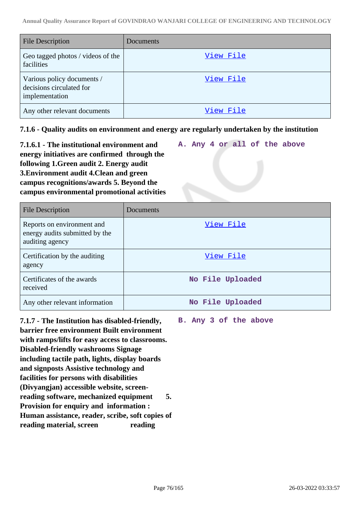| <b>File Description</b>                                                  | Documents |
|--------------------------------------------------------------------------|-----------|
| Geo tagged photos / videos of the<br>facilities                          | View File |
| Various policy documents /<br>decisions circulated for<br>implementation | View File |
| Any other relevant documents                                             | View File |

**7.1.6 - Quality audits on environment and energy are regularly undertaken by the institution**

| 7.1.6.1 - The institutional environment and  |  |  |  | A. Any 4 or all of the above |  |
|----------------------------------------------|--|--|--|------------------------------|--|
| energy initiatives are confirmed through the |  |  |  |                              |  |
| following 1. Green audit 2. Energy audit     |  |  |  |                              |  |
| 3. Environment audit 4. Clean and green      |  |  |  |                              |  |
| campus recognitions/awards 5. Beyond the     |  |  |  |                              |  |
| campus environmental promotional activities  |  |  |  |                              |  |

| File Description                                                                | Documents        |
|---------------------------------------------------------------------------------|------------------|
| Reports on environment and<br>energy audits submitted by the<br>auditing agency | View File        |
| Certification by the auditing<br>agency                                         | View File        |
| Certificates of the awards<br>received                                          | No File Uploaded |
| Any other relevant information                                                  | No File Uploaded |

**7.1.7 - The Institution has disabled-friendly, barrier free environment Built environment with ramps/lifts for easy access to classrooms. Disabled-friendly washrooms Signage including tactile path, lights, display boards and signposts Assistive technology and facilities for persons with disabilities (Divyangjan) accessible website, screenreading software, mechanized equipment 5. Provision for enquiry and information : Human assistance, reader, scribe, soft copies of reading material, screen reading**

**B. Any 3 of the above**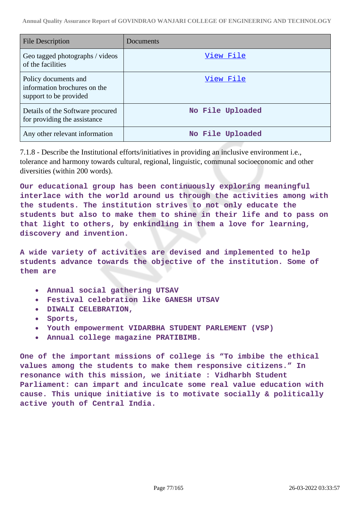| <b>File Description</b>                                                        | Documents        |
|--------------------------------------------------------------------------------|------------------|
| Geo tagged photographs / videos<br>of the facilities                           | View File        |
| Policy documents and<br>information brochures on the<br>support to be provided | View File        |
| Details of the Software procured<br>for providing the assistance               | No File Uploaded |
| Any other relevant information                                                 | No File Uploaded |

7.1.8 - Describe the Institutional efforts/initiatives in providing an inclusive environment i.e., tolerance and harmony towards cultural, regional, linguistic, communal socioeconomic and other diversities (within 200 words).

**Our educational group has been continuously exploring meaningful interlace with the world around us through the activities among with the students. The institution strives to not only educate the students but also to make them to shine in their life and to pass on that light to others, by enkindling in them a love for learning, discovery and invention.**

**A wide variety of activities are devised and implemented to help students advance towards the objective of the institution. Some of them are**

- **Annual social gathering UTSAV**
- **Festival celebration like GANESH UTSAV**  $\bullet$
- **DIWALI CELEBRATION,**
- **Sports,**
- **Youth empowerment VIDARBHA STUDENT PARLEMENT (VSP)**
- **Annual college magazine PRATIBIMB.**

**One of the important missions of college is "To imbibe the ethical values among the students to make them responsive citizens." In resonance with this mission, we initiate : Vidharbh Student Parliament: can impart and inculcate some real value education with cause. This unique initiative is to motivate socially & politically active youth of Central India.**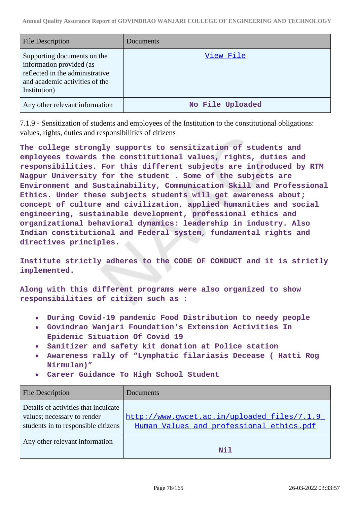| <b>File Description</b>                                                                                                                      | <b>Documents</b> |
|----------------------------------------------------------------------------------------------------------------------------------------------|------------------|
| Supporting documents on the<br>information provided (as<br>reflected in the administrative<br>and academic activities of the<br>Institution) | View File        |
| Any other relevant information                                                                                                               | No File Uploaded |

7.1.9 - Sensitization of students and employees of the Institution to the constitutional obligations: values, rights, duties and responsibilities of citizens

**The college strongly supports to sensitization of students and employees towards the constitutional values, rights, duties and responsibilities. For this different subjects are introduced by RTM Nagpur University for the student . Some of the subjects are Environment and Sustainability, Communication Skill and Professional Ethics. Under these subjects students will get awareness about; concept of culture and civilization, applied humanities and social engineering, sustainable development, professional ethics and organizational behavioral dynamics: leadership in industry. Also Indian constitutional and Federal system, fundamental rights and directives principles.**

**Institute strictly adheres to the CODE OF CONDUCT and it is strictly implemented.**

**Along with this different programs were also organized to show responsibilities of citizen such as :**

- **During Covid-19 pandemic Food Distribution to needy people**
- **Govindrao Wanjari Foundation's Extension Activities In**  $\bullet$ **Epidemic Situation Of Covid 19**
- **Sanitizer and safety kit donation at Police station**
- **Awareness rally of "Lymphatic filariasis Decease ( Hatti Rog Nirmulan)"**
- **Career Guidance To High School Student**

| <b>File Description</b>                                                                                    | Documents                                                                               |
|------------------------------------------------------------------------------------------------------------|-----------------------------------------------------------------------------------------|
| Details of activities that inculcate<br>values; necessary to render<br>students in to responsible citizens | http://www.gwcet.ac.in/uploaded_files/7.1.9<br>Human_Values_and_professional_ethics.pdf |
| Any other relevant information                                                                             | Nil                                                                                     |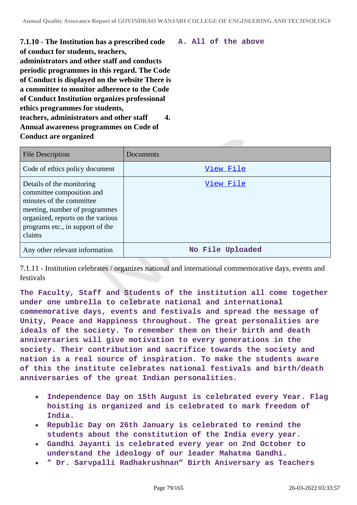**7.1.10 - The Institution has a prescribed code of conduct for students, teachers, administrators and other staff and conducts periodic programmes in this regard. The Code of Conduct is displayed on the website There is a committee to monitor adherence to the Code of Conduct Institution organizes professional ethics programmes for students, teachers, administrators and other staff 4. Annual awareness programmes on Code of Conduct are organized**

|  |  | A. All of the above |
|--|--|---------------------|
|  |  |                     |

| <b>File Description</b>                                                                                                                                                                                | Documents        |
|--------------------------------------------------------------------------------------------------------------------------------------------------------------------------------------------------------|------------------|
| Code of ethics policy document                                                                                                                                                                         | View File        |
| Details of the monitoring<br>committee composition and<br>minutes of the committee<br>meeting, number of programmes<br>organized, reports on the various<br>programs etc., in support of the<br>claims | View File        |
| Any other relevant information                                                                                                                                                                         | No File Uploaded |

7.1.11 - Institution celebrates / organizes national and international commemorative days, events and festivals

**The Faculty, Staff and Students of the institution all come together under one umbrella to celebrate national and international commemorative days, events and festivals and spread the message of Unity, Peace and Happiness throughout. The great personalities are ideals of the society. To remember them on their birth and death anniversaries will give motivation to every generations in the society. Their contribution and sacrifice towards the society and nation is a real source of inspiration. To make the students aware of this the institute celebrates national festivals and birth/death anniversaries of the great Indian personalities.**

- **Independence Day on 15th August is celebrated every Year. Flag**  $\bullet$ **hoisting is organized and is celebrated to mark freedom of India.**
- **Republic Day on 26th January is celebrated to remind the students about the constitution of the India every year.**
- **Gandhi Jayanti is celebrated every year on 2nd October to understand the ideology of our leader Mahatma Gandhi.**
- **" Dr. Sarvpalli Radhakrushnan" Birth Aniversary as Teachers**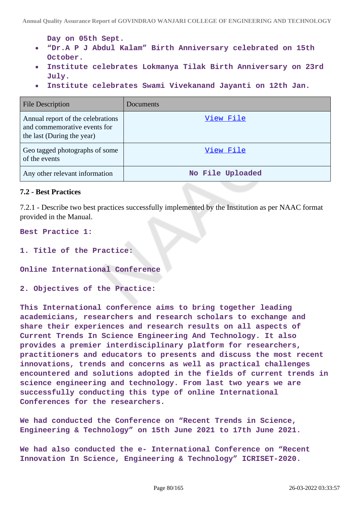**Day on 05th Sept.**

- **"Dr.A P J Abdul Kalam" Birth Anniversary celebrated on 15th**  $\bullet$ **October.**
- **Institute celebrates Lokmanya Tilak Birth Anniversary on 23rd July.**
- **Institute celebrates Swami Vivekanand Jayanti on 12th Jan.**

| <b>File Description</b>                                                                         | Documents        |
|-------------------------------------------------------------------------------------------------|------------------|
| Annual report of the celebrations<br>and commemorative events for<br>the last (During the year) | View File        |
| Geo tagged photographs of some<br>of the events                                                 | View File        |
| Any other relevant information                                                                  | No File Uploaded |

#### **7.2 - Best Practices**

7.2.1 - Describe two best practices successfully implemented by the Institution as per NAAC format provided in the Manual.

**Best Practice 1:**

**1. Title of the Practice:**

**Online International Conference**

**2. Objectives of the Practice:**

**This International conference aims to bring together leading academicians, researchers and research scholars to exchange and share their experiences and research results on all aspects of Current Trends In Science Engineering And Technology. It also provides a premier interdisciplinary platform for researchers, practitioners and educators to presents and discuss the most recent innovations, trends and concerns as well as practical challenges encountered and solutions adopted in the fields of current trends in science engineering and technology. From last two years we are successfully conducting this type of online International Conferences for the researchers.**

**We had conducted the Conference on "Recent Trends in Science, Engineering & Technology" on 15th June 2021 to 17th June 2021.**

**We had also conducted the e- International Conference on "Recent Innovation In Science, Engineering & Technology" ICRISET-2020.**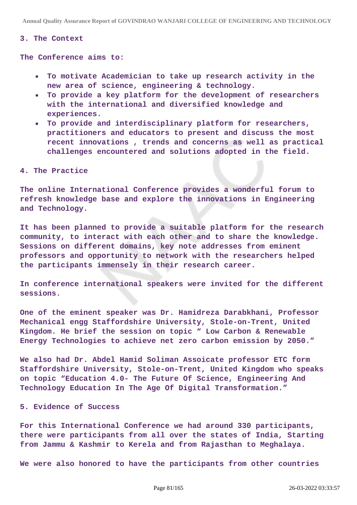**Annual Quality Assurance Report of GOVINDRAO WANJARI COLLEGE OF ENGINEERING AND TECHNOLOGY**

#### **3. The Context**

**The Conference aims to:**

- **To motivate Academician to take up research activity in the new area of science, engineering & technology.**
- **To provide a key platform for the development of researchers**  $\bullet$ **with the international and diversified knowledge and experiences.**
- **To provide and interdisciplinary platform for researchers, practitioners and educators to present and discuss the most recent innovations , trends and concerns as well as practical challenges encountered and solutions adopted in the field.**

#### **4. The Practice**

**The online International Conference provides a wonderful forum to refresh knowledge base and explore the innovations in Engineering and Technology.**

**It has been planned to provide a suitable platform for the research community, to interact with each other and to share the knowledge. Sessions on different domains, key note addresses from eminent professors and opportunity to network with the researchers helped the participants immensely in their research career.**

**In conference international speakers were invited for the different sessions.**

**One of the eminent speaker was Dr. Hamidreza Darabkhani, Professor Mechanical engg Staffordshire University, Stole-on-Trent, United Kingdom. He brief the session on topic " Low Carbon & Renewable Energy Technologies to achieve net zero carbon emission by 2050."**

**We also had Dr. Abdel Hamid Soliman Assoicate professor ETC form Staffordshire University, Stole-on-Trent, United Kingdom who speaks on topic "Education 4.0- The Future Of Science, Engineering And Technology Education In The Age Of Digital Transformation."**

#### **5. Evidence of Success**

**For this International Conference we had around 330 participants, there were participants from all over the states of India, Starting from Jammu & Kashmir to Kerela and from Rajasthan to Meghalaya.**

**We were also honored to have the participants from other countries**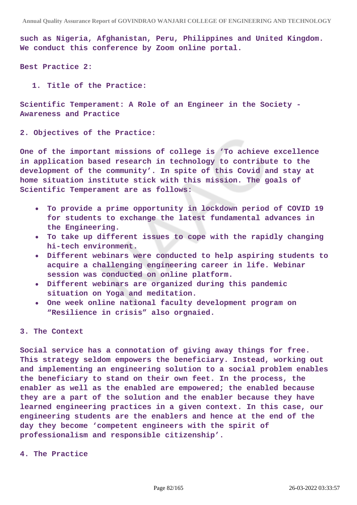**such as Nigeria, Afghanistan, Peru, Philippines and United Kingdom. We conduct this conference by Zoom online portal.**

**Best Practice 2:**

**1. Title of the Practice:**

**Scientific Temperament: A Role of an Engineer in the Society - Awareness and Practice**

**2. Objectives of the Practice:**

**One of the important missions of college is 'To achieve excellence in application based research in technology to contribute to the development of the community'. In spite of this Covid and stay at home situation institute stick with this mission. The goals of Scientific Temperament are as follows:**

- **To provide a prime opportunity in lockdown period of COVID 19 for students to exchange the latest fundamental advances in the Engineering.**
- **To take up different issues to cope with the rapidly changing hi-tech environment.**
- **Different webinars were conducted to help aspiring students to acquire a challenging engineering career in life. Webinar session was conducted on online platform.**
- **Different webinars are organized during this pandemic situation on Yoga and meditation.**
- **One week online national faculty development program on "Resilience in crisis" also orgnaied.**

#### **3. The Context**

**Social service has a connotation of giving away things for free. This strategy seldom empowers the beneficiary. Instead, working out and implementing an engineering solution to a social problem enables the beneficiary to stand on their own feet. In the process, the enabler as well as the enabled are empowered; the enabled because they are a part of the solution and the enabler because they have learned engineering practices in a given context. In this case, our engineering students are the enablers and hence at the end of the day they become 'competent engineers with the spirit of professionalism and responsible citizenship'.**

**4. The Practice**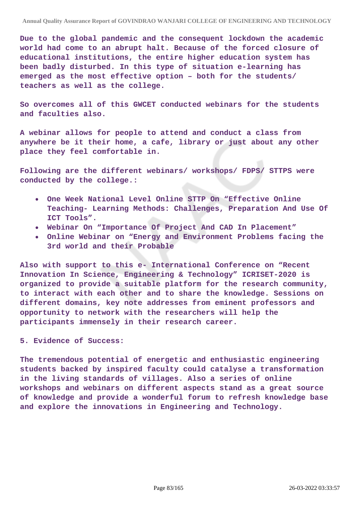**Due to the global pandemic and the consequent lockdown the academic world had come to an abrupt halt. Because of the forced closure of educational institutions, the entire higher education system has been badly disturbed. In this type of situation e-learning has emerged as the most effective option – both for the students/ teachers as well as the college.**

**So overcomes all of this GWCET conducted webinars for the students and faculties also.**

**A webinar allows for people to attend and conduct a class from anywhere be it their home, a cafe, library or just about any other place they feel comfortable in.**

**Following are the different webinars/ workshops/ FDPS/ STTPS were conducted by the college.:**

- $\bullet$ **One Week National Level Online STTP On "Effective Online Teaching- Learning Methods: Challenges, Preparation And Use Of ICT Tools".**
- **Webinar On "Importance Of Project And CAD In Placement"**
- **Online Webinar on "Energy and Environment Problems facing the 3rd world and their Probable**

**Also with support to this e- International Conference on "Recent Innovation In Science, Engineering & Technology" ICRISET-2020 is organized to provide a suitable platform for the research community, to interact with each other and to share the knowledge. Sessions on different domains, key note addresses from eminent professors and opportunity to network with the researchers will help the participants immensely in their research career.**

**5. Evidence of Success:**

**The tremendous potential of energetic and enthusiastic engineering students backed by inspired faculty could catalyse a transformation in the living standards of villages. Also a series of online workshops and webinars on different aspects stand as a great source of knowledge and provide a wonderful forum to refresh knowledge base and explore the innovations in Engineering and Technology.**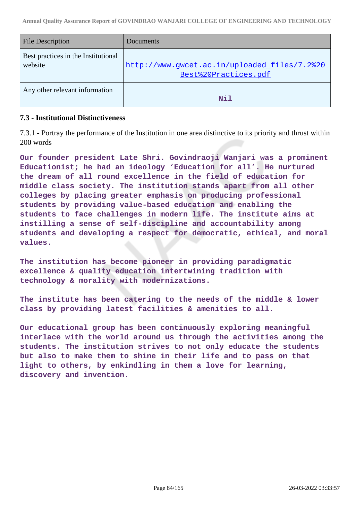| <b>File Description</b>                        | Documents                                                            |
|------------------------------------------------|----------------------------------------------------------------------|
| Best practices in the Institutional<br>website | http://www.gwcet.ac.in/uploaded_files/7.2%20<br>Best%20Practices.pdf |
| Any other relevant information                 | Nil                                                                  |

### **7.3 - Institutional Distinctiveness**

7.3.1 - Portray the performance of the Institution in one area distinctive to its priority and thrust within 200 words

**Our founder president Late Shri. Govindraoji Wanjari was a prominent Educationist; he had an ideology 'Education for all'. He nurtured the dream of all round excellence in the field of education for middle class society. The institution stands apart from all other colleges by placing greater emphasis on producing professional students by providing value-based education and enabling the students to face challenges in modern life. The institute aims at instilling a sense of self-discipline and accountability among students and developing a respect for democratic, ethical, and moral values.**

**The institution has become pioneer in providing paradigmatic excellence & quality education intertwining tradition with technology & morality with modernizations.**

**The institute has been catering to the needs of the middle & lower class by providing latest facilities & amenities to all.**

**Our educational group has been continuously exploring meaningful interlace with the world around us through the activities among the students. The institution strives to not only educate the students but also to make them to shine in their life and to pass on that light to others, by enkindling in them a love for learning, discovery and invention.**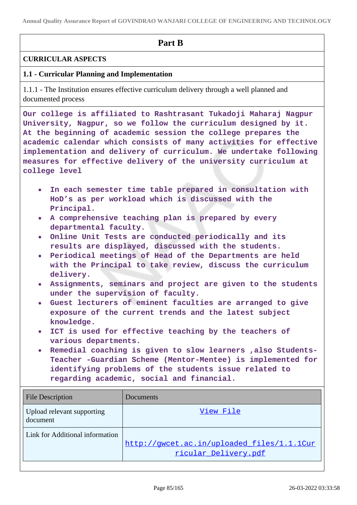**Annual Quality Assurance Report of GOVINDRAO WANJARI COLLEGE OF ENGINEERING AND TECHNOLOGY**

# **Part B**

# **CURRICULAR ASPECTS**

# **1.1 - Curricular Planning and Implementation**

1.1.1 - The Institution ensures effective curriculum delivery through a well planned and documented process

**Our college is affiliated to Rashtrasant Tukadoji Maharaj Nagpur University, Nagpur, so we follow the curriculum designed by it. At the beginning of academic session the college prepares the academic calendar which consists of many activities for effective implementation and delivery of curriculum. We undertake following measures for effective delivery of the university curriculum at college level**

- **In each semester time table prepared in consultation with HoD's as per workload which is discussed with the Principal.**
- **A comprehensive teaching plan is prepared by every departmental faculty.**
- **Online Unit Tests are conducted periodically and its results are displayed, discussed with the students.**
- **Periodical meetings of Head of the Departments are held with the Principal to take review, discuss the curriculum delivery.**
- **Assignments, seminars and project are given to the students under the supervision of faculty.**
- **Guest lecturers of eminent faculties are arranged to give exposure of the current trends and the latest subject knowledge.**
- **ICT is used for effective teaching by the teachers of various departments.**
- **Remedial coaching is given to slow learners ,also Students-Teacher -Guardian Scheme (Mentor-Mentee) is implemented for identifying problems of the students issue related to regarding academic, social and financial.**

| <b>File Description</b>                | Documents                                                          |
|----------------------------------------|--------------------------------------------------------------------|
| Upload relevant supporting<br>document | View File                                                          |
| Link for Additional information        | http://qwcet.ac.in/uploaded files/1.1.1Cur<br>ricular_Delivery.pdf |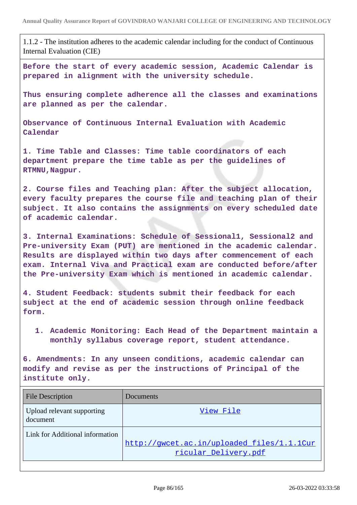1.1.2 - The institution adheres to the academic calendar including for the conduct of Continuous Internal Evaluation (CIE)

**Before the start of every academic session, Academic Calendar is prepared in alignment with the university schedule.**

**Thus ensuring complete adherence all the classes and examinations are planned as per the calendar.**

**Observance of Continuous Internal Evaluation with Academic Calendar**

**1. Time Table and Classes: Time table coordinators of each department prepare the time table as per the guidelines of RTMNU,Nagpur.**

**2. Course files and Teaching plan: After the subject allocation, every faculty prepares the course file and teaching plan of their subject. It also contains the assignments on every scheduled date of academic calendar.**

**3. Internal Examinations: Schedule of Sessional1, Sessional2 and Pre-university Exam (PUT) are mentioned in the academic calendar. Results are displayed within two days after commencement of each exam. Internal Viva and Practical exam are conducted before/after the Pre-university Exam which is mentioned in academic calendar.**

**4. Student Feedback: students submit their feedback for each subject at the end of academic session through online feedback form.**

**1. Academic Monitoring: Each Head of the Department maintain a monthly syllabus coverage report, student attendance.**

**6. Amendments: In any unseen conditions, academic calendar can modify and revise as per the instructions of Principal of the institute only.**

| <b>File Description</b>                | Documents                                                          |
|----------------------------------------|--------------------------------------------------------------------|
| Upload relevant supporting<br>document | View File                                                          |
| Link for Additional information        | http://qwcet.ac.in/uploaded files/1.1.1Cur<br>ricular_Delivery.pdf |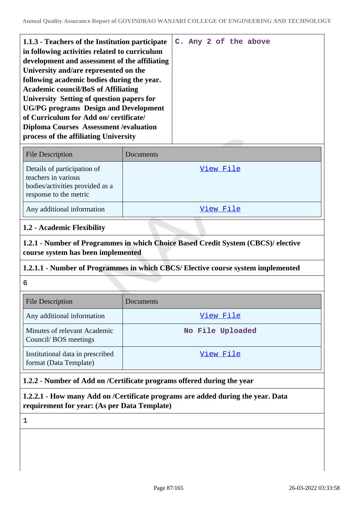| 1.1.3 - Teachers of the Institution participate |  |  | C. Any 2 of the above |
|-------------------------------------------------|--|--|-----------------------|
| in following activities related to curriculum   |  |  |                       |
| development and assessment of the affiliating   |  |  |                       |
| University and/are represented on the           |  |  |                       |
| following academic bodies during the year.      |  |  |                       |
| <b>Academic council/BoS of Affiliating</b>      |  |  |                       |
| University Setting of question papers for       |  |  |                       |
| <b>UG/PG</b> programs Design and Development    |  |  |                       |
| of Curriculum for Add on/certificate/           |  |  |                       |
| <b>Diploma Courses Assessment / evaluation</b>  |  |  |                       |
| process of the affiliating University           |  |  |                       |
|                                                 |  |  |                       |

| <b>File Description</b>                                                                                         | Documents |
|-----------------------------------------------------------------------------------------------------------------|-----------|
| Details of participation of<br>teachers in various<br>bodies/activities provided as a<br>response to the metric | View File |
| Any additional information                                                                                      | View File |

## **1.2 - Academic Flexibility**

**1.2.1 - Number of Programmes in which Choice Based Credit System (CBCS)/ elective course system has been implemented**

## **1.2.1.1 - Number of Programmes in which CBCS/ Elective course system implemented**

**6**

| <b>File Description</b>                                    | Documents        |
|------------------------------------------------------------|------------------|
| Any additional information                                 | View File        |
| Minutes of relevant Academic<br>Council/BOS meetings       | No File Uploaded |
| Institutional data in prescribed<br>format (Data Template) | View File        |

# **1.2.2 - Number of Add on /Certificate programs offered during the year**

**1.2.2.1 - How many Add on /Certificate programs are added during the year. Data requirement for year: (As per Data Template)**

**1**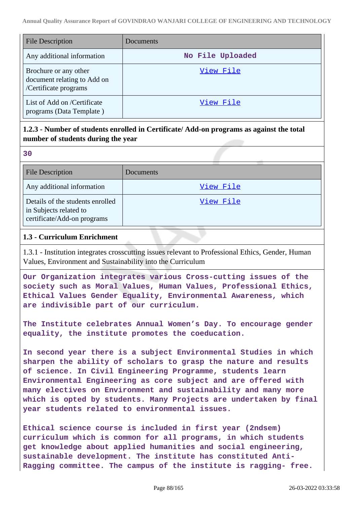| <b>File Description</b>                                                       | Documents        |
|-------------------------------------------------------------------------------|------------------|
| Any additional information                                                    | No File Uploaded |
| Brochure or any other<br>document relating to Add on<br>/Certificate programs | View File        |
| List of Add on /Certificate<br>programs (Data Template)                       | View File        |

# **1.2.3 - Number of students enrolled in Certificate/ Add-on programs as against the total number of students during the year**

| ×               |   |
|-----------------|---|
|                 |   |
| ×<br>۰,<br>- 11 | I |

| <b>File Description</b>                                                                   | Documents |
|-------------------------------------------------------------------------------------------|-----------|
| Any additional information                                                                | View File |
| Details of the students enrolled<br>in Subjects related to<br>certificate/Add-on programs | View File |

## **1.3 - Curriculum Enrichment**

1.3.1 - Institution integrates crosscutting issues relevant to Professional Ethics, Gender, Human Values, Environment and Sustainability into the Curriculum

**Our Organization integrates various Cross-cutting issues of the society such as Moral Values, Human Values, Professional Ethics, Ethical Values Gender Equality, Environmental Awareness, which are indivisible part of our curriculum.**

**The Institute celebrates Annual Women's Day. To encourage gender equality, the institute promotes the coeducation.**

**In second year there is a subject Environmental Studies in which sharpen the ability of scholars to grasp the nature and results of science. In Civil Engineering Programme, students learn Environmental Engineering as core subject and are offered with many electives on Environment and sustainability and many more which is opted by students. Many Projects are undertaken by final year students related to environmental issues.**

**Ethical science course is included in first year (2ndsem) curriculum which is common for all programs, in which students get knowledge about applied humanities and social engineering, sustainable development. The institute has constituted Anti-Ragging committee. The campus of the institute is ragging- free.**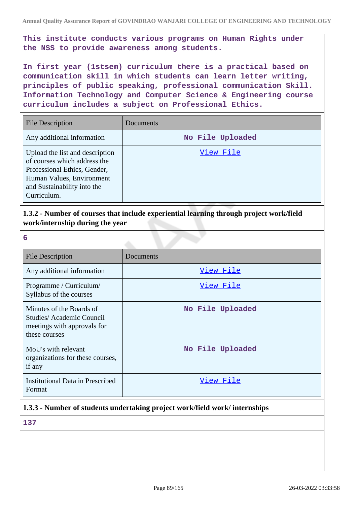**This institute conducts various programs on Human Rights under the NSS to provide awareness among students.**

**In first year (1stsem) curriculum there is a practical based on communication skill in which students can learn letter writing, principles of public speaking, professional communication Skill. Information Technology and Computer Science & Engineering course curriculum includes a subject on Professional Ethics.**

| <b>File Description</b>                                                                                                                                                    | <b>Documents</b> |
|----------------------------------------------------------------------------------------------------------------------------------------------------------------------------|------------------|
| Any additional information                                                                                                                                                 | No File Uploaded |
| Upload the list and description<br>of courses which address the<br>Professional Ethics, Gender,<br>Human Values, Environment<br>and Sustainability into the<br>Curriculum. | View File        |

**1.3.2 - Number of courses that include experiential learning through project work/field work/internship during the year**

| 6                                                                                                    |                  |
|------------------------------------------------------------------------------------------------------|------------------|
| <b>File Description</b>                                                                              | Documents        |
| Any additional information                                                                           | View File        |
| Programme / Curriculum/<br>Syllabus of the courses                                                   | <u>View File</u> |
| Minutes of the Boards of<br>Studies/Academic Council<br>meetings with approvals for<br>these courses | No File Uploaded |
| MoU's with relevant<br>organizations for these courses,<br>if any                                    | No File Uploaded |
| <b>Institutional Data in Prescribed</b><br>Format                                                    | View File        |

## **1.3.3 - Number of students undertaking project work/field work/ internships**

**137**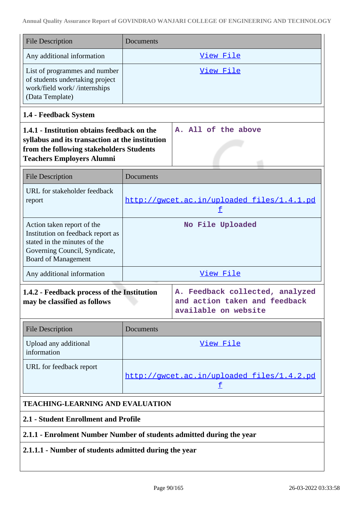| <b>File Description</b>                                                                                                                                                        | Documents                                       |                                                                                          |
|--------------------------------------------------------------------------------------------------------------------------------------------------------------------------------|-------------------------------------------------|------------------------------------------------------------------------------------------|
| Any additional information                                                                                                                                                     |                                                 | View File                                                                                |
| List of programmes and number<br>of students undertaking project<br>work/field work//internships<br>(Data Template)                                                            | View File                                       |                                                                                          |
| 1.4 - Feedback System                                                                                                                                                          |                                                 |                                                                                          |
| 1.4.1 - Institution obtains feedback on the<br>syllabus and its transaction at the institution<br>from the following stakeholders Students<br><b>Teachers Employers Alumni</b> |                                                 | A. All of the above                                                                      |
| <b>File Description</b>                                                                                                                                                        | Documents                                       |                                                                                          |
| URL for stakeholder feedback<br>report                                                                                                                                         |                                                 | http://gwcet.ac.in/uploaded files/1.4.1.pd<br>f                                          |
| Action taken report of the<br>Institution on feedback report as<br>stated in the minutes of the<br>Governing Council, Syndicate,<br><b>Board of Management</b>                 |                                                 | No File Uploaded                                                                         |
| Any additional information                                                                                                                                                     |                                                 | View File                                                                                |
| 1.4.2 - Feedback process of the Institution<br>may be classified as follows                                                                                                    |                                                 | A. Feedback collected, analyzed<br>and action taken and feedback<br>available on website |
| <b>File Description</b>                                                                                                                                                        | Documents                                       |                                                                                          |
| Upload any additional<br>information                                                                                                                                           |                                                 | <u>View File</u>                                                                         |
| URL for feedback report                                                                                                                                                        | http://gwcet.ac.in/uploaded_files/1.4.2.pd<br>土 |                                                                                          |
| <b>TEACHING-LEARNING AND EVALUATION</b>                                                                                                                                        |                                                 |                                                                                          |
| 2.1 - Student Enrollment and Profile                                                                                                                                           |                                                 |                                                                                          |
| 2.1.1 - Enrolment Number Number of students admitted during the year                                                                                                           |                                                 |                                                                                          |

# **2.1.1.1 - Number of students admitted during the year**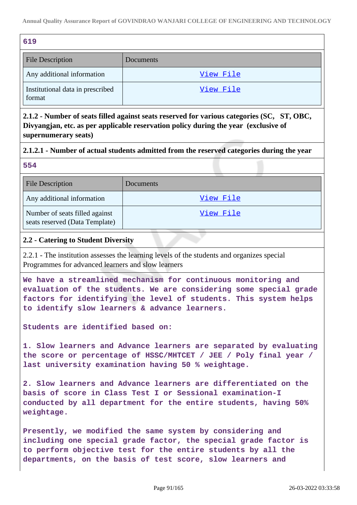| 619                                        |           |
|--------------------------------------------|-----------|
| <b>File Description</b>                    | Documents |
| Any additional information                 | View File |
| Institutional data in prescribed<br>format | View File |

**2.1.2 - Number of seats filled against seats reserved for various categories (SC, ST, OBC, Divyangjan, etc. as per applicable reservation policy during the year (exclusive of supernumerary seats)**

# **2.1.2.1 - Number of actual students admitted from the reserved categories during the year**

**554**

| <b>File Description</b>                                          | Documents |
|------------------------------------------------------------------|-----------|
| Any additional information                                       | View File |
| Number of seats filled against<br>seats reserved (Data Template) | View File |

# **2.2 - Catering to Student Diversity**

2.2.1 - The institution assesses the learning levels of the students and organizes special Programmes for advanced learners and slow learners

**We have a streamlined mechanism for continuous monitoring and evaluation of the students. We are considering some special grade factors for identifying the level of students. This system helps to identify slow learners & advance learners.**

**Students are identified based on:**

**1. Slow learners and Advance learners are separated by evaluating the score or percentage of HSSC/MHTCET / JEE / Poly final year / last university examination having 50 % weightage.**

**2. Slow learners and Advance learners are differentiated on the basis of score in Class Test I or Sessional examination-I conducted by all department for the entire students, having 50% weightage.**

**Presently, we modified the same system by considering and including one special grade factor, the special grade factor is to perform objective test for the entire students by all the departments, on the basis of test score, slow learners and**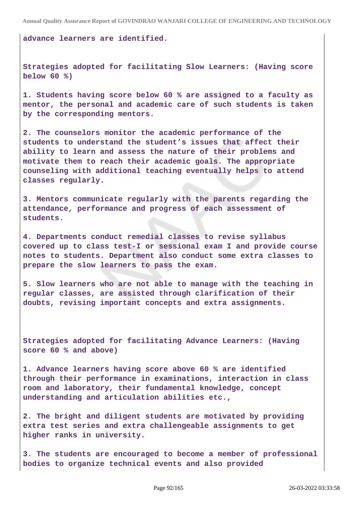**advance learners are identified.**

**Strategies adopted for facilitating Slow Learners: (Having score below 60 %)**

**1. Students having score below 60 % are assigned to a faculty as mentor, the personal and academic care of such students is taken by the corresponding mentors.**

**2. The counselors monitor the academic performance of the students to understand the student's issues that affect their ability to learn and assess the nature of their problems and motivate them to reach their academic goals. The appropriate counseling with additional teaching eventually helps to attend classes regularly.**

**3. Mentors communicate regularly with the parents regarding the attendance, performance and progress of each assessment of students.**

**4. Departments conduct remedial classes to revise syllabus covered up to class test-I or sessional exam I and provide course notes to students. Department also conduct some extra classes to prepare the slow learners to pass the exam.**

**5. Slow learners who are not able to manage with the teaching in regular classes, are assisted through clarification of their doubts, revising important concepts and extra assignments.**

**Strategies adopted for facilitating Advance Learners: (Having score 60 % and above)** 

**1. Advance learners having score above 60 % are identified through their performance in examinations, interaction in class room and laboratory, their fundamental knowledge, concept understanding and articulation abilities etc.,**

**2. The bright and diligent students are motivated by providing extra test series and extra challengeable assignments to get higher ranks in university.**

**3. The students are encouraged to become a member of professional bodies to organize technical events and also provided**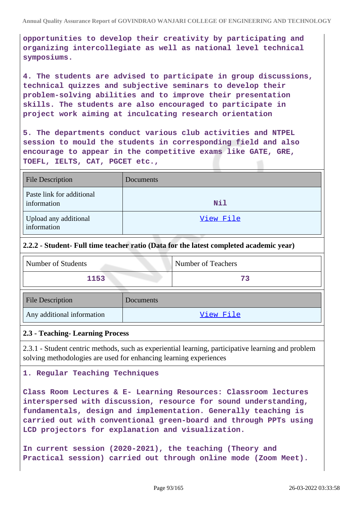**opportunities to develop their creativity by participating and organizing intercollegiate as well as national level technical symposiums.**

**4. The students are advised to participate in group discussions, technical quizzes and subjective seminars to develop their problem-solving abilities and to improve their presentation skills. The students are also encouraged to participate in project work aiming at inculcating research orientation**

**5. The departments conduct various club activities and NTPEL session to mould the students in corresponding field and also encourage to appear in the competitive exams like GATE, GRE, TOEFL, IELTS, CAT, PGCET etc.,**

| <b>File Description</b>                  | Documents  |
|------------------------------------------|------------|
| Paste link for additional<br>information | <b>Nil</b> |
| Upload any additional<br>information     | View File  |

### **2.2.2 - Student- Full time teacher ratio (Data for the latest completed academic year)**

| Number of Students         |           | Number of Teachers |
|----------------------------|-----------|--------------------|
| 1153                       |           | 73                 |
| <b>File Description</b>    | Documents |                    |
| Any additional information |           | View File          |

### **2.3 - Teaching- Learning Process**

2.3.1 - Student centric methods, such as experiential learning, participative learning and problem solving methodologies are used for enhancing learning experiences

### **1. Regular Teaching Techniques**

**Class Room Lectures & E- Learning Resources: Classroom lectures interspersed with discussion, resource for sound understanding, fundamentals, design and implementation. Generally teaching is carried out with conventional green-board and through PPTs using LCD projectors for explanation and visualization.**

**In current session (2020-2021), the teaching (Theory and Practical session) carried out through online mode (Zoom Meet).**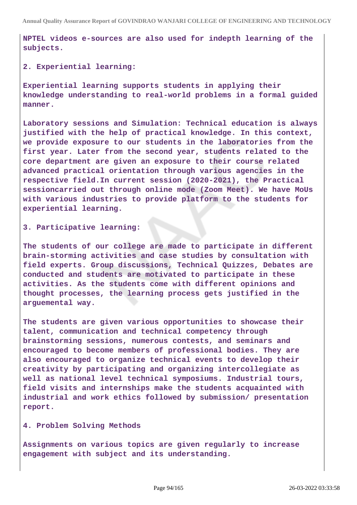**NPTEL videos e-sources are also used for indepth learning of the subjects.**

**2. Experiential learning:** 

**Experiential learning supports students in applying their knowledge understanding to real-world problems in a formal guided manner.**

**Laboratory sessions and Simulation: Technical education is always justified with the help of practical knowledge. In this context, we provide exposure to our students in the laboratories from the first year. Later from the second year, students related to the core department are given an exposure to their course related advanced practical orientation through various agencies in the respective field.In current session (2020-2021), the Practical sessioncarried out through online mode (Zoom Meet). We have MoUs with various industries to provide platform to the students for experiential learning.**

**3. Participative learning:** 

**The students of our college are made to participate in different brain-storming activities and case studies by consultation with field experts. Group discussions, Technical Quizzes, Debates are conducted and students are motivated to participate in these activities. As the students come with different opinions and thought processes, the learning process gets justified in the arguemental way.**

**The students are given various opportunities to showcase their talent, communication and technical competency through brainstorming sessions, numerous contests, and seminars and encouraged to become members of professional bodies. They are also encouraged to organize technical events to develop their creativity by participating and organizing intercollegiate as well as national level technical symposiums. Industrial tours, field visits and internships make the students acquainted with industrial and work ethics followed by submission/ presentation report.**

**4. Problem Solving Methods**

**Assignments on various topics are given regularly to increase engagement with subject and its understanding.**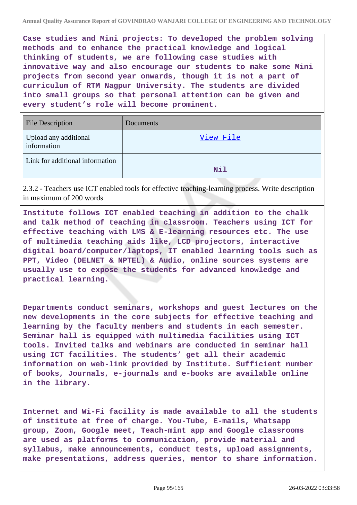**Case studies and Mini projects: To developed the problem solving methods and to enhance the practical knowledge and logical thinking of students, we are following case studies with innovative way and also encourage our students to make some Mini projects from second year onwards, though it is not a part of curriculum of RTM Nagpur University. The students are divided into small groups so that personal attention can be given and every student's role will become prominent.**

| <b>File Description</b>              | Documents |
|--------------------------------------|-----------|
| Upload any additional<br>information | View File |
| Link for additional information      | Nil       |

2.3.2 - Teachers use ICT enabled tools for effective teaching-learning process. Write description in maximum of 200 words

**Institute follows ICT enabled teaching in addition to the chalk and talk method of teaching in classroom. Teachers using ICT for effective teaching with LMS & E-learning resources etc. The use of multimedia teaching aids like, LCD projectors, interactive digital board/computer/laptops, IT enabled learning tools such as PPT, Video (DELNET & NPTEL) & Audio, online sources systems are usually use to expose the students for advanced knowledge and practical learning.**

**Departments conduct seminars, workshops and guest lectures on the new developments in the core subjects for effective teaching and learning by the faculty members and students in each semester. Seminar hall is equipped with multimedia facilities using ICT tools. Invited talks and webinars are conducted in seminar hall using ICT facilities. The students' get all their academic information on web-link provided by Institute. Sufficient number of books, Journals, e-journals and e-books are available online in the library.**

**Internet and Wi-Fi facility is made available to all the students of institute at free of charge. You-Tube, E-mails, Whatsapp group, Zoom, Google meet, Teach-mint app and Google classrooms are used as platforms to communication, provide material and syllabus, make announcements, conduct tests, upload assignments, make presentations, address queries, mentor to share information.**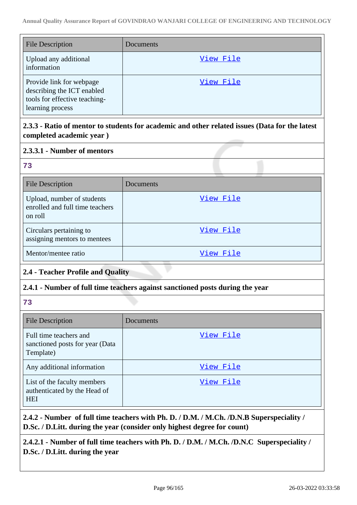| <b>File Description</b>                                                                                     | Documents |
|-------------------------------------------------------------------------------------------------------------|-----------|
| Upload any additional<br>information                                                                        | View File |
| Provide link for webpage<br>describing the ICT enabled<br>tools for effective teaching-<br>learning process | View File |

# **2.3.3 - Ratio of mentor to students for academic and other related issues (Data for the latest completed academic year )**

# **2.3.3.1 - Number of mentors**

| $\mathbb{R}^N$ |             |  |
|----------------|-------------|--|
|                | ×           |  |
|                | ×<br>I<br>v |  |
|                |             |  |

| <b>File Description</b>                                                  | Documents |
|--------------------------------------------------------------------------|-----------|
| Upload, number of students<br>enrolled and full time teachers<br>on roll | View File |
| Circulars pertaining to<br>assigning mentors to mentees                  | View File |
| Mentor/mentee ratio                                                      | View File |

# **2.4 - Teacher Profile and Quality**

# **2.4.1 - Number of full time teachers against sanctioned posts during the year**

**73**

| <b>File Description</b>                                                   | Documents |
|---------------------------------------------------------------------------|-----------|
| Full time teachers and<br>sanctioned posts for year (Data<br>Template)    | View File |
| Any additional information                                                | View File |
| List of the faculty members<br>authenticated by the Head of<br><b>HEI</b> | View File |

**2.4.2 - Number of full time teachers with Ph. D. / D.M. / M.Ch. /D.N.B Superspeciality / D.Sc. / D.Litt. during the year (consider only highest degree for count)**

**2.4.2.1 - Number of full time teachers with Ph. D. / D.M. / M.Ch. /D.N.C Superspeciality / D.Sc. / D.Litt. during the year**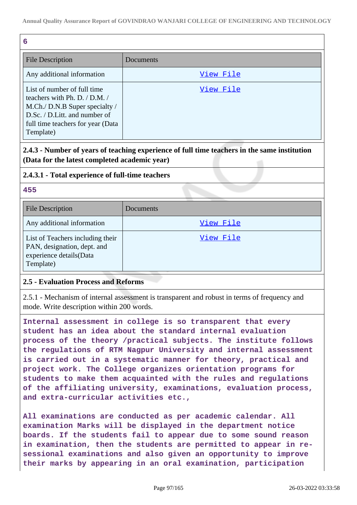| 6                                                                                                                                                                                     |           |
|---------------------------------------------------------------------------------------------------------------------------------------------------------------------------------------|-----------|
| <b>File Description</b>                                                                                                                                                               | Documents |
| Any additional information                                                                                                                                                            | View File |
| List of number of full time<br>teachers with Ph. D. $/$ D.M. $/$<br>M.Ch./ D.N.B Super specialty /<br>D.Sc. / D.Litt. and number of<br>full time teachers for year (Data<br>Template) | View File |

**2.4.3 - Number of years of teaching experience of full time teachers in the same institution (Data for the latest completed academic year)**

# **2.4.3.1 - Total experience of full-time teachers**

### **455**

| <b>File Description</b>                                                                                 | Documents |
|---------------------------------------------------------------------------------------------------------|-----------|
| Any additional information                                                                              | View File |
| List of Teachers including their<br>PAN, designation, dept. and<br>experience details(Data<br>Template) | View File |

## **2.5 - Evaluation Process and Reforms**

2.5.1 - Mechanism of internal assessment is transparent and robust in terms of frequency and mode. Write description within 200 words.

**Internal assessment in college is so transparent that every student has an idea about the standard internal evaluation process of the theory /practical subjects. The institute follows the regulations of RTM Nagpur University and internal assessment is carried out in a systematic manner for theory, practical and project work. The College organizes orientation programs for students to make them acquainted with the rules and regulations of the affiliating university, examinations, evaluation process, and extra-curricular activities etc.,**

**All examinations are conducted as per academic calendar. All examination Marks will be displayed in the department notice boards. If the students fail to appear due to some sound reason in examination, then the students are permitted to appear in resessional examinations and also given an opportunity to improve their marks by appearing in an oral examination, participation**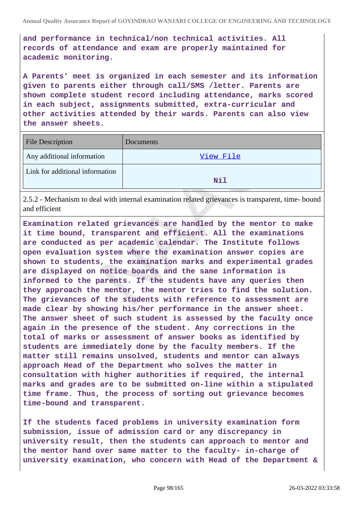**and performance in technical/non technical activities. All records of attendance and exam are properly maintained for academic monitoring.**

**A Parents' meet is organized in each semester and its information given to parents either through call/SMS /letter. Parents are shown complete student record including attendance, marks scored in each subject, assignments submitted, extra-curricular and other activities attended by their wards. Parents can also view the answer sheets.**

| File Description                | Documents |
|---------------------------------|-----------|
| Any additional information      | View File |
| Link for additional information | Nil       |

2.5.2 - Mechanism to deal with internal examination related grievances is transparent, time- bound and efficient

**Examination related grievances are handled by the mentor to make it time bound, transparent and efficient. All the examinations are conducted as per academic calendar. The Institute follows open evaluation system where the examination answer copies are shown to students, the examination marks and experimental grades are displayed on notice boards and the same information is informed to the parents. If the students have any queries then they approach the mentor, the mentor tries to find the solution. The grievances of the students with reference to assessment are made clear by showing his/her performance in the answer sheet. The answer sheet of such student is assessed by the faculty once again in the presence of the student. Any corrections in the total of marks or assessment of answer books as identified by students are immediately done by the faculty members. If the matter still remains unsolved, students and mentor can always approach Head of the Department who solves the matter in consultation with higher authorities if required, the internal marks and grades are to be submitted on-line within a stipulated time frame. Thus, the process of sorting out grievance becomes time-bound and transparent.**

**If the students faced problems in university examination form submission, issue of admission card or any discrepancy in university result, then the students can approach to mentor and the mentor hand over same matter to the faculty- in-charge of university examination, who concern with Head of the Department &**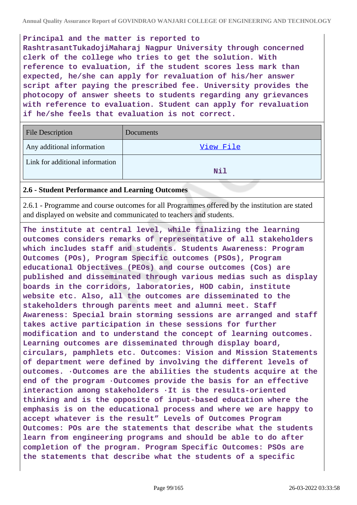**Annual Quality Assurance Report of GOVINDRAO WANJARI COLLEGE OF ENGINEERING AND TECHNOLOGY**

**Principal and the matter is reported to**

**RashtrasantTukadojiMaharaj Nagpur University through concerned clerk of the college who tries to get the solution. With reference to evaluation, if the student scores less mark than expected, he/she can apply for revaluation of his/her answer script after paying the prescribed fee. University provides the photocopy of answer sheets to students regarding any grievances with reference to evaluation. Student can apply for revaluation if he/she feels that evaluation is not correct.**

| <b>File Description</b>         | Documents |
|---------------------------------|-----------|
| Any additional information      | View File |
| Link for additional information | Nil       |

### **2.6 - Student Performance and Learning Outcomes**

2.6.1 - Programme and course outcomes for all Programmes offered by the institution are stated and displayed on website and communicated to teachers and students.

**The institute at central level, while finalizing the learning outcomes considers remarks of representative of all stakeholders which includes staff and students. Students Awareness: Program Outcomes (POs), Program Specific outcomes (PSOs), Program educational Objectives (PEOs) and course outcomes (Cos) are published and disseminated through various medias such as display boards in the corridors, laboratories, HOD cabin, institute website etc. Also, all the outcomes are disseminated to the stakeholders through parents meet and alumni meet. Staff Awareness: Special brain storming sessions are arranged and staff takes active participation in these sessions for further modification and to understand the concept of learning outcomes. Learning outcomes are disseminated through display board, circulars, pamphlets etc. Outcomes: Vision and Mission Statements of department were defined by involving the different levels of outcomes. ·Outcomes are the abilities the students acquire at the end of the program ·Outcomes provide the basis for an effective interaction among stakeholders ·It is the results-oriented thinking and is the opposite of input-based education where the emphasis is on the educational process and where we are happy to accept whatever is the result" Levels of Outcomes Program Outcomes: POs are the statements that describe what the students learn from engineering programs and should be able to do after completion of the program. Program Specific Outcomes: PSOs are the statements that describe what the students of a specific**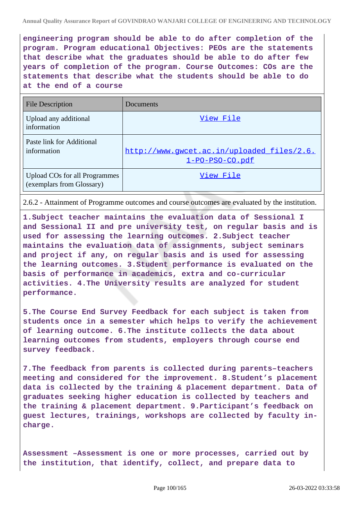**engineering program should be able to do after completion of the program. Program educational Objectives: PEOs are the statements that describe what the graduates should be able to do after few years of completion of the program. Course Outcomes: COs are the statements that describe what the students should be able to do at the end of a course**

| <b>File Description</b>                                    | Documents                                                     |
|------------------------------------------------------------|---------------------------------------------------------------|
| Upload any additional<br>information                       | View File                                                     |
| Paste link for Additional<br>information                   | http://www.qwcet.ac.in/uploaded files/2.6.<br>1-PO-PSO-CO.pdf |
| Upload COs for all Programmes<br>(exemplars from Glossary) | View File                                                     |

2.6.2 - Attainment of Programme outcomes and course outcomes are evaluated by the institution.

**1.Subject teacher maintains the evaluation data of Sessional I and Sessional II and pre university test, on regular basis and is used for assessing the learning outcomes. 2.Subject teacher maintains the evaluation data of assignments, subject seminars and project if any, on regular basis and is used for assessing the learning outcomes. 3.Student performance is evaluated on the basis of performance in academics, extra and co-curricular activities. 4.The University results are analyzed for student performance.**

**5.The Course End Survey Feedback for each subject is taken from students once in a semester which helps to verify the achievement of learning outcome. 6.The institute collects the data about learning outcomes from students, employers through course end survey feedback.**

**7.The feedback from parents is collected during parents–teachers meeting and considered for the improvement. 8.Student's placement data is collected by the training & placement department. Data of graduates seeking higher education is collected by teachers and the training & placement department. 9.Participant's feedback on guest lectures, trainings, workshops are collected by faculty incharge.**

**Assessment –Assessment is one or more processes, carried out by the institution, that identify, collect, and prepare data to**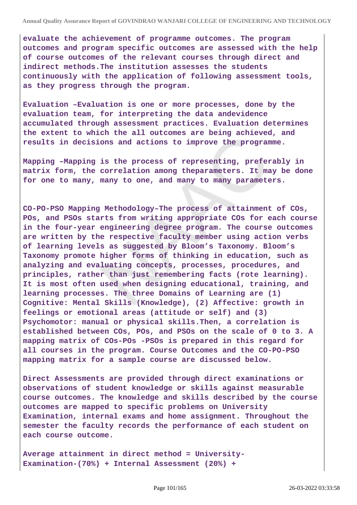**evaluate the achievement of programme outcomes. The program outcomes and program specific outcomes are assessed with the help of course outcomes of the relevant courses through direct and indirect methods.The institution assesses the students continuously with the application of following assessment tools, as they progress through the program.**

**Evaluation –Evaluation is one or more processes, done by the evaluation team, for interpreting the data andevidence accumulated through assessment practices. Evaluation determines the extent to which the all outcomes are being achieved, and results in decisions and actions to improve the programme.**

**Mapping –Mapping is the process of representing, preferably in matrix form, the correlation among theparameters. It may be done for one to many, many to one, and many to many parameters.**

**CO-PO-PSO Mapping Methodology–The process of attainment of COs, POs, and PSOs starts from writing appropriate COs for each course in the four-year engineering degree program. The course outcomes are written by the respective faculty member using action verbs of learning levels as suggested by Bloom's Taxonomy. Bloom's Taxonomy promote higher forms of thinking in education, such as analyzing and evaluating concepts, processes, procedures, and principles, rather than just remembering facts (rote learning). It is most often used when designing educational, training, and learning processes. The three Domains of Learning are (1) Cognitive: Mental Skills (Knowledge), (2) Affective: growth in feelings or emotional areas (attitude or self) and (3) Psychomotor: manual or physical skills.Then, a correlation is established between COs, POs, and PSOs on the scale of 0 to 3. A mapping matrix of COs-POs -PSOs is prepared in this regard for all courses in the program. Course Outcomes and the CO-PO-PSO mapping matrix for a sample course are discussed below.**

**Direct Assessments are provided through direct examinations or observations of student knowledge or skills against measurable course outcomes. The knowledge and skills described by the course outcomes are mapped to specific problems on University Examination, internal exams and home assignment. Throughout the semester the faculty records the performance of each student on each course outcome.**

**Average attainment in direct method = University-Examination-(70%) + Internal Assessment (20%) +**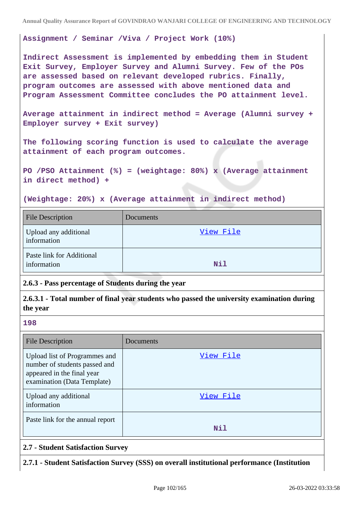#### **Assignment / Seminar /Viva / Project Work (10%)**

**Indirect Assessment is implemented by embedding them in Student Exit Survey, Employer Survey and Alumni Survey. Few of the POs are assessed based on relevant developed rubrics. Finally, program outcomes are assessed with above mentioned data and Program Assessment Committee concludes the PO attainment level.**

**Average attainment in indirect method = Average (Alumni survey + Employer survey + Exit survey)**

**The following scoring function is used to calculate the average attainment of each program outcomes.**

**PO /PSO Attainment (%) = (weightage: 80%) x (Average attainment in direct method) +**

**(Weightage: 20%) x (Average attainment in indirect method)**

| <b>File Description</b>                  | Documents |
|------------------------------------------|-----------|
| Upload any additional<br>information     | View File |
| Paste link for Additional<br>information | Nil       |

**2.6.3 - Pass percentage of Students during the year**

**2.6.3.1 - Total number of final year students who passed the university examination during the year**

**198**

| <b>File Description</b>                                                                                                     | Documents |
|-----------------------------------------------------------------------------------------------------------------------------|-----------|
| Upload list of Programmes and<br>number of students passed and<br>appeared in the final year<br>examination (Data Template) | View File |
| Upload any additional<br>information                                                                                        | View File |
| Paste link for the annual report                                                                                            | Nil       |

### **2.7 - Student Satisfaction Survey**

**2.7.1 - Student Satisfaction Survey (SSS) on overall institutional performance (Institution**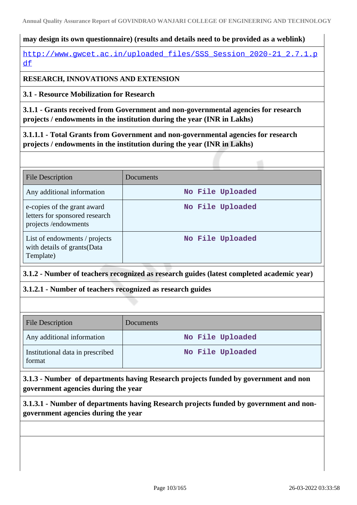# **may design its own questionnaire) (results and details need to be provided as a weblink)**

http://www.gwcet.ac.in/uploaded files/SSS Session 2020-21 2.7.1.p [df](http://www.gwcet.ac.in/uploaded_files/SSS_Session_2020-21_2.7.1.pdf)

# **RESEARCH, INNOVATIONS AND EXTENSION**

**3.1 - Resource Mobilization for Research**

**3.1.1 - Grants received from Government and non-governmental agencies for research projects / endowments in the institution during the year (INR in Lakhs)**

**3.1.1.1 - Total Grants from Government and non-governmental agencies for research projects / endowments in the institution during the year (INR in Lakhs)**

| <b>File Description</b>                                                              | Documents        |
|--------------------------------------------------------------------------------------|------------------|
| Any additional information                                                           | No File Uploaded |
| e-copies of the grant award<br>letters for sponsored research<br>projects/endowments | No File Uploaded |
| List of endowments / projects<br>with details of grants(Data<br>Template)            | No File Uploaded |

# **3.1.2 - Number of teachers recognized as research guides (latest completed academic year)**

# **3.1.2.1 - Number of teachers recognized as research guides**

| <b>File Description</b>                    | <b>Documents</b> |
|--------------------------------------------|------------------|
| Any additional information                 | No File Uploaded |
| Institutional data in prescribed<br>format | No File Uploaded |

**3.1.3 - Number of departments having Research projects funded by government and non government agencies during the year**

**3.1.3.1 - Number of departments having Research projects funded by government and nongovernment agencies during the year**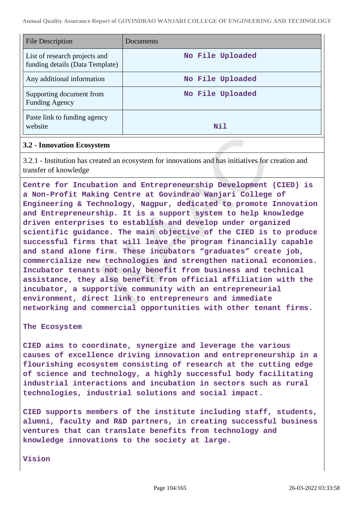| <b>File Description</b>                                          | Documents        |
|------------------------------------------------------------------|------------------|
| List of research projects and<br>funding details (Data Template) | No File Uploaded |
| Any additional information                                       | No File Uploaded |
| Supporting document from<br><b>Funding Agency</b>                | No File Uploaded |
| Paste link to funding agency<br>website                          | Nil              |

#### **3.2 - Innovation Ecosystem**

3.2.1 - Institution has created an ecosystem for innovations and has initiatives for creation and transfer of knowledge

**Centre for Incubation and Entrepreneurship Development (CIED) is a Non-Profit Making Centre at Govindrao Wanjari College of Engineering & Technology, Nagpur, dedicated to promote Innovation and Entrepreneurship. It is a support system to help knowledge driven enterprises to establish and develop under organized scientific guidance. The main objective of the CIED is to produce successful firms that will leave the program financially capable and stand alone firm. These incubators "graduates" create job, commercialize new technologies and strengthen national economies. Incubator tenants not only benefit from business and technical assistance, they also benefit from official affiliation with the incubator, a supportive community with an entrepreneurial environment, direct link to entrepreneurs and immediate networking and commercial opportunities with other tenant firms.**

#### **The Ecosystem**

**CIED aims to coordinate, synergize and leverage the various causes of excellence driving innovation and entrepreneurship in a flourishing ecosystem consisting of research at the cutting edge of science and technology, a highly successful body facilitating industrial interactions and incubation in sectors such as rural technologies, industrial solutions and social impact.**

**CIED supports members of the institute including staff, students, alumni, faculty and R&D partners, in creating successful business ventures that can translate benefits from technology and knowledge innovations to the society at large.**

**Vision**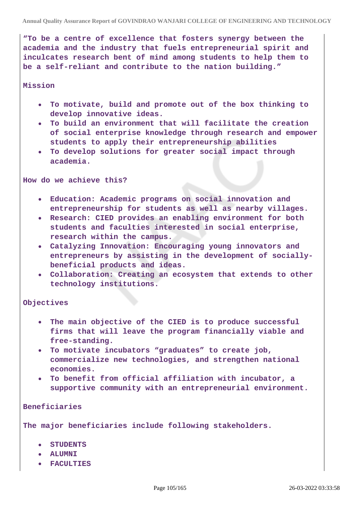**"To be a centre of excellence that fosters synergy between the academia and the industry that fuels entrepreneurial spirit and inculcates research bent of mind among students to help them to be a self-reliant and contribute to the nation building."**

#### **Mission**

- **To motivate, build and promote out of the box thinking to develop innovative ideas.**
- **To build an environment that will facilitate the creation of social enterprise knowledge through research and empower students to apply their entrepreneurship abilities**
- **To develop solutions for greater social impact through academia.**

**How do we achieve this?**

- **Education: Academic programs on social innovation and entrepreneurship for students as well as nearby villages.**
- **Research: CIED provides an enabling environment for both students and faculties interested in social enterprise, research within the campus.**
- **Catalyzing Innovation: Encouraging young innovators and entrepreneurs by assisting in the development of sociallybeneficial products and ideas.**
- **Collaboration: Creating an ecosystem that extends to other technology institutions.**

### **Objectives**

- **The main objective of the CIED is to produce successful firms that will leave the program financially viable and free-standing.**
- **To motivate incubators "graduates" to create job, commercialize new technologies, and strengthen national economies.**
- **To benefit from official affiliation with incubator, a supportive community with an entrepreneurial environment.**

**Beneficiaries**

**The major beneficiaries include following stakeholders.**

- **STUDENTS**
- **ALUMNI**
- **FACULTIES**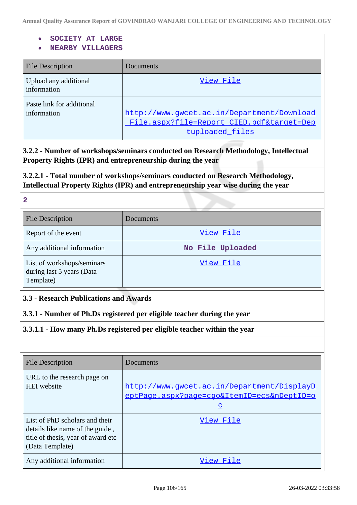#### **SOCIETY AT LARGE**

### **NEARBY VILLAGERS**

| <b>File Description</b>                  | Documents                                                                                            |
|------------------------------------------|------------------------------------------------------------------------------------------------------|
| Upload any additional<br>information     | View File                                                                                            |
| Paste link for additional<br>information | http://www.qwcet.ac.in/Department/Download<br>File.aspx?file=Report CIED.pdf⌖=Dep<br>tuploaded files |

**3.2.2 - Number of workshops/seminars conducted on Research Methodology, Intellectual Property Rights (IPR) and entrepreneurship during the year**

**3.2.2.1 - Total number of workshops/seminars conducted on Research Methodology, Intellectual Property Rights (IPR) and entrepreneurship year wise during the year**

### **2**

| <b>File Description</b>                                              | Documents        |
|----------------------------------------------------------------------|------------------|
| Report of the event                                                  | View File        |
| Any additional information                                           | No File Uploaded |
| List of workshops/seminars<br>during last 5 years (Data<br>Template) | View File        |

## **3.3 - Research Publications and Awards**

**3.3.1 - Number of Ph.Ds registered per eligible teacher during the year**

## **3.3.1.1 - How many Ph.Ds registered per eligible teacher within the year**

| <b>File Description</b>                                                                                                    | Documents                                                                                               |
|----------------------------------------------------------------------------------------------------------------------------|---------------------------------------------------------------------------------------------------------|
| URL to the research page on<br><b>HEI</b> website                                                                          | http://www.gwcet.ac.in/Department/DisplayD<br>eptPage.aspx?page=cgo&ItemID=ecs&nDeptID=o<br>$\mathbf C$ |
| List of PhD scholars and their<br>details like name of the guide,<br>title of thesis, year of award etc<br>(Data Template) | View File                                                                                               |
| Any additional information                                                                                                 | View File                                                                                               |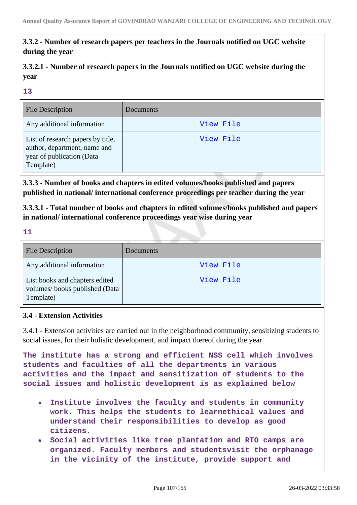# **3.3.2 - Number of research papers per teachers in the Journals notified on UGC website during the year**

**3.3.2.1 - Number of research papers in the Journals notified on UGC website during the year**

**13**

| <b>File Description</b>                                                                                     | Documents |
|-------------------------------------------------------------------------------------------------------------|-----------|
| Any additional information                                                                                  | View File |
| List of research papers by title,<br>author, department, name and<br>year of publication (Data<br>Template) | View File |

**3.3.3 - Number of books and chapters in edited volumes/books published and papers published in national/ international conference proceedings per teacher during the year**

**3.3.3.1 - Total number of books and chapters in edited volumes/books published and papers in national/ international conference proceedings year wise during year**

**11**

| <b>File Description</b>                                                      | Documents |
|------------------------------------------------------------------------------|-----------|
| Any additional information                                                   | View File |
| List books and chapters edited<br>volumes/books published (Data<br>Template) | View File |

# **3.4 - Extension Activities**

3.4.1 - Extension activities are carried out in the neighborhood community, sensitizing students to social issues, for their holistic development, and impact thereof during the year

**The institute has a strong and efficient NSS cell which involves students and faculties of all the departments in various activities and the impact and sensitization of students to the social issues and holistic development is as explained below**

- **Institute involves the faculty and students in community work. This helps the students to learnethical values and understand their responsibilities to develop as good citizens.**
- **Social activities like tree plantation and RTO camps are organized. Faculty members and studentsvisit the orphanage in the vicinity of the institute, provide support and**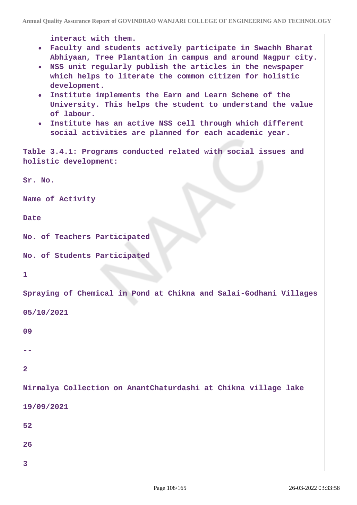**Annual Quality Assurance Report of GOVINDRAO WANJARI COLLEGE OF ENGINEERING AND TECHNOLOGY**

```
interact with them.
   Faculty and students actively participate in Swachh Bharat
      Abhiyaan, Tree Plantation in campus and around Nagpur city.
   NSS unit regularly publish the articles in the newspaper
      which helps to literate the common citizen for holistic
      development.
   Institute implements the Earn and Learn Scheme of the
      University. This helps the student to understand the value
      of labour.
   Institute has an active NSS cell through which different
      social activities are planned for each academic year.
Table 3.4.1: Programs conducted related with social issues and
holistic development:
Sr. No. 
Name of Activity
Date
No. of Teachers Participated
No. of Students Participated
1
Spraying of Chemical in Pond at Chikna and Salai-Godhani Villages
05/10/2021
09
--
2
Nirmalya Collection on AnantChaturdashi at Chikna village lake
19/09/2021
52
26
3
```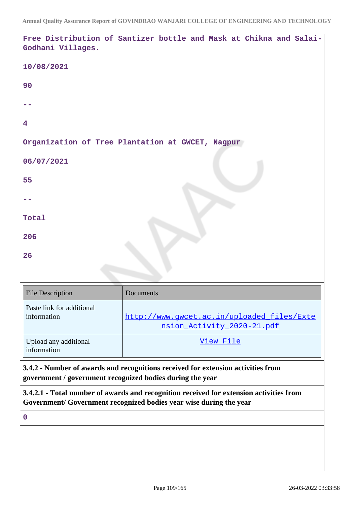| Godhani Villages.                                         | Free Distribution of Santizer bottle and Mask at Chikna and Salai-                                                                                            |
|-----------------------------------------------------------|---------------------------------------------------------------------------------------------------------------------------------------------------------------|
| 10/08/2021                                                |                                                                                                                                                               |
| 90                                                        |                                                                                                                                                               |
|                                                           |                                                                                                                                                               |
| 4                                                         |                                                                                                                                                               |
|                                                           | Organization of Tree Plantation at GWCET, Nagpur                                                                                                              |
| 06/07/2021                                                |                                                                                                                                                               |
| 55                                                        |                                                                                                                                                               |
|                                                           |                                                                                                                                                               |
| Total                                                     |                                                                                                                                                               |
| 206                                                       |                                                                                                                                                               |
| 26                                                        |                                                                                                                                                               |
|                                                           |                                                                                                                                                               |
| <b>File Description</b>                                   | Documents                                                                                                                                                     |
| Paste link for additional<br>information                  | http://www.gwcet.ac.in/uploaded_files/Exte<br>nsion_Activity_2020-21.pdf                                                                                      |
| Upload any additional<br>information                      | View File                                                                                                                                                     |
| government / government recognized bodies during the year | 3.4.2 - Number of awards and recognitions received for extension activities from                                                                              |
|                                                           | 3.4.2.1 - Total number of awards and recognition received for extension activities from<br>Government/ Government recognized bodies year wise during the year |
| $\mathbf 0$                                               |                                                                                                                                                               |
|                                                           |                                                                                                                                                               |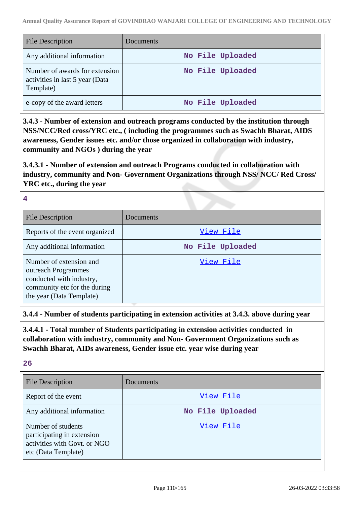| <b>File Description</b>                                                        | Documents        |
|--------------------------------------------------------------------------------|------------------|
| Any additional information                                                     | No File Uploaded |
| Number of awards for extension<br>activities in last 5 year (Data<br>Template) | No File Uploaded |
| e-copy of the award letters                                                    | No File Uploaded |

**3.4.3 - Number of extension and outreach programs conducted by the institution through NSS/NCC/Red cross/YRC etc., ( including the programmes such as Swachh Bharat, AIDS awareness, Gender issues etc. and/or those organized in collaboration with industry, community and NGOs ) during the year**

**3.4.3.1 - Number of extension and outreach Programs conducted in collaboration with industry, community and Non- Government Organizations through NSS/ NCC/ Red Cross/ YRC etc., during the year**

### **4**

| <b>File Description</b>                                                                                                                | Documents        |
|----------------------------------------------------------------------------------------------------------------------------------------|------------------|
| Reports of the event organized                                                                                                         | View File        |
| Any additional information                                                                                                             | No File Uploaded |
| Number of extension and<br>outreach Programmes<br>conducted with industry,<br>community etc for the during<br>the year (Data Template) | View File        |

**3.4.4 - Number of students participating in extension activities at 3.4.3. above during year**

**3.4.4.1 - Total number of Students participating in extension activities conducted in collaboration with industry, community and Non- Government Organizations such as Swachh Bharat, AIDs awareness, Gender issue etc. year wise during year**

| u.<br>۰. |
|----------|
| ×<br>v   |

| <b>File Description</b>                                                                                 | Documents        |
|---------------------------------------------------------------------------------------------------------|------------------|
| Report of the event                                                                                     | View File        |
| Any additional information                                                                              | No File Uploaded |
| Number of students<br>participating in extension<br>activities with Govt. or NGO<br>etc (Data Template) | View File        |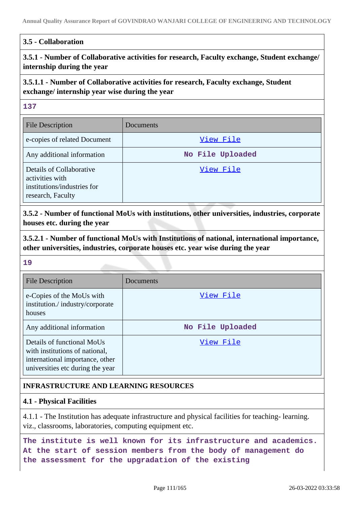### **3.5 - Collaboration**

# **3.5.1 - Number of Collaborative activities for research, Faculty exchange, Student exchange/ internship during the year**

# **3.5.1.1 - Number of Collaborative activities for research, Faculty exchange, Student exchange/ internship year wise during the year**

### **137**

| <b>File Description</b>                                                                         | Documents        |
|-------------------------------------------------------------------------------------------------|------------------|
| e-copies of related Document                                                                    | View File        |
| Any additional information                                                                      | No File Uploaded |
| Details of Collaborative<br>activities with<br>institutions/industries for<br>research, Faculty | View File        |

**3.5.2 - Number of functional MoUs with institutions, other universities, industries, corporate houses etc. during the year**

**3.5.2.1 - Number of functional MoUs with Institutions of national, international importance, other universities, industries, corporate houses etc. year wise during the year**

### **19**

| <b>File Description</b>                                                                                                             | Documents        |
|-------------------------------------------------------------------------------------------------------------------------------------|------------------|
| e-Copies of the MoUs with<br>institution./industry/corporate<br>houses                                                              | View File        |
| Any additional information                                                                                                          | No File Uploaded |
| Details of functional MoUs<br>with institutions of national,<br>international importance, other<br>universities etc during the year | View File        |

# **INFRASTRUCTURE AND LEARNING RESOURCES**

### **4.1 - Physical Facilities**

4.1.1 - The Institution has adequate infrastructure and physical facilities for teaching- learning. viz., classrooms, laboratories, computing equipment etc.

**The institute is well known for its infrastructure and academics. At the start of session members from the body of management do the assessment for the upgradation of the existing**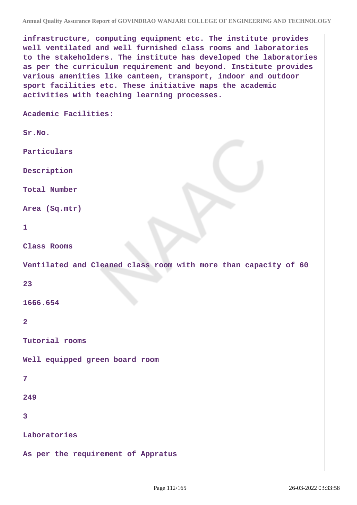**infrastructure, computing equipment etc. The institute provides well ventilated and well furnished class rooms and laboratories to the stakeholders. The institute has developed the laboratories as per the curriculum requirement and beyond. Institute provides various amenities like canteen, transport, indoor and outdoor sport facilities etc. These initiative maps the academic activities with teaching learning processes.**

**Academic Facilities:**

**Sr.No.**

**Particulars**

**Description**

**Total Number**

**Area (Sq.mtr)**

```
1
```
**Class Rooms**

**Ventilated and Cleaned class room with more than capacity of 60**

#### **23**

**1666.654**

```
2
```
**Tutorial rooms**

**Well equipped green board room**

#### **7**

**249**

**3**

**Laboratories**

**As per the requirement of Appratus**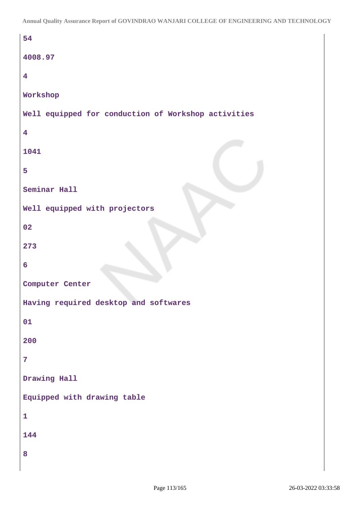```
54
4008.97
4
Workshop
Well equipped for conduction of Workshop activities
4
1041
5
Seminar Hall
Well equipped with projectors
02
273
6
Computer Center
Having required desktop and softwares
01
200
7
Drawing Hall
Equipped with drawing table
1
144
8
```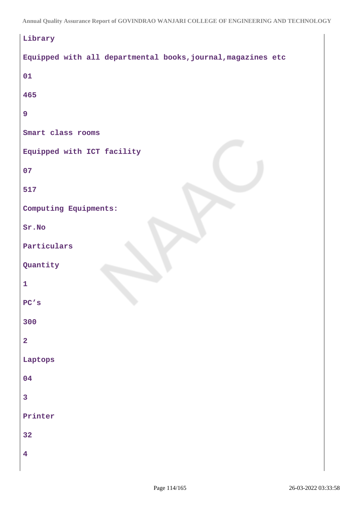| Library                                                      |
|--------------------------------------------------------------|
| Equipped with all departmental books, journal, magazines etc |
| 01                                                           |
| 465                                                          |
| $\overline{9}$                                               |
| Smart class rooms                                            |
| Equipped with ICT facility                                   |
| 07                                                           |
| 517                                                          |
| Computing Equipments:                                        |
| Sr.No                                                        |
| Particulars                                                  |
| Quantity                                                     |
| $\mathbf{1}$                                                 |
| PC's                                                         |
| 300                                                          |
| $\overline{\mathbf{2}}$                                      |
| Laptops                                                      |
| 04                                                           |
| $\overline{\mathbf{3}}$                                      |
| Printer                                                      |
| 32                                                           |
| $\overline{\mathbf{4}}$                                      |
|                                                              |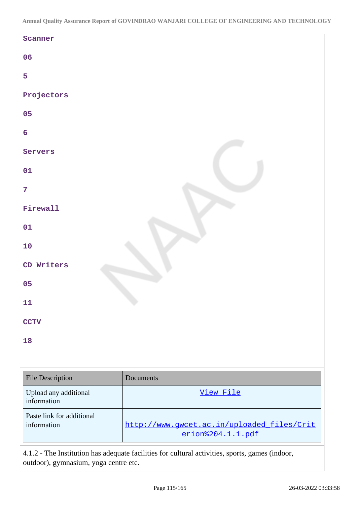| Scanner                                  |                                                                 |
|------------------------------------------|-----------------------------------------------------------------|
| 06                                       |                                                                 |
| 5                                        |                                                                 |
| Projectors                               |                                                                 |
| 05                                       |                                                                 |
| $6\phantom{a}$                           |                                                                 |
| Servers                                  |                                                                 |
| 01                                       |                                                                 |
| $\overline{7}$                           |                                                                 |
| Firewall                                 |                                                                 |
| 01                                       |                                                                 |
| $\bf{10}$                                |                                                                 |
| CD Writers                               |                                                                 |
| 05                                       |                                                                 |
| 11                                       |                                                                 |
| <b>CCTV</b>                              |                                                                 |
| 18                                       |                                                                 |
|                                          |                                                                 |
| File Description                         | Documents                                                       |
| Upload any additional<br>information     | View File                                                       |
| Paste link for additional<br>information | http://www.gwcet.ac.in/uploaded_files/Crit<br>erion%204.1.1.pdf |
|                                          |                                                                 |

4.1.2 - The Institution has adequate facilities for cultural activities, sports, games (indoor, outdoor), gymnasium, yoga centre etc.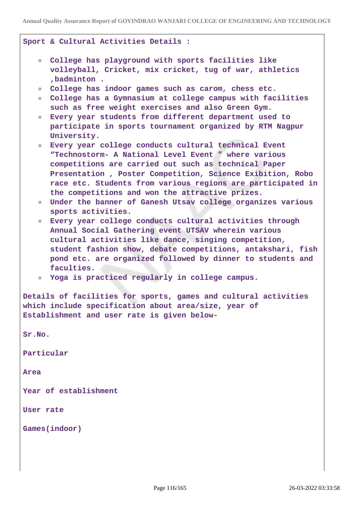|            | Sport & Cultural Activities Details :                                                                                           |
|------------|---------------------------------------------------------------------------------------------------------------------------------|
|            | O College has playground with sports facilities like<br>volleyball, Cricket, mix cricket, tug of war, athletics<br>, badminton. |
| $\circ$    | College has indoor games such as carom, chess etc.                                                                              |
| $\circ$    | College has a Gymnasium at college campus with facilities                                                                       |
|            | such as free weight exercises and also Green Gym.                                                                               |
| $\circ$    | Every year students from different department used to                                                                           |
|            | participate in sports tournament organized by RTM Nagpur<br>University.                                                         |
| $\circ$    | Every year college conducts cultural technical Event                                                                            |
|            | "Technostorm- A National Level Event " where various                                                                            |
|            | competitions are carried out such as technical Paper                                                                            |
|            | Presentation, Poster Competition, Science Exibition, Robo                                                                       |
|            | race etc. Students from various regions are participated in                                                                     |
|            | the competitions and won the attractive prizes.                                                                                 |
|            | • Under the banner of Ganesh Utsav college organizes various<br>sports activities.                                              |
|            | • Every year college conducts cultural activities through                                                                       |
|            | Annual Social Gathering event UTSAV wherein various                                                                             |
|            | cultural activities like dance, singing competition,                                                                            |
|            | student fashion show, debate competitions, antakshari, fish                                                                     |
|            | pond etc. are organized followed by dinner to students and                                                                      |
|            | faculties.                                                                                                                      |
|            | • Yoga is practiced regularly in college campus.                                                                                |
|            | Details of facilities for sports, games and cultural activities<br>which include specification about area/size, year of         |
|            | Establishment and user rate is given below-                                                                                     |
|            |                                                                                                                                 |
| Sr.No.     |                                                                                                                                 |
| Particular |                                                                                                                                 |
| Area       |                                                                                                                                 |
|            | Year of establishment                                                                                                           |
| User rate  |                                                                                                                                 |
|            | Games(indoor)                                                                                                                   |
|            |                                                                                                                                 |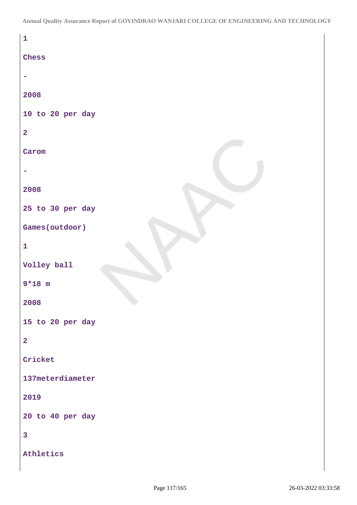| $\mathbf 1$             |
|-------------------------|
| Chess                   |
|                         |
| 2008                    |
| 10 to 20 per day        |
| $\overline{\mathbf{2}}$ |
| Carom                   |
|                         |
| 2008                    |
| 25 to 30 per day        |
| Games (outdoor)         |
| $\mathbf{1}$            |
| Volley ball             |
| $9*18$ m                |
| 2008                    |
| 15 to 20 per day        |
| $\overline{\mathbf{2}}$ |
| Cricket                 |
| 137meterdiameter        |
| 2019                    |
| 20 to 40 per day        |
| $\overline{\mathbf{3}}$ |
| Athletics               |
|                         |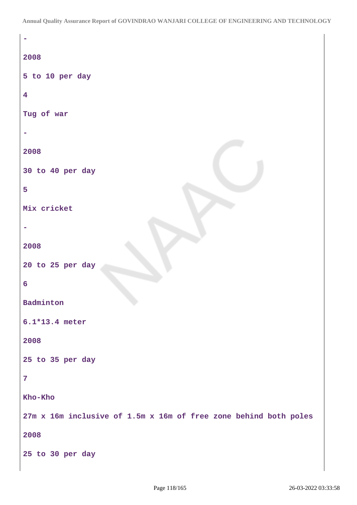| 2008                                                             |
|------------------------------------------------------------------|
| 5 to 10 per day                                                  |
| $\overline{\mathbf{4}}$                                          |
| Tug of war                                                       |
|                                                                  |
| 2008                                                             |
| 30 to 40 per day                                                 |
| 5                                                                |
| Mix cricket                                                      |
|                                                                  |
| 2008                                                             |
| 20 to 25 per day                                                 |
| 6                                                                |
| Badminton                                                        |
| 6.1*13.4 meter                                                   |
| 2008                                                             |
| 25 to 35 per day                                                 |
| $\overline{7}$                                                   |
| Kho-Kho                                                          |
| 27m x 16m inclusive of 1.5m x 16m of free zone behind both poles |
| 2008                                                             |
| 25 to 30 per day                                                 |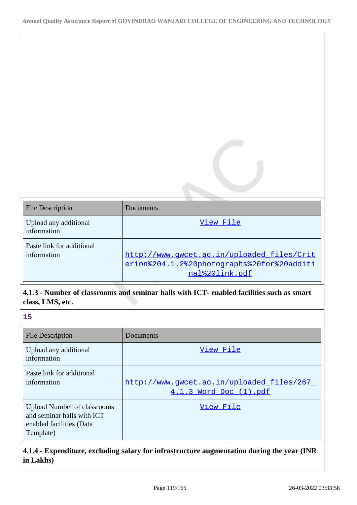| <b>File Description</b>                  | Documents                                                                                                  |
|------------------------------------------|------------------------------------------------------------------------------------------------------------|
| Upload any additional<br>information     | View File                                                                                                  |
| Paste link for additional<br>information | http://www.qwcet.ac.in/uploaded files/Crit<br>erion%204.1.2%20photographs%20for%20additi<br>nal%20link.pdf |

# **4.1.3 - Number of classrooms and seminar halls with ICT- enabled facilities such as smart class, LMS, etc.**

| - 1 | v  |
|-----|----|
|     | ۰. |

| <b>File Description</b>                                                                                   | Documents                                                           |
|-----------------------------------------------------------------------------------------------------------|---------------------------------------------------------------------|
| Upload any additional<br>information                                                                      | View File                                                           |
| Paste link for additional<br>information                                                                  | http://www.qwcet.ac.in/uploaded files/267<br>4.1.3 Word Doc (1).pdf |
| <b>Upload Number of classrooms</b><br>and seminar halls with ICT<br>enabled facilities (Data<br>Template) | View File                                                           |

# **4.1.4 - Expenditure, excluding salary for infrastructure augmentation during the year (INR in Lakhs)**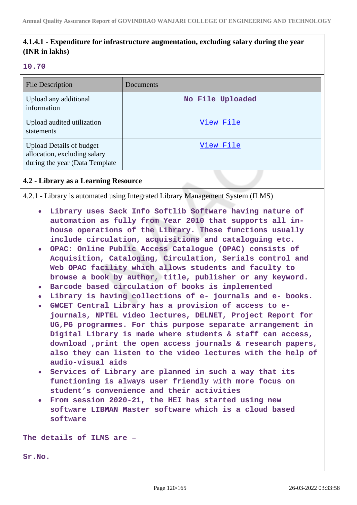# **4.1.4.1 - Expenditure for infrastructure augmentation, excluding salary during the year (INR in lakhs)**

#### **10.70**

| <b>File Description</b>                                                                            | Documents        |
|----------------------------------------------------------------------------------------------------|------------------|
| Upload any additional<br>information                                                               | No File Uploaded |
| Upload audited utilization<br>statements                                                           | View File        |
| <b>Upload Details of budget</b><br>allocation, excluding salary<br>during the year (Data Template) | View File        |

### **4.2 - Library as a Learning Resource**

4.2.1 - Library is automated using Integrated Library Management System (ILMS)

- **Library uses Sack Info Softlib Software having nature of automation as fully from Year 2010 that supports all inhouse operations of the Library. These functions usually include circulation, acquisitions and cataloguing etc.**
- **OPAC: Online Public Access Catalogue (OPAC) consists of Acquisition, Cataloging, Circulation, Serials control and Web OPAC facility which allows students and faculty to browse a book by author, title, publisher or any keyword.**
- **Barcode based circulation of books is implemented**
- **Library is having collections of e- journals and e- books.**
- **GWCET Central Library has a provision of access to ejournals, NPTEL video lectures, DELNET, Project Report for UG,PG programmes. For this purpose separate arrangement in Digital Library is made where students & staff can access, download ,print the open access journals & research papers, also they can listen to the video lectures with the help of audio-visual aids**
- **Services of Library are planned in such a way that its functioning is always user friendly with more focus on student's convenience and their activities**
- **From session 2020-21, the HEI has started using new software LIBMAN Master software which is a cloud based software**

**The details of ILMS are –**

**Sr.No.**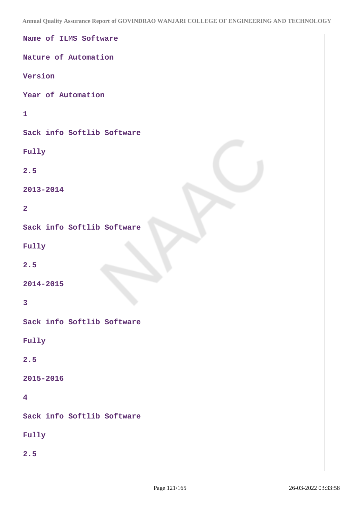| Name of ILMS Software      |
|----------------------------|
| Nature of Automation       |
| Version                    |
| Year of Automation         |
| $\mathbf{1}$               |
| Sack info Softlib Software |
| Fully                      |
| 2.5                        |
| 2013-2014                  |
| $\overline{2}$             |
| Sack info Softlib Software |
| Fully                      |
| 2.5                        |
| 2014-2015                  |
| $\overline{\mathbf{3}}$    |
| Sack info Softlib Software |
| Fully                      |
| 2.5                        |
| 2015-2016                  |
| $\overline{\mathbf{4}}$    |
| Sack info Softlib Software |
| Fully                      |
| 2.5                        |
|                            |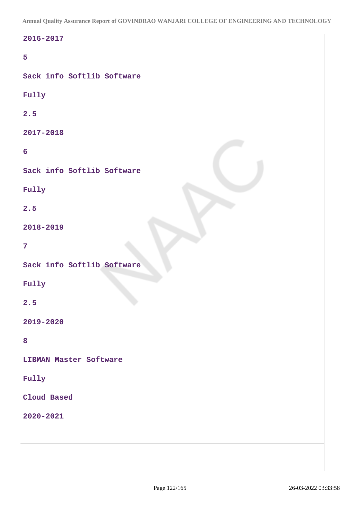| 2016-2017                     |
|-------------------------------|
| 5                             |
| Sack info Softlib Software    |
| Fully                         |
| 2.5                           |
| 2017-2018                     |
| $6\phantom{1}$                |
| Sack info Softlib Software    |
| Fully                         |
| 2.5                           |
| 2018-2019                     |
| $\overline{7}$                |
| Sack info Softlib Software    |
| Fully                         |
| 2.5                           |
| 2019-2020                     |
| 8                             |
| <b>LIBMAN Master Software</b> |
| Fully                         |
| Cloud Based                   |
| 2020-2021                     |
|                               |
|                               |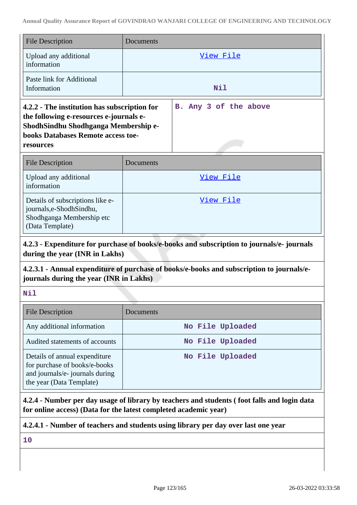| <b>File Description</b>                                                                                                                                                            | Documents |                       |  |
|------------------------------------------------------------------------------------------------------------------------------------------------------------------------------------|-----------|-----------------------|--|
| Upload any additional<br>information                                                                                                                                               |           | View File             |  |
| Paste link for Additional<br>Information                                                                                                                                           |           | Nil                   |  |
| 4.2.2 - The institution has subscription for<br>the following e-resources e-journals e-<br>ShodhSindhu Shodhganga Membership e-<br>books Databases Remote access toe-<br>resources |           | B. Any 3 of the above |  |
| <b>File Description</b>                                                                                                                                                            | Documents |                       |  |
| Upload any additional<br>information                                                                                                                                               |           | <u>View File</u>      |  |
| Details of subscriptions like e-<br>journals, e-Shodh Sindhu,<br>Shodhganga Membership etc<br>(Data Template)                                                                      |           | View File             |  |

# **4.2.3 - Expenditure for purchase of books/e-books and subscription to journals/e- journals during the year (INR in Lakhs)**

# **4.2.3.1 - Annual expenditure of purchase of books/e-books and subscription to journals/ejournals during the year (INR in Lakhs)**

**Nil**

| <b>File Description</b>                                                                                                       | Documents        |
|-------------------------------------------------------------------------------------------------------------------------------|------------------|
| Any additional information                                                                                                    | No File Uploaded |
| Audited statements of accounts                                                                                                | No File Uploaded |
| Details of annual expenditure<br>for purchase of books/e-books<br>and journals/e- journals during<br>the year (Data Template) | No File Uploaded |

**4.2.4 - Number per day usage of library by teachers and students ( foot falls and login data for online access) (Data for the latest completed academic year)**

# **4.2.4.1 - Number of teachers and students using library per day over last one year**

**10**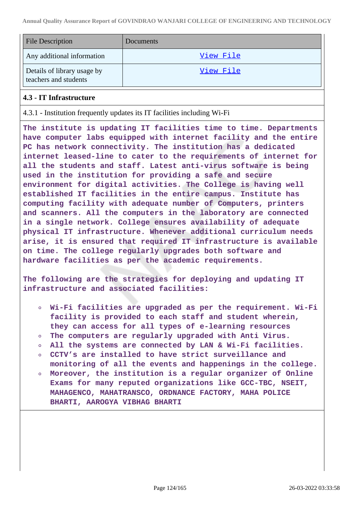| <b>File Description</b>                              | Documents |
|------------------------------------------------------|-----------|
| Any additional information                           | View File |
| Details of library usage by<br>teachers and students | View File |

### **4.3 - IT Infrastructure**

4.3.1 - Institution frequently updates its IT facilities including Wi-Fi

**The institute is updating IT facilities time to time. Departments have computer labs equipped with internet facility and the entire PC has network connectivity. The institution has a dedicated internet leased-line to cater to the requirements of internet for all the students and staff. Latest anti-virus software is being used in the institution for providing a safe and secure environment for digital activities. The College is having well established IT facilities in the entire campus. Institute has computing facility with adequate number of Computers, printers and scanners. All the computers in the laboratory are connected in a single network. College ensures availability of adequate physical IT infrastructure. Whenever additional curriculum needs arise, it is ensured that required IT infrastructure is available on time. The college regularly upgrades both software and hardware facilities as per the academic requirements.**

**The following are the strategies for deploying and updating IT infrastructure and associated facilities:**

- **Wi-Fi facilities are upgraded as per the requirement. Wi-Fi facility is provided to each staff and student wherein, they can access for all types of e-learning resources**
- **The computers are regularly upgraded with Anti Virus.**
- **All the systems are connected by LAN & Wi-Fi facilities.**
- **CCTV's are installed to have strict surveillance and monitoring of all the events and happenings in the college.**
- **Moreover, the institution is a regular organizer of Online Exams for many reputed organizations like GCC-TBC, NSEIT, MAHAGENCO, MAHATRANSCO, ORDNANCE FACTORY, MAHA POLICE BHARTI, AAROGYA VIBHAG BHARTI**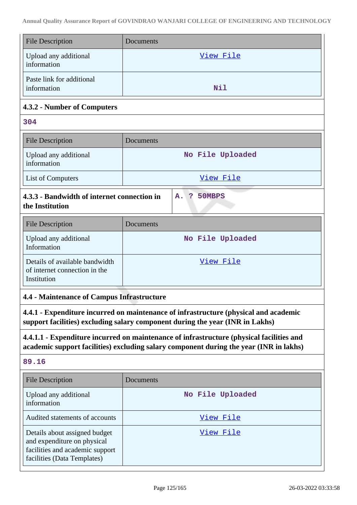| <b>File Description</b>                                                                                                                                                            | Documents           |  |
|------------------------------------------------------------------------------------------------------------------------------------------------------------------------------------|---------------------|--|
| Upload any additional<br>information                                                                                                                                               | View File           |  |
| Paste link for additional<br>information                                                                                                                                           | Nil                 |  |
| 4.3.2 - Number of Computers                                                                                                                                                        |                     |  |
| 304                                                                                                                                                                                |                     |  |
| <b>File Description</b>                                                                                                                                                            | Documents           |  |
| Upload any additional<br>information                                                                                                                                               | No File Uploaded    |  |
| List of Computers                                                                                                                                                                  | View File           |  |
| 4.3.3 - Bandwidth of internet connection in<br>the Institution                                                                                                                     | - ?<br>50MBPS<br>A. |  |
| <b>File Description</b>                                                                                                                                                            | Documents           |  |
| Upload any additional<br>Information                                                                                                                                               | No File Uploaded    |  |
| Details of available bandwidth<br>of internet connection in the<br>Institution                                                                                                     | View File           |  |
| <b>4.4 - Maintenance of Campus Infrastructure</b>                                                                                                                                  |                     |  |
| 4.4.1 - Expenditure incurred on maintenance of infrastructure (physical and academic<br>support facilities) excluding salary component during the year (INR in Lakhs)              |                     |  |
| 4.4.1.1 - Expenditure incurred on maintenance of infrastructure (physical facilities and<br>academic support facilities) excluding salary component during the year (INR in lakhs) |                     |  |
| 89.16                                                                                                                                                                              |                     |  |
| <b>File Description</b>                                                                                                                                                            | <b>Documents</b>    |  |
| Upload any additional<br>information                                                                                                                                               | No File Uploaded    |  |
| Audited statements of accounts                                                                                                                                                     | View File           |  |
| Details about assigned budget<br>and expenditure on physical<br>facilities and academic support<br>facilities (Data Templates)                                                     | <u>View File</u>    |  |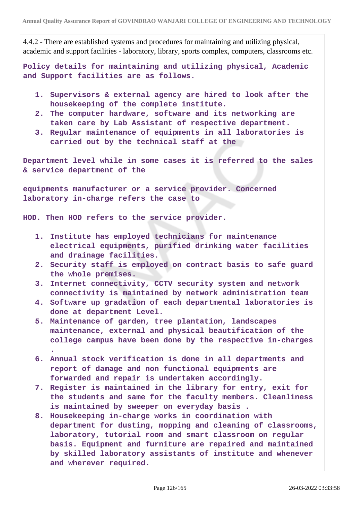4.4.2 - There are established systems and procedures for maintaining and utilizing physical, academic and support facilities - laboratory, library, sports complex, computers, classrooms etc.

**Policy details for maintaining and utilizing physical, Academic and Support facilities are as follows.**

- **1. Supervisors & external agency are hired to look after the housekeeping of the complete institute.**
- **2. The computer hardware, software and its networking are taken care by Lab Assistant of respective department.**
- **3. Regular maintenance of equipments in all laboratories is carried out by the technical staff at the**

**Department level while in some cases it is referred to the sales & service department of the**

**equipments manufacturer or a service provider. Concerned laboratory in-charge refers the case to**

**HOD. Then HOD refers to the service provider.**

- **1. Institute has employed technicians for maintenance electrical equipments, purified drinking water facilities and drainage facilities.**
- **2. Security staff is employed on contract basis to safe guard the whole premises.**
- **3. Internet connectivity, CCTV security system and network connectivity is maintained by network administration team**
- **4. Software up gradation of each departmental laboratories is done at department Level.**
- **5. Maintenance of garden, tree plantation, landscapes maintenance, external and physical beautification of the college campus have been done by the respective in-charges .**
- **6. Annual stock verification is done in all departments and report of damage and non functional equipments are forwarded and repair is undertaken accordingly.**
- **7. Register is maintained in the library for entry, exit for the students and same for the faculty members. Cleanliness is maintained by sweeper on everyday basis .**
- **8. Housekeeping in-charge works in coordination with department for dusting, mopping and cleaning of classrooms, laboratory, tutorial room and smart classroom on regular basis. Equipment and furniture are repaired and maintained by skilled laboratory assistants of institute and whenever and wherever required.**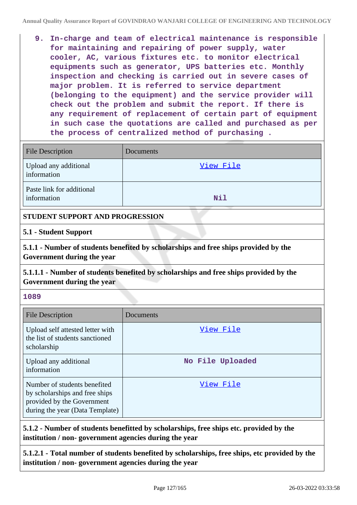**9. In-charge and team of electrical maintenance is responsible for maintaining and repairing of power supply, water cooler, AC, various fixtures etc. to monitor electrical equipments such as generator, UPS batteries etc. Monthly inspection and checking is carried out in severe cases of major problem. It is referred to service department (belonging to the equipment) and the service provider will check out the problem and submit the report. If there is any requirement of replacement of certain part of equipment in such case the quotations are called and purchased as per the process of centralized method of purchasing .**

| <b>File Description</b>                  | Documents |
|------------------------------------------|-----------|
| Upload any additional<br>information     | View File |
| Paste link for additional<br>information | Nil       |

### **STUDENT SUPPORT AND PROGRESSION**

### **5.1 - Student Support**

**5.1.1 - Number of students benefited by scholarships and free ships provided by the Government during the year**

**5.1.1.1 - Number of students benefited by scholarships and free ships provided by the Government during the year**

### **1089**

| File Description                                                                                                                | Documents        |
|---------------------------------------------------------------------------------------------------------------------------------|------------------|
| Upload self attested letter with<br>the list of students sanctioned<br>scholarship                                              | View File        |
| Upload any additional<br>information                                                                                            | No File Uploaded |
| Number of students benefited<br>by scholarships and free ships<br>provided by the Government<br>during the year (Data Template) | View File        |

**5.1.2 - Number of students benefitted by scholarships, free ships etc. provided by the institution / non- government agencies during the year**

**5.1.2.1 - Total number of students benefited by scholarships, free ships, etc provided by the institution / non- government agencies during the year**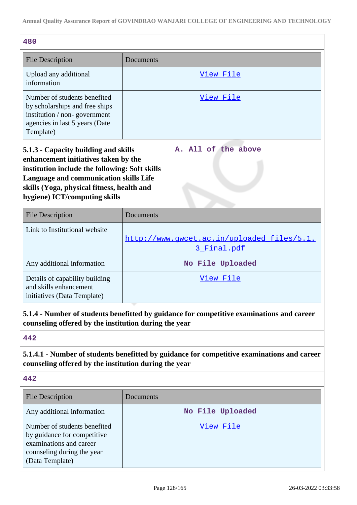| Documents                                                                                                                                                                                                                                            |  |  |  |
|------------------------------------------------------------------------------------------------------------------------------------------------------------------------------------------------------------------------------------------------------|--|--|--|
| <u>View File</u>                                                                                                                                                                                                                                     |  |  |  |
| View File                                                                                                                                                                                                                                            |  |  |  |
| A. All of the above<br>5.1.3 - Capacity building and skills<br>enhancement initiatives taken by the<br>institution include the following: Soft skills<br><b>Language and communication skills Life</b><br>skills (Yoga, physical fitness, health and |  |  |  |
| Documents                                                                                                                                                                                                                                            |  |  |  |
| http://www.gwcet.ac.in/uploaded files/5.1.<br>3 Final.pdf                                                                                                                                                                                            |  |  |  |
| No File Uploaded                                                                                                                                                                                                                                     |  |  |  |
| View File                                                                                                                                                                                                                                            |  |  |  |
| 5.1.4 - Number of students benefitted by guidance for competitive examinations and career<br>counseling offered by the institution during the year                                                                                                   |  |  |  |
|                                                                                                                                                                                                                                                      |  |  |  |
| 5.1.4.1 - Number of students benefitted by guidance for competitive examinations and career<br>counseling offered by the institution during the year                                                                                                 |  |  |  |
|                                                                                                                                                                                                                                                      |  |  |  |
| Documents                                                                                                                                                                                                                                            |  |  |  |
| No File Uploaded                                                                                                                                                                                                                                     |  |  |  |
| <u>View File</u>                                                                                                                                                                                                                                     |  |  |  |
|                                                                                                                                                                                                                                                      |  |  |  |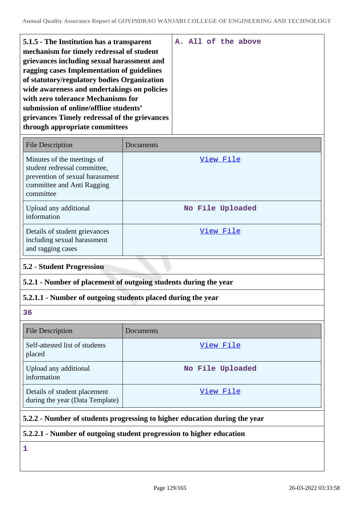| 5.1.5 - The Institution has a transparent<br>mechanism for timely redressal of student<br>grievances including sexual harassment and<br>ragging cases Implementation of guidelines |  |  | A. All of the above |
|------------------------------------------------------------------------------------------------------------------------------------------------------------------------------------|--|--|---------------------|
| of statutory/regulatory bodies Organization                                                                                                                                        |  |  |                     |
| wide awareness and undertakings on policies                                                                                                                                        |  |  |                     |
| with zero tolerance Mechanisms for                                                                                                                                                 |  |  |                     |
| submission of online/offline students'                                                                                                                                             |  |  |                     |
| grievances Timely redressal of the grievances<br>through appropriate committees                                                                                                    |  |  |                     |
|                                                                                                                                                                                    |  |  |                     |

| <b>File Description</b>                                                                                                                  | Documents        |
|------------------------------------------------------------------------------------------------------------------------------------------|------------------|
| Minutes of the meetings of<br>student redressal committee,<br>prevention of sexual harassment<br>committee and Anti Ragging<br>committee | View File        |
| Upload any additional<br>information                                                                                                     | No File Uploaded |
| Details of student grievances<br>including sexual harassment<br>and ragging cases                                                        | View File        |

### **5.2 - Student Progression**

# **5.2.1 - Number of placement of outgoing students during the year**

### **5.2.1.1 - Number of outgoing students placed during the year**

**36**

| <b>File Description</b>                                         | Documents        |
|-----------------------------------------------------------------|------------------|
| Self-attested list of students<br>placed                        | View File        |
| Upload any additional<br>information                            | No File Uploaded |
| Details of student placement<br>during the year (Data Template) | View File        |

### **5.2.2 - Number of students progressing to higher education during the year**

### **5.2.2.1 - Number of outgoing student progression to higher education**

**1**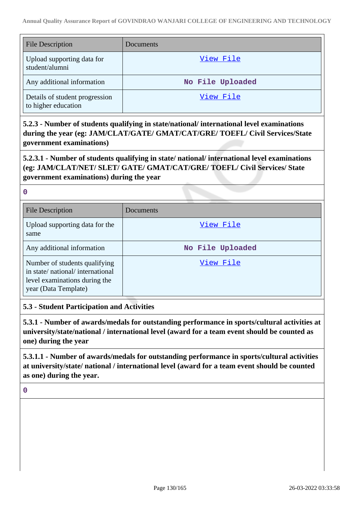| <b>File Description</b>                               | Documents        |
|-------------------------------------------------------|------------------|
| Upload supporting data for<br>student/alumni          | View File        |
| Any additional information                            | No File Uploaded |
| Details of student progression<br>to higher education | View File        |

**5.2.3 - Number of students qualifying in state/national/ international level examinations during the year (eg: JAM/CLAT/GATE/ GMAT/CAT/GRE/ TOEFL/ Civil Services/State government examinations)**

**5.2.3.1 - Number of students qualifying in state/ national/ international level examinations (eg: JAM/CLAT/NET/ SLET/ GATE/ GMAT/CAT/GRE/ TOEFL/ Civil Services/ State government examinations) during the year**

**0**

| <b>File Description</b>                                                                                                   | Documents        |
|---------------------------------------------------------------------------------------------------------------------------|------------------|
| Upload supporting data for the<br>same                                                                                    | View File        |
| Any additional information                                                                                                | No File Uploaded |
| Number of students qualifying<br>in state/national/international<br>level examinations during the<br>year (Data Template) | View File        |

# **5.3 - Student Participation and Activities**

**5.3.1 - Number of awards/medals for outstanding performance in sports/cultural activities at university/state/national / international level (award for a team event should be counted as one) during the year**

**5.3.1.1 - Number of awards/medals for outstanding performance in sports/cultural activities at university/state/ national / international level (award for a team event should be counted as one) during the year.**

**0**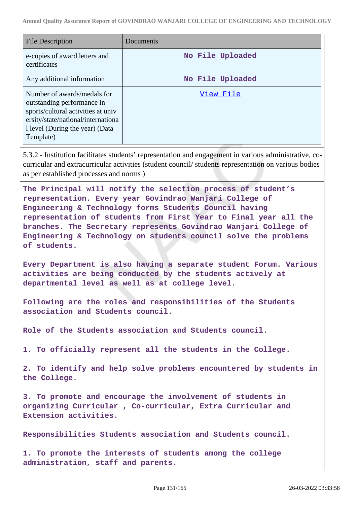| <b>File Description</b>                                                                                                                                                               | Documents        |
|---------------------------------------------------------------------------------------------------------------------------------------------------------------------------------------|------------------|
| e-copies of award letters and<br>certificates                                                                                                                                         | No File Uploaded |
| Any additional information                                                                                                                                                            | No File Uploaded |
| Number of awards/medals for<br>outstanding performance in<br>sports/cultural activities at univ<br>ersity/state/national/internationa<br>1 level (During the year) (Data<br>Template) | View File        |

5.3.2 - Institution facilitates students' representation and engagement in various administrative, cocurricular and extracurricular activities (student council/ students representation on various bodies as per established processes and norms )

**The Principal will notify the selection process of student's representation. Every year Govindrao Wanjari College of Engineering & Technology forms Students Council having representation of students from First Year to Final year all the branches. The Secretary represents Govindrao Wanjari College of Engineering & Technology on students council solve the problems of students.**

**Every Department is also having a separate student Forum. Various activities are being conducted by the students actively at departmental level as well as at college level.**

**Following are the roles and responsibilities of the Students association and Students council.**

**Role of the Students association and Students council.**

**1. To officially represent all the students in the College.**

**2. To identify and help solve problems encountered by students in the College.**

**3. To promote and encourage the involvement of students in organizing Curricular , Co-curricular, Extra Curricular and Extension activities.**

**Responsibilities Students association and Students council.**

**1. To promote the interests of students among the college administration, staff and parents.**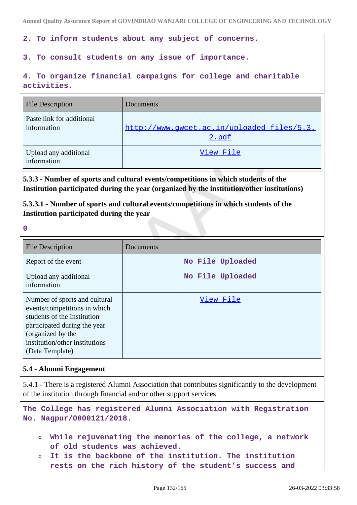**2. To inform students about any subject of concerns.**

### **3. To consult students on any issue of importance.**

**4. To organize financial campaigns for college and charitable activities.**

| <b>File Description</b>                  | Documents                                           |
|------------------------------------------|-----------------------------------------------------|
| Paste link for additional<br>information | http://www.gwcet.ac.in/uploaded files/5.3.<br>2.pdf |
| Upload any additional<br>information     | View File                                           |

**5.3.3 - Number of sports and cultural events/competitions in which students of the Institution participated during the year (organized by the institution/other institutions)**

**5.3.3.1 - Number of sports and cultural events/competitions in which students of the Institution participated during the year**

**0**

| <b>File Description</b>                                                                                                                                                                                | Documents        |
|--------------------------------------------------------------------------------------------------------------------------------------------------------------------------------------------------------|------------------|
| Report of the event                                                                                                                                                                                    | No File Uploaded |
| Upload any additional<br>information                                                                                                                                                                   | No File Uploaded |
| Number of sports and cultural<br>events/competitions in which<br>students of the Institution<br>participated during the year<br>(organized by the<br>institution/other institutions<br>(Data Template) | View File        |

# **5.4 - Alumni Engagement**

5.4.1 - There is a registered Alumni Association that contributes significantly to the development of the institution through financial and/or other support services

**The College has registered Alumni Association with Registration No. Nagpur/0000121/2018.**

- **While rejuvenating the memories of the college, a network**  $\bullet$ **of old students was achieved.**
- **It is the backbone of the institution. The institution**  $\circ$ **rests on the rich history of the student's success and**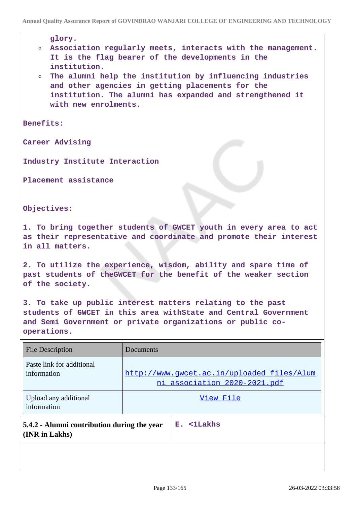**glory.**

- **Association regularly meets, interacts with the management. It is the flag bearer of the developments in the institution.**
- **The alumni help the institution by influencing industries and other agencies in getting placements for the institution. The alumni has expanded and strengthened it with new enrolments.**

**Benefits:**

**Career Advising**

**Industry Institute Interaction**

**Placement assistance**

**Objectives:**

**1. To bring together students of GWCET youth in every area to act as their representative and coordinate and promote their interest in all matters.**

**2. To utilize the experience, wisdom, ability and spare time of past students of theGWCET for the benefit of the weaker section of the society.**

**3. To take up public interest matters relating to the past students of GWCET in this area withState and Central Government and Semi Government or private organizations or public cooperations.**

| File Description                                              | Documents |                                                                            |
|---------------------------------------------------------------|-----------|----------------------------------------------------------------------------|
| Paste link for additional<br>information                      |           | http://www.gwcet.ac.in/uploaded_files/Alum<br>ni association 2020-2021.pdf |
| Upload any additional<br>information                          |           | View File                                                                  |
| 5.4.2 - Alumni contribution during the year<br>(INR in Lakhs) |           | $E.$ $\langle$ 1Lakhs                                                      |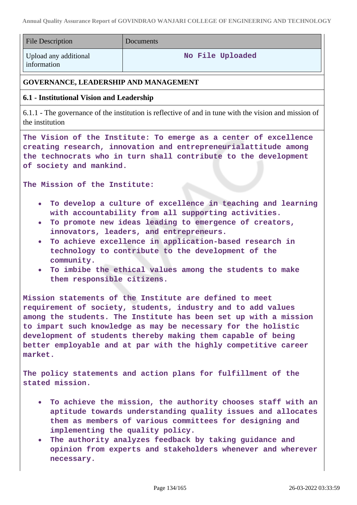| <b>File Description</b>                                                                                                                                                                                                                                                                                                                                                                                    | Documents                                                                                                                                                                                                                                                                                                                                                                                          |  |
|------------------------------------------------------------------------------------------------------------------------------------------------------------------------------------------------------------------------------------------------------------------------------------------------------------------------------------------------------------------------------------------------------------|----------------------------------------------------------------------------------------------------------------------------------------------------------------------------------------------------------------------------------------------------------------------------------------------------------------------------------------------------------------------------------------------------|--|
| Upload any additional<br>information                                                                                                                                                                                                                                                                                                                                                                       | No File Uploaded                                                                                                                                                                                                                                                                                                                                                                                   |  |
| <b>GOVERNANCE, LEADERSHIP AND MANAGEMENT</b>                                                                                                                                                                                                                                                                                                                                                               |                                                                                                                                                                                                                                                                                                                                                                                                    |  |
| 6.1 - Institutional Vision and Leadership                                                                                                                                                                                                                                                                                                                                                                  |                                                                                                                                                                                                                                                                                                                                                                                                    |  |
| the institution                                                                                                                                                                                                                                                                                                                                                                                            | 6.1.1 - The governance of the institution is reflective of and in tune with the vision and mission of                                                                                                                                                                                                                                                                                              |  |
| of society and mankind.                                                                                                                                                                                                                                                                                                                                                                                    | The Vision of the Institute: To emerge as a center of excellence<br>creating research, innovation and entrepreneurialattitude among<br>the technocrats who in turn shall contribute to the development                                                                                                                                                                                             |  |
| The Mission of the Institute:                                                                                                                                                                                                                                                                                                                                                                              |                                                                                                                                                                                                                                                                                                                                                                                                    |  |
| $\bullet$<br>$\bullet$<br>$\bullet$<br>community.<br>$\bullet$<br>them responsible citizens.                                                                                                                                                                                                                                                                                                               | To develop a culture of excellence in teaching and learning<br>with accountability from all supporting activities.<br>To promote new ideas leading to emergence of creators,<br>innovators, leaders, and entrepreneurs.<br>To achieve excellence in application-based research in<br>technology to contribute to the development of the<br>To imbibe the ethical values among the students to make |  |
| Mission statements of the Institute are defined to meet<br>requirement of society, students, industry and to add values<br>among the students. The Institute has been set up with a mission<br>to impart such knowledge as may be necessary for the holistic<br>development of students thereby making them capable of being<br>better employable and at par with the highly competitive career<br>market. |                                                                                                                                                                                                                                                                                                                                                                                                    |  |
| stated mission.                                                                                                                                                                                                                                                                                                                                                                                            | The policy statements and action plans for fulfillment of the                                                                                                                                                                                                                                                                                                                                      |  |
|                                                                                                                                                                                                                                                                                                                                                                                                            | To achieve the mission, the authority chooses staff with an<br>aptitude towards understanding quality issues and allocates<br>them as members of various committees for designing and<br>implementing the quality policy.                                                                                                                                                                          |  |

**The authority analyzes feedback by taking guidance and opinion from experts and stakeholders whenever and wherever necessary.**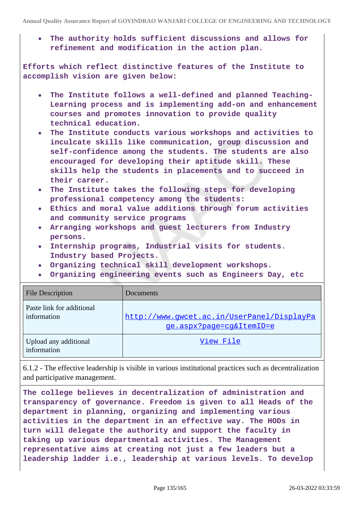**The authority holds sufficient discussions and allows for refinement and modification in the action plan.**

**Efforts which reflect distinctive features of the Institute to accomplish vision are given below:**

- **The Institute follows a well-defined and planned Teaching-Learning process and is implementing add-on and enhancement courses and promotes innovation to provide quality technical education.**
- **The Institute conducts various workshops and activities to inculcate skills like communication, group discussion and self-confidence among the students. The students are also encouraged for developing their aptitude skill. These skills help the students in placements and to succeed in their career.**
- **The Institute takes the following steps for developing professional competency among the students:**
- **Ethics and moral value additions through forum activities and community service programs**
- **Arranging workshops and guest lecturers from Industry persons.**
- **Internship programs, Industrial visits for students. Industry based Projects.**
- **Organizing technical skill development workshops.**
- **Organizing engineering events such as Engineers Day, etc**

| <b>File Description</b>                  | Documents                                                              |
|------------------------------------------|------------------------------------------------------------------------|
| Paste link for additional<br>information | http://www.gwcet.ac.in/UserPanel/DisplayPa<br>ge.aspx?page=cg&ItemID=e |
| Upload any additional<br>information     | View File                                                              |

6.1.2 - The effective leadership is visible in various institutional practices such as decentralization and participative management.

**The college believes in decentralization of administration and transparency of governance. Freedom is given to all Heads of the department in planning, organizing and implementing various activities in the department in an effective way. The HODs in turn will delegate the authority and support the faculty in taking up various departmental activities. The Management representative aims at creating not just a few leaders but a leadership ladder i.e., leadership at various levels. To develop**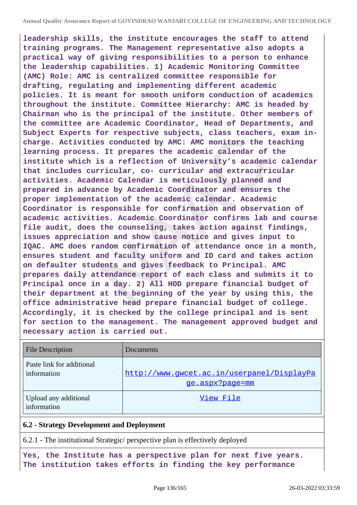**leadership skills, the institute encourages the staff to attend training programs. The Management representative also adopts a practical way of giving responsibilities to a person to enhance the leadership capabilities. 1) Academic Monitoring Committee (AMC) Role: AMC is centralized committee responsible for drafting, regulating and implementing different academic policies. It is meant for smooth uniform conduction of academics throughout the institute. Committee Hierarchy: AMC is headed by Chairman who is the principal of the institute. Other members of the committee are Academic Coordinator, Head of Departments, and Subject Experts for respective subjects, class teachers, exam incharge. Activities conducted by AMC: AMC monitors the teaching learning process. It prepares the academic calendar of the institute which is a reflection of University's academic calendar that includes curricular, co- curricular and extracurricular activities. Academic Calendar is meticulously planned and prepared in advance by Academic Coordinator and ensures the proper implementation of the academic calendar. Academic Coordinator is responsible for confirmation and observation of academic activities. Academic Coordinator confirms lab and course file audit, does the counseling, takes action against findings, issues appreciation and show cause notice and gives input to IQAC. AMC does random confirmation of attendance once in a month, ensures student and faculty uniform and ID card and takes action on defaulter students and gives feedback to Principal. AMC prepares daily attendance report of each class and submits it to Principal once in a day. 2) All HOD prepare financial budget of their department at the beginning of the year by using this, the office administrative head prepare financial budget of college. Accordingly, it is checked by the college principal and is sent for section to the management. The management approved budget and necessary action is carried out.**

| <b>File Description</b>                  | Documents                                                     |
|------------------------------------------|---------------------------------------------------------------|
| Paste link for additional<br>information | http://www.gwcet.ac.in/userpanel/DisplayPa<br>ge.aspx?page=mm |
| Upload any additional<br>information     | View File                                                     |

### **6.2 - Strategy Development and Deployment**

6.2.1 - The institutional Strategic/ perspective plan is effectively deployed

**Yes, the Institute has a perspective plan for next five years. The institution takes efforts in finding the key performance**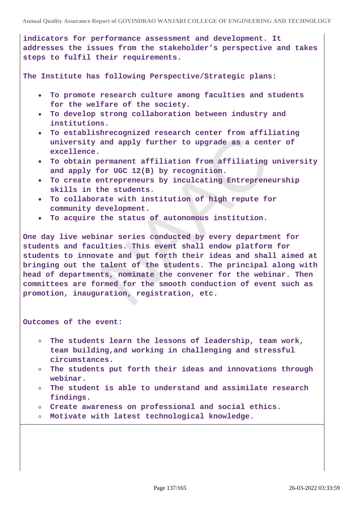**indicators for performance assessment and development. It addresses the issues from the stakeholder's perspective and takes steps to fulfil their requirements.**

**The Institute has following Perspective/Strategic plans:**

- **To promote research culture among faculties and students for the welfare of the society.**
- **To develop strong collaboration between industry and institutions.**
- **To establishrecognized research center from affiliating university and apply further to upgrade as a center of excellence.**
- **To obtain permanent affiliation from affiliating university and apply for UGC 12(B) by recognition.**
- **To create entrepreneurs by inculcating Entrepreneurship skills in the students.**
- **To collaborate with institution of high repute for community development.**
- **To acquire the status of autonomous institution.**

**One day live webinar series conducted by every department for students and faculties. This event shall endow platform for students to innovate and put forth their ideas and shall aimed at bringing out the talent of the students. The principal along with head of departments, nominate the convener for the webinar. Then committees are formed for the smooth conduction of event such as promotion, inauguration, registration, etc.**

**Outcomes of the event:**

- **The students learn the lessons of leadership, team work, team building,and working in challenging and stressful circumstances.**
- **The students put forth their ideas and innovations through**  $\circ$ **webinar.**
- **The student is able to understand and assimilate research findings.**
- **Create awareness on professional and social ethics.**
- **Motivate with latest technological knowledge.**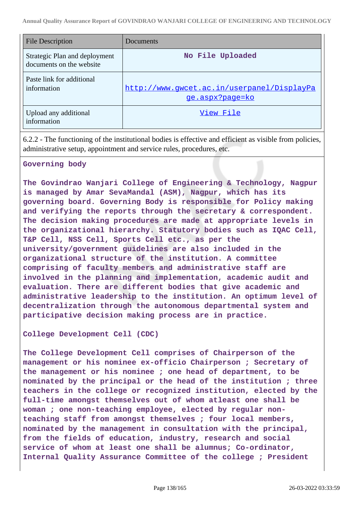| File Description                                          | Documents                                                     |
|-----------------------------------------------------------|---------------------------------------------------------------|
| Strategic Plan and deployment<br>documents on the website | No File Uploaded                                              |
| Paste link for additional<br>information                  | http://www.gwcet.ac.in/userpanel/DisplayPa<br>ge.aspx?page=ko |
| Upload any additional<br>information                      | View File                                                     |

6.2.2 - The functioning of the institutional bodies is effective and efficient as visible from policies, administrative setup, appointment and service rules, procedures, etc.

### **Governing body**

**The Govindrao Wanjari College of Engineering & Technology, Nagpur is managed by Amar SevaMandal (ASM), Nagpur, which has its governing board. Governing Body is responsible for Policy making and verifying the reports through the secretary & correspondent. The decision making procedures are made at appropriate levels in the organizational hierarchy. Statutory bodies such as IQAC Cell, T&P Cell, NSS Cell, Sports Cell etc., as per the university/government guidelines are also included in the organizational structure of the institution. A committee comprising of faculty members and administrative staff are involved in the planning and implementation, academic audit and evaluation. There are different bodies that give academic and administrative leadership to the institution. An optimum level of decentralization through the autonomous departmental system and participative decision making process are in practice.**

**College Development Cell (CDC)**

**The College Development Cell comprises of Chairperson of the management or his nominee ex-officio Chairperson ; Secretary of the management or his nominee ; one head of department, to be nominated by the principal or the head of the institution ; three teachers in the college or recognized institution, elected by the full-time amongst themselves out of whom atleast one shall be woman ; one non-teaching employee, elected by regular nonteaching staff from amongst themselves ; four local members, nominated by the management in consultation with the principal, from the fields of education, industry, research and social service of whom at least one shall be alumnus; Co-ordinator, Internal Quality Assurance Committee of the college ; President**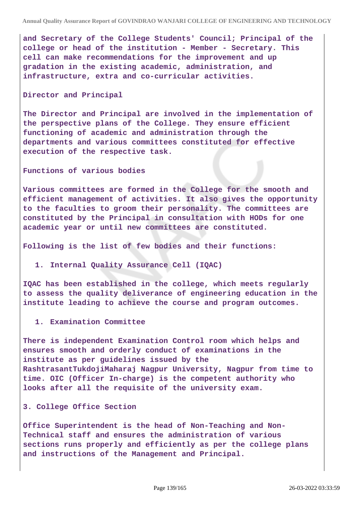**and Secretary of the College Students' Council; Principal of the college or head of the institution - Member - Secretary. This cell can make recommendations for the improvement and up gradation in the existing academic, administration, and infrastructure, extra and co-curricular activities.**

#### **Director and Principal**

**The Director and Principal are involved in the implementation of the perspective plans of the College. They ensure efficient functioning of academic and administration through the departments and various committees constituted for effective execution of the respective task.**

#### **Functions of various bodies**

**Various committees are formed in the College for the smooth and efficient management of activities. It also gives the opportunity to the faculties to groom their personality. The committees are constituted by the Principal in consultation with HODs for one academic year or until new committees are constituted.**

**Following is the list of few bodies and their functions:**

#### **1. Internal Quality Assurance Cell (IQAC)**

**IQAC has been established in the college, which meets regularly to assess the quality deliverance of engineering education in the institute leading to achieve the course and program outcomes.**

#### **1. Examination Committee**

**There is independent Examination Control room which helps and ensures smooth and orderly conduct of examinations in the institute as per guidelines issued by the RashtrasantTukdojiMaharaj Nagpur University, Nagpur from time to time. OIC (Officer In-charge) is the competent authority who looks after all the requisite of the university exam.**

#### **3. College Office Section**

**Office Superintendent is the head of Non-Teaching and Non-Technical staff and ensures the administration of various sections runs properly and efficiently as per the college plans and instructions of the Management and Principal.**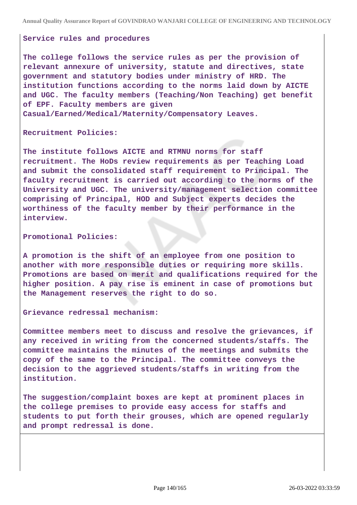#### **Service rules and procedures**

**The college follows the service rules as per the provision of relevant annexure of university, statute and directives, state government and statutory bodies under ministry of HRD. The institution functions according to the norms laid down by AICTE and UGC. The faculty members (Teaching/Non Teaching) get benefit of EPF. Faculty members are given Casual/Earned/Medical/Maternity/Compensatory Leaves.**

**Recruitment Policies:**

**The institute follows AICTE and RTMNU norms for staff recruitment. The HoDs review requirements as per Teaching Load and submit the consolidated staff requirement to Principal. The faculty recruitment is carried out according to the norms of the University and UGC. The university/management selection committee comprising of Principal, HOD and Subject experts decides the worthiness of the faculty member by their performance in the interview.**

**Promotional Policies:**

**A promotion is the shift of an employee from one position to another with more responsible duties or requiring more skills. Promotions are based on merit and qualifications required for the higher position. A pay rise is eminent in case of promotions but the Management reserves the right to do so.**

**Grievance redressal mechanism:**

**Committee members meet to discuss and resolve the grievances, if any received in writing from the concerned students/staffs. The committee maintains the minutes of the meetings and submits the copy of the same to the Principal. The committee conveys the decision to the aggrieved students/staffs in writing from the institution.**

**The suggestion/complaint boxes are kept at prominent places in the college premises to provide easy access for staffs and students to put forth their grouses, which are opened regularly and prompt redressal is done.**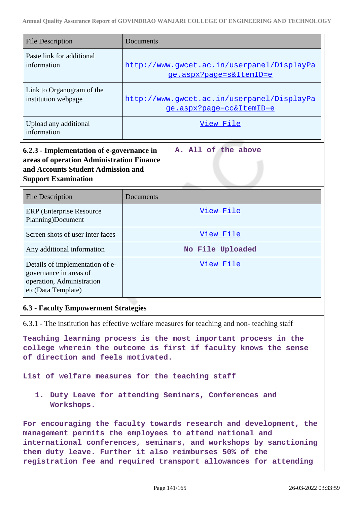| <b>File Description</b>                                                                                                                                                               | Documents                                                                                  |
|---------------------------------------------------------------------------------------------------------------------------------------------------------------------------------------|--------------------------------------------------------------------------------------------|
|                                                                                                                                                                                       |                                                                                            |
| Paste link for additional<br>information                                                                                                                                              | http://www.gwcet.ac.in/userpanel/DisplayPa<br>ge.aspx?page=s&ItemID=e                      |
| Link to Organogram of the<br>institution webpage                                                                                                                                      | http://www.qwcet.ac.in/userpanel/DisplayPa<br>ge.aspx?page=cc&ItemID=e                     |
| Upload any additional<br>information                                                                                                                                                  | View File                                                                                  |
| 6.2.3 - Implementation of e-governance in<br>areas of operation Administration Finance<br>and Accounts Student Admission and<br><b>Support Examination</b><br><b>File Description</b> | A. All of the above<br>Documents                                                           |
| <b>ERP</b> (Enterprise Resource<br>Planning)Document                                                                                                                                  | View File                                                                                  |
| Screen shots of user inter faces                                                                                                                                                      | View File                                                                                  |
| Any additional information                                                                                                                                                            | No File Uploaded                                                                           |
| Details of implementation of e-<br>governance in areas of<br>operation, Administration<br>etc(Data Template)                                                                          | <u>View File</u>                                                                           |
| <b>6.3 - Faculty Empowerment Strategies</b>                                                                                                                                           |                                                                                            |
|                                                                                                                                                                                       | 6.3.1 - The institution has effective welfare measures for teaching and non-teaching staff |

**Teaching learning process is the most important process in the college wherein the outcome is first if faculty knows the sense of direction and feels motivated.**

**List of welfare measures for the teaching staff**

**1. Duty Leave for attending Seminars, Conferences and Workshops.**

**For encouraging the faculty towards research and development, the management permits the employees to attend national and international conferences, seminars, and workshops by sanctioning them duty leave. Further it also reimburses 50% of the registration fee and required transport allowances for attending**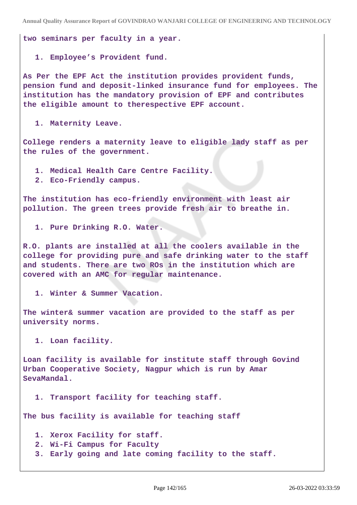**two seminars per faculty in a year.**

**1. Employee's Provident fund.**

**As Per the EPF Act the institution provides provident funds, pension fund and deposit-linked insurance fund for employees. The institution has the mandatory provision of EPF and contributes the eligible amount to therespective EPF account.**

**1. Maternity Leave.**

**College renders a maternity leave to eligible lady staff as per the rules of the government.**

- **1. Medical Health Care Centre Facility.**
- **2. Eco-Friendly campus.**

**The institution has eco-friendly environment with least air pollution. The green trees provide fresh air to breathe in.**

**1. Pure Drinking R.O. Water.**

**R.O. plants are installed at all the coolers available in the college for providing pure and safe drinking water to the staff and students. There are two ROs in the institution which are covered with an AMC for regular maintenance.**

**1. Winter & Summer Vacation.**

**The winter& summer vacation are provided to the staff as per university norms.**

**1. Loan facility.**

**Loan facility is available for institute staff through Govind Urban Cooperative Society, Nagpur which is run by Amar SevaMandal.**

**1. Transport facility for teaching staff.**

**The bus facility is available for teaching staff**

- **1. Xerox Facility for staff.**
- **2. Wi-Fi Campus for Faculty**
- **3. Early going and late coming facility to the staff.**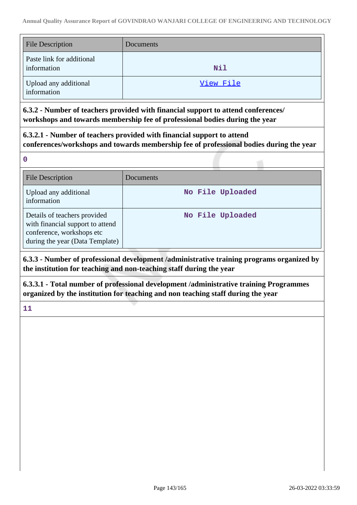| <b>File Description</b>                  | Documents |
|------------------------------------------|-----------|
| Paste link for additional<br>information | Nil       |
| Upload any additional<br>information     | View File |

**6.3.2 - Number of teachers provided with financial support to attend conferences/ workshops and towards membership fee of professional bodies during the year**

**6.3.2.1 - Number of teachers provided with financial support to attend conferences/workshops and towards membership fee of professional bodies during the year**

**0**

| <b>File Description</b>                                                                                                          | Documents        |
|----------------------------------------------------------------------------------------------------------------------------------|------------------|
| Upload any additional<br>information                                                                                             | No File Uploaded |
| Details of teachers provided<br>with financial support to attend<br>conference, workshops etc<br>during the year (Data Template) | No File Uploaded |

**6.3.3 - Number of professional development /administrative training programs organized by the institution for teaching and non-teaching staff during the year**

**6.3.3.1 - Total number of professional development /administrative training Programmes organized by the institution for teaching and non teaching staff during the year**

**11**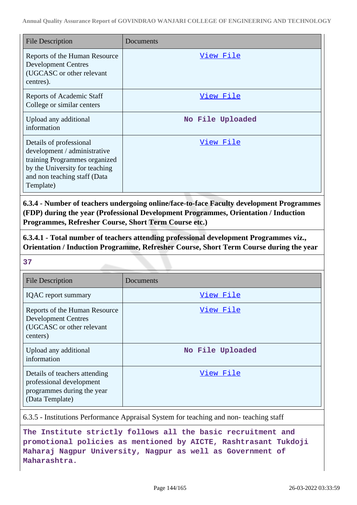| <b>File Description</b>                                                                                                                                                 | Documents        |
|-------------------------------------------------------------------------------------------------------------------------------------------------------------------------|------------------|
| Reports of the Human Resource<br><b>Development Centres</b><br>(UGCASC or other relevant<br>centres).                                                                   | View File        |
| <b>Reports of Academic Staff</b><br>College or similar centers                                                                                                          | <u>View File</u> |
| Upload any additional<br>information                                                                                                                                    | No File Uploaded |
| Details of professional<br>development / administrative<br>training Programmes organized<br>by the University for teaching<br>and non teaching staff (Data<br>Template) | <u>View File</u> |

**6.3.4 - Number of teachers undergoing online/face-to-face Faculty development Programmes (FDP) during the year (Professional Development Programmes, Orientation / Induction Programmes, Refresher Course, Short Term Course etc.)**

**6.3.4.1 - Total number of teachers attending professional development Programmes viz., Orientation / Induction Programme, Refresher Course, Short Term Course during the year**

**37**

| <b>File Description</b>                                                                                    | Documents        |
|------------------------------------------------------------------------------------------------------------|------------------|
| <b>IQAC</b> report summary                                                                                 | View File        |
| Reports of the Human Resource<br><b>Development Centres</b><br>(UGCASC or other relevant<br>centers)       | View File        |
| Upload any additional<br>information                                                                       | No File Uploaded |
| Details of teachers attending<br>professional development<br>programmes during the year<br>(Data Template) | View File        |

6.3.5 - Institutions Performance Appraisal System for teaching and non- teaching staff

**The Institute strictly follows all the basic recruitment and promotional policies as mentioned by AICTE, Rashtrasant Tukdoji Maharaj Nagpur University, Nagpur as well as Government of Maharashtra.**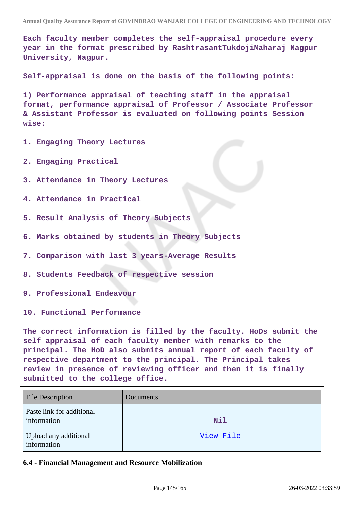**Each faculty member completes the self-appraisal procedure every year in the format prescribed by RashtrasantTukdojiMaharaj Nagpur University, Nagpur.**

**Self-appraisal is done on the basis of the following points:**

**1) Performance appraisal of teaching staff in the appraisal format, performance appraisal of Professor / Associate Professor & Assistant Professor is evaluated on following points Session wise:**

- **1. Engaging Theory Lectures**
- **2. Engaging Practical**
- **3. Attendance in Theory Lectures**

**4. Attendance in Practical**

- **5. Result Analysis of Theory Subjects**
- **6. Marks obtained by students in Theory Subjects**
- **7. Comparison with last 3 years-Average Results**
- **8. Students Feedback of respective session**
- **9. Professional Endeavour**
- **10. Functional Performance**

**The correct information is filled by the faculty. HoDs submit the self appraisal of each faculty member with remarks to the principal. The HoD also submits annual report of each faculty of respective department to the principal. The Principal takes review in presence of reviewing officer and then it is finally submitted to the college office.**

| <b>File Description</b>                  | Documents |
|------------------------------------------|-----------|
| Paste link for additional<br>information | Nil       |
| Upload any additional<br>information     | View File |

**6.4 - Financial Management and Resource Mobilization**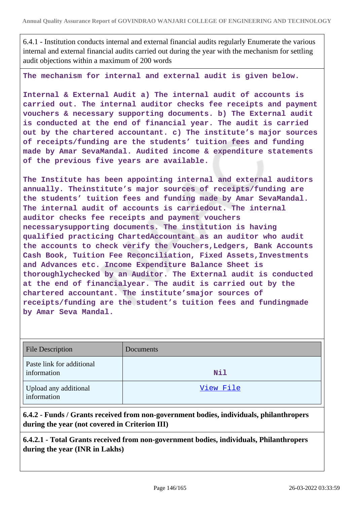6.4.1 - Institution conducts internal and external financial audits regularly Enumerate the various internal and external financial audits carried out during the year with the mechanism for settling audit objections within a maximum of 200 words

**The mechanism for internal and external audit is given below.**

**Internal & External Audit a) The internal audit of accounts is carried out. The internal auditor checks fee receipts and payment vouchers & necessary supporting documents. b) The External audit is conducted at the end of financial year. The audit is carried out by the chartered accountant. c) The institute's major sources of receipts/funding are the students' tuition fees and funding made by Amar SevaMandal. Audited income & expenditure statements of the previous five years are available.**

**The Institute has been appointing internal and external auditors annually. Theinstitute's major sources of receipts/funding are the students' tuition fees and funding made by Amar SevaMandal. The internal audit of accounts is carriedout. The internal auditor checks fee receipts and payment vouchers necessarysupporting documents. The institution is having qualified practicing ChartedAccountant as an auditor who audit the accounts to check verify the Vouchers,Ledgers, Bank Accounts Cash Book, Tuition Fee Reconciliation, Fixed Assets,Investments and Advances etc. Income Expenditure Balance Sheet is thoroughlychecked by an Auditor. The External audit is conducted at the end of financialyear. The audit is carried out by the chartered accountant. The institute'smajor sources of receipts/funding are the student's tuition fees and fundingmade by Amar Seva Mandal.**

| <b>File Description</b>                  | Documents  |
|------------------------------------------|------------|
| Paste link for additional<br>information | <b>Nil</b> |
| Upload any additional<br>information     | View File  |

**6.4.2 - Funds / Grants received from non-government bodies, individuals, philanthropers during the year (not covered in Criterion III)**

**6.4.2.1 - Total Grants received from non-government bodies, individuals, Philanthropers during the year (INR in Lakhs)**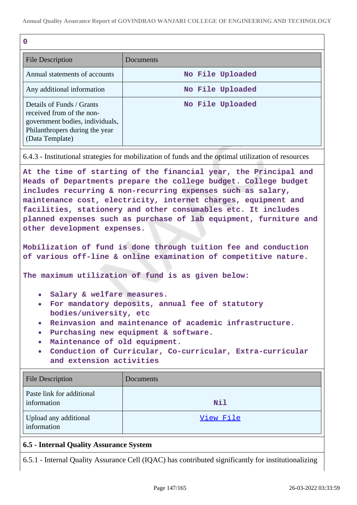| O                                                                                                                                              |                  |  |  |  |
|------------------------------------------------------------------------------------------------------------------------------------------------|------------------|--|--|--|
| <b>File Description</b>                                                                                                                        | Documents        |  |  |  |
| Annual statements of accounts                                                                                                                  | No File Uploaded |  |  |  |
| Any additional information                                                                                                                     | No File Uploaded |  |  |  |
| Details of Funds / Grants<br>received from of the non-<br>government bodies, individuals,<br>Philanthropers during the year<br>(Data Template) | No File Uploaded |  |  |  |

6.4.3 - Institutional strategies for mobilization of funds and the optimal utilization of resources

**At the time of starting of the financial year, the Principal and Heads of Departments prepare the college budget. College budget includes recurring & non-recurring expenses such as salary, maintenance cost, electricity, internet charges, equipment and facilities, stationery and other consumables etc. It includes planned expenses such as purchase of lab equipment, furniture and other development expenses.**

**Mobilization of fund is done through tuition fee and conduction of various off-line & online examination of competitive nature.**

**The maximum utilization of fund is as given below:**

- **Salary & welfare measures.**
- **For mandatory deposits, annual fee of statutory bodies/university, etc**
- **Reinvasion and maintenance of academic infrastructure.**
- **Purchasing new equipment & software.**
- **Maintenance of old equipment.**
- **Conduction of Curricular, Co-curricular, Extra-curricular and extension activities**

| <b>File Description</b>                  | Documents  |
|------------------------------------------|------------|
| Paste link for additional<br>information | <b>Nil</b> |
| Upload any additional<br>information     | View File  |

# **6.5 - Internal Quality Assurance System**

6.5.1 - Internal Quality Assurance Cell (IQAC) has contributed significantly for institutionalizing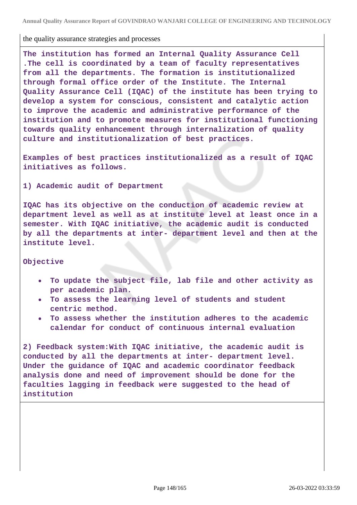**Annual Quality Assurance Report of GOVINDRAO WANJARI COLLEGE OF ENGINEERING AND TECHNOLOGY**

#### the quality assurance strategies and processes

**The institution has formed an Internal Quality Assurance Cell .The cell is coordinated by a team of faculty representatives from all the departments. The formation is institutionalized through formal office order of the Institute. The Internal Quality Assurance Cell (IQAC) of the institute has been trying to develop a system for conscious, consistent and catalytic action to improve the academic and administrative performance of the institution and to promote measures for institutional functioning towards quality enhancement through internalization of quality culture and institutionalization of best practices.**

**Examples of best practices institutionalized as a result of IQAC initiatives as follows.**

**1) Academic audit of Department**

**IQAC has its objective on the conduction of academic review at department level as well as at institute level at least once in a semester. With IQAC initiative, the academic audit is conducted by all the departments at inter- department level and then at the institute level.**

#### **Objective**

- **To update the subject file, lab file and other activity as per academic plan.**
- **To assess the learning level of students and student centric method.**
- **To assess whether the institution adheres to the academic calendar for conduct of continuous internal evaluation**

**2) Feedback system:With IQAC initiative, the academic audit is conducted by all the departments at inter- department level. Under the guidance of IQAC and academic coordinator feedback analysis done and need of improvement should be done for the faculties lagging in feedback were suggested to the head of institution**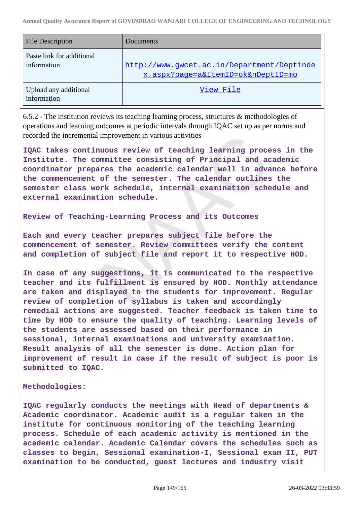| <b>File Description</b>                  | Documents                                                                        |
|------------------------------------------|----------------------------------------------------------------------------------|
| Paste link for additional<br>information | http://www.gwcet.ac.in/Department/Deptinde<br>x.aspx?page=a&ItemID=ok&nDeptID=mo |
| Upload any additional<br>information     | View File                                                                        |

6.5.2 - The institution reviews its teaching learning process, structures & methodologies of operations and learning outcomes at periodic intervals through IQAC set up as per norms and recorded the incremental improvement in various activities

**IQAC takes continuous review of teaching learning process in the Institute. The committee consisting of Principal and academic coordinator prepares the academic calendar well in advance before the commencement of the semester. The calendar outlines the semester class work schedule, internal examination schedule and external examination schedule.**

**Review of Teaching-Learning Process and its Outcomes**

**Each and every teacher prepares subject file before the commencement of semester. Review committees verify the content and completion of subject file and report it to respective HOD.**

**In case of any suggestions, it is communicated to the respective teacher and its fulfillment is ensured by HOD. Monthly attendance are taken and displayed to the students for improvement. Regular review of completion of syllabus is taken and accordingly remedial actions are suggested. Teacher feedback is taken time to time by HOD to ensure the quality of teaching. Learning levels of the students are assessed based on their performance in sessional, internal examinations and university examination. Result analysis of all the semester is done. Action plan for improvement of result in case if the result of subject is poor is submitted to IQAC.**

#### **Methodologies:**

**IQAC regularly conducts the meetings with Head of departments & Academic coordinator. Academic audit is a regular taken in the institute for continuous monitoring of the teaching learning process. Schedule of each academic activity is mentioned in the academic calendar. Academic Calendar covers the schedules such as classes to begin, Sessional examination-I, Sessional exam II, PUT examination to be conducted, guest lectures and industry visit**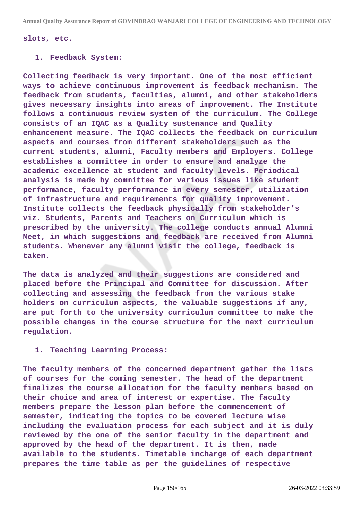# **slots, etc.**

### **1. Feedback System:**

**Collecting feedback is very important. One of the most efficient ways to achieve continuous improvement is feedback mechanism. The feedback from students, faculties, alumni, and other stakeholders gives necessary insights into areas of improvement. The Institute follows a continuous review system of the curriculum. The College consists of an IQAC as a Quality sustenance and Quality enhancement measure. The IQAC collects the feedback on curriculum aspects and courses from different stakeholders such as the current students, alumni, Faculty members and Employers. College establishes a committee in order to ensure and analyze the academic excellence at student and faculty levels. Periodical analysis is made by committee for various issues like student performance, faculty performance in every semester, utilization of infrastructure and requirements for quality improvement. Institute collects the feedback physically from stakeholder's viz. Students, Parents and Teachers on Curriculum which is prescribed by the university. The college conducts annual Alumni Meet, in which suggestions and feedback are received from Alumni students. Whenever any alumni visit the college, feedback is taken.**

**The data is analyzed and their suggestions are considered and placed before the Principal and Committee for discussion. After collecting and assessing the feedback from the various stake holders on curriculum aspects, the valuable suggestions if any, are put forth to the university curriculum committee to make the possible changes in the course structure for the next curriculum regulation.**

#### **1. Teaching Learning Process:**

**The faculty members of the concerned department gather the lists of courses for the coming semester. The head of the department finalizes the course allocation for the faculty members based on their choice and area of interest or expertise. The faculty members prepare the lesson plan before the commencement of semester, indicating the topics to be covered lecture wise including the evaluation process for each subject and it is duly reviewed by the one of the senior faculty in the department and approved by the head of the department. It is then, made available to the students. Timetable incharge of each department prepares the time table as per the guidelines of respective**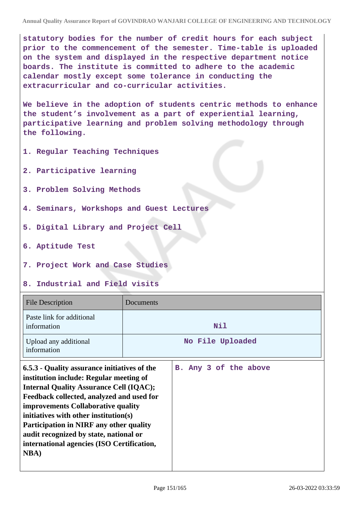**statutory bodies for the number of credit hours for each subject prior to the commencement of the semester. Time-table is uploaded on the system and displayed in the respective department notice boards. The institute is committed to adhere to the academic calendar mostly except some tolerance in conducting the extracurricular and co-curricular activities.**

**We believe in the adoption of students centric methods to enhance the student's involvement as a part of experiential learning, participative learning and problem solving methodology through the following.**

- **1. Regular Teaching Techniques**
- **2. Participative learning**
- **3. Problem Solving Methods**
- **4. Seminars, Workshops and Guest Lectures**
- **5. Digital Library and Project Cell**
- **6. Aptitude Test**
- **7. Project Work and Case Studies**

# **8. Industrial and Field visits**

| <b>File Description</b>                                                                                                                                                                                                                                                                                                                                                                                                         | Documents             |  |  |  |  |
|---------------------------------------------------------------------------------------------------------------------------------------------------------------------------------------------------------------------------------------------------------------------------------------------------------------------------------------------------------------------------------------------------------------------------------|-----------------------|--|--|--|--|
| Paste link for additional<br>information                                                                                                                                                                                                                                                                                                                                                                                        | Nil                   |  |  |  |  |
| Upload any additional<br>information                                                                                                                                                                                                                                                                                                                                                                                            | No File Uploaded      |  |  |  |  |
| 6.5.3 - Quality assurance initiatives of the<br>institution include: Regular meeting of<br><b>Internal Quality Assurance Cell (IQAC);</b><br>Feedback collected, analyzed and used for<br>improvements Collaborative quality<br>initiatives with other institution(s)<br><b>Participation in NIRF any other quality</b><br>audit recognized by state, national or<br>international agencies (ISO Certification,<br><b>NBA</b> ) | B. Any 3 of the above |  |  |  |  |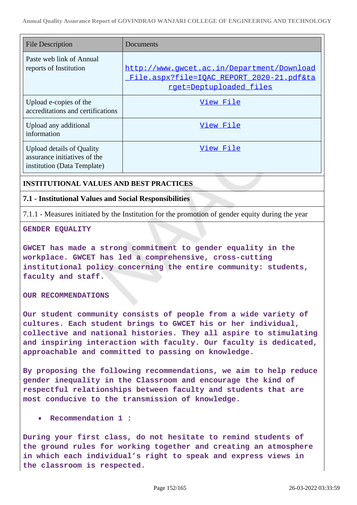| <b>File Description</b>                                                                         | Documents                                                                                                                 |
|-------------------------------------------------------------------------------------------------|---------------------------------------------------------------------------------------------------------------------------|
| Paste web link of Annual<br>reports of Institution                                              | http://www.qwcet.ac.in/Department/Download<br>File.aspx?file=IQAC REPORT 2020-21.pdf&ta<br><u>rget=Deptuploaded files</u> |
| Upload e-copies of the<br>accreditations and certifications                                     | View File                                                                                                                 |
| Upload any additional<br>information                                                            | View File                                                                                                                 |
| <b>Upload details of Quality</b><br>assurance initiatives of the<br>institution (Data Template) | View File                                                                                                                 |

# **INSTITUTIONAL VALUES AND BEST PRACTICES**

# **7.1 - Institutional Values and Social Responsibilities**

7.1.1 - Measures initiated by the Institution for the promotion of gender equity during the year

**GENDER EQUALITY**

**GWCET has made a strong commitment to gender equality in the workplace. GWCET has led a comprehensive, cross-cutting institutional policy concerning the entire community: students, faculty and staff.**

**OUR RECOMMENDATIONS**

**Our student community consists of people from a wide variety of cultures. Each student brings to GWCET his or her individual, collective and national histories. They all aspire to stimulating and inspiring interaction with faculty. Our faculty is dedicated, approachable and committed to passing on knowledge.**

**By proposing the following recommendations, we aim to help reduce gender inequality in the Classroom and encourage the kind of respectful relationships between faculty and students that are most conducive to the transmission of knowledge.**

**Recommendation 1 :**

**During your first class, do not hesitate to remind students of the ground rules for working together and creating an atmosphere in which each individual's right to speak and express views in the classroom is respected.**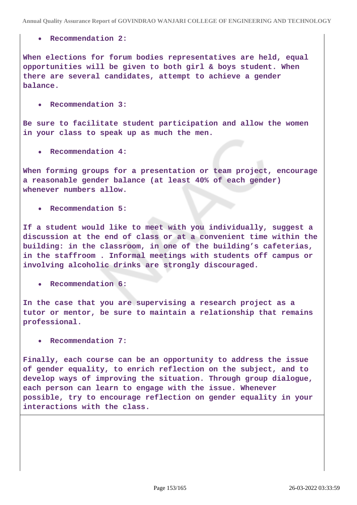### **Recommendation 2:**

**When elections for forum bodies representatives are held, equal opportunities will be given to both girl & boys student. When there are several candidates, attempt to achieve a gender balance.**

**Recommendation 3:**

**Be sure to facilitate student participation and allow the women in your class to speak up as much the men.**

**Recommendation 4:**

**When forming groups for a presentation or team project, encourage a reasonable gender balance (at least 40% of each gender) whenever numbers allow.**

**Recommendation 5:**

**If a student would like to meet with you individually, suggest a discussion at the end of class or at a convenient time within the building: in the classroom, in one of the building's cafeterias, in the staffroom . Informal meetings with students off campus or involving alcoholic drinks are strongly discouraged.**

**Recommendation 6:**

**In the case that you are supervising a research project as a tutor or mentor, be sure to maintain a relationship that remains professional.**

**Recommendation 7:**

**Finally, each course can be an opportunity to address the issue of gender equality, to enrich reflection on the subject, and to develop ways of improving the situation. Through group dialogue, each person can learn to engage with the issue. Whenever possible, try to encourage reflection on gender equality in your interactions with the class.**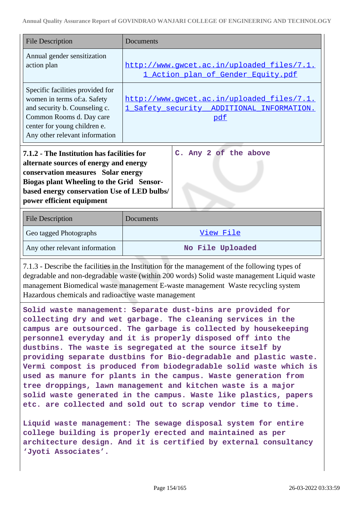| <b>File Description</b>                                                                                                                                                                                                                                                                                                                   | Documents                                                                                      |  |  |  |
|-------------------------------------------------------------------------------------------------------------------------------------------------------------------------------------------------------------------------------------------------------------------------------------------------------------------------------------------|------------------------------------------------------------------------------------------------|--|--|--|
| Annual gender sensitization<br>action plan                                                                                                                                                                                                                                                                                                | http://www.gwcet.ac.in/uploaded_files/7.1.<br>1 Action plan of Gender Equity.pdf               |  |  |  |
| Specific facilities provided for<br>women in terms of:a. Safety<br>and security b. Counseling c.<br>Common Rooms d. Day care<br>center for young children e.<br>Any other relevant information                                                                                                                                            | http://www.gwcet.ac.in/uploaded files/7.1.<br>1 Safety security ADDITIONAL INFORMATION.<br>pdf |  |  |  |
| C. Any 2 of the above<br>7.1.2 - The Institution has facilities for<br>alternate sources of energy and energy<br>conservation measures Solar energy<br><b>Biogas plant Wheeling to the Grid Sensor-</b><br>based energy conservation Use of LED bulbs/<br>power efficient equipment                                                       |                                                                                                |  |  |  |
| <b>File Description</b>                                                                                                                                                                                                                                                                                                                   | Documents                                                                                      |  |  |  |
| Geo tagged Photographs                                                                                                                                                                                                                                                                                                                    | View File                                                                                      |  |  |  |
| Any other relevant information                                                                                                                                                                                                                                                                                                            | No File Uploaded                                                                               |  |  |  |
| 7.1.3 - Describe the facilities in the Institution for the management of the following types of<br>degradable and non-degradable waste (within 200 words) Solid waste management Liquid waste<br>management Biomedical waste management E-waste management Waste recycling system<br>Hazardous chemicals and radioactive waste management |                                                                                                |  |  |  |
| Solid waste management: Separate dust-bins are provided for<br>collecting dry and wet garbage. The cleaning services in the                                                                                                                                                                                                               |                                                                                                |  |  |  |

**collecting dry and wet garbage. The cleaning services in the campus are outsourced. The garbage is collected by housekeeping personnel everyday and it is properly disposed off into the dustbins. The waste is segregated at the source itself by providing separate dustbins for Bio-degradable and plastic waste. Vermi compost is produced from biodegradable solid waste which is used as manure for plants in the campus. Waste generation from tree droppings, lawn management and kitchen waste is a major solid waste generated in the campus. Waste like plastics, papers etc. are collected and sold out to scrap vendor time to time.**

**Liquid waste management: The sewage disposal system for entire college building is properly erected and maintained as per architecture design. And it is certified by external consultancy 'Jyoti Associates'.**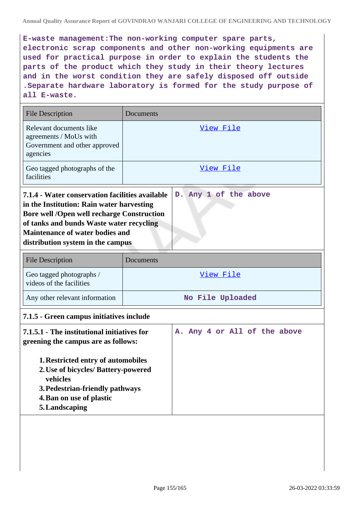**E-waste management:The non-working computer spare parts, electronic scrap components and other non-working equipments are used for practical purpose in order to explain the students the parts of the product which they study in their theory lectures and in the worst condition they are safely disposed off outside .Separate hardware laboratory is formed for the study purpose of all E-waste.**

| <b>File Description</b>                                                                                                                                                                                                                                                                               | Documents                    |  |  |  |  |
|-------------------------------------------------------------------------------------------------------------------------------------------------------------------------------------------------------------------------------------------------------------------------------------------------------|------------------------------|--|--|--|--|
| Relevant documents like<br>agreements / MoUs with<br>Government and other approved<br>agencies                                                                                                                                                                                                        | <u>View File</u>             |  |  |  |  |
| Geo tagged photographs of the<br>facilities                                                                                                                                                                                                                                                           | View File                    |  |  |  |  |
| 7.1.4 - Water conservation facilities available<br>D. Any 1 of the above<br>in the Institution: Rain water harvesting<br><b>Bore well /Open well recharge Construction</b><br>of tanks and bunds Waste water recycling<br><b>Maintenance of water bodies and</b><br>distribution system in the campus |                              |  |  |  |  |
| <b>File Description</b>                                                                                                                                                                                                                                                                               | Documents                    |  |  |  |  |
| Geo tagged photographs /<br>videos of the facilities                                                                                                                                                                                                                                                  | View File                    |  |  |  |  |
| Any other relevant information                                                                                                                                                                                                                                                                        | No File Uploaded             |  |  |  |  |
| 7.1.5 - Green campus initiatives include                                                                                                                                                                                                                                                              |                              |  |  |  |  |
| 7.1.5.1 - The institutional initiatives for<br>greening the campus are as follows:<br>1. Restricted entry of automobiles<br>2. Use of bicycles/ Battery-powered<br>vehicles<br>3. Pedestrian-friendly pathways<br>4. Ban on use of plastic<br>5. Landscaping                                          | A. Any 4 or All of the above |  |  |  |  |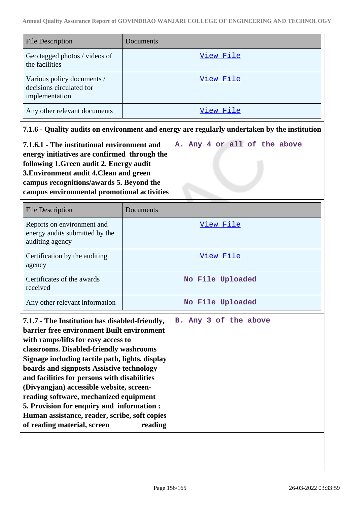| <b>File Description</b>                                                  | Documents |
|--------------------------------------------------------------------------|-----------|
| Geo tagged photos / videos of<br>the facilities                          | View File |
| Various policy documents /<br>decisions circulated for<br>implementation | View File |
| Any other relevant documents                                             | View File |

# **7.1.6 - Quality audits on environment and energy are regularly undertaken by the institution**

| 7.1.6.1 - The institutional environment and  |  | A. Any 4 or all of the above |  |  |
|----------------------------------------------|--|------------------------------|--|--|
| energy initiatives are confirmed through the |  |                              |  |  |
| following 1. Green audit 2. Energy audit     |  |                              |  |  |
| 3. Environment audit 4. Clean and green      |  |                              |  |  |
| campus recognitions/awards 5. Beyond the     |  |                              |  |  |
| campus environmental promotional activities  |  |                              |  |  |

| <b>File Description</b>                                                                                                                                                                                                                                                               | Documents             |  |  |  |  |  |
|---------------------------------------------------------------------------------------------------------------------------------------------------------------------------------------------------------------------------------------------------------------------------------------|-----------------------|--|--|--|--|--|
| Reports on environment and<br>energy audits submitted by the<br>auditing agency                                                                                                                                                                                                       | View File             |  |  |  |  |  |
| Certification by the auditing<br>agency                                                                                                                                                                                                                                               | <u>View File</u>      |  |  |  |  |  |
| Certificates of the awards<br>received                                                                                                                                                                                                                                                | No File Uploaded      |  |  |  |  |  |
| Any other relevant information                                                                                                                                                                                                                                                        | No File Uploaded      |  |  |  |  |  |
| 7.1.7 - The Institution has disabled-friendly,<br><b>barrier free environment Built environment</b><br>with ramps/lifts for easy access to<br>classrooms. Disabled-friendly washrooms<br>Signage including tactile path, lights, display<br>boards and signposts Assistive technology | B. Any 3 of the above |  |  |  |  |  |

| and facilities for persons with disabilities  |  |
|-----------------------------------------------|--|
| (Divyangjan) accessible website, screen-      |  |
| reading software, mechanized equipment        |  |
| 5. Provision for enquiry and information :    |  |
| Human assistance, reader, scribe, soft copies |  |
| of reading material, screen<br>reading        |  |
|                                               |  |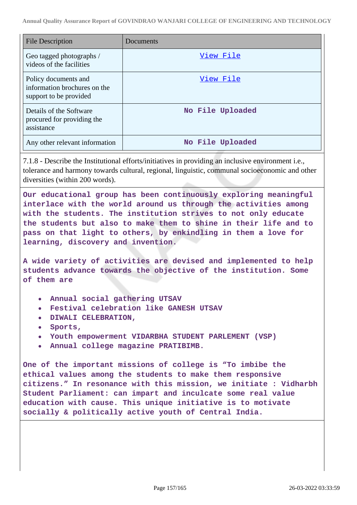| <b>File Description</b>                                                        | Documents        |
|--------------------------------------------------------------------------------|------------------|
| Geo tagged photographs /<br>videos of the facilities                           | View File        |
| Policy documents and<br>information brochures on the<br>support to be provided | View File        |
| Details of the Software<br>procured for providing the<br>assistance            | No File Uploaded |
| Any other relevant information                                                 | No File Uploaded |

7.1.8 - Describe the Institutional efforts/initiatives in providing an inclusive environment i.e., tolerance and harmony towards cultural, regional, linguistic, communal socioeconomic and other diversities (within 200 words).

**Our educational group has been continuously exploring meaningful interlace with the world around us through the activities among with the students. The institution strives to not only educate the students but also to make them to shine in their life and to pass on that light to others, by enkindling in them a love for learning, discovery and invention.**

**A wide variety of activities are devised and implemented to help students advance towards the objective of the institution. Some of them are**

- **Annual social gathering UTSAV**
- **Festival celebration like GANESH UTSAV**
- **DIWALI CELEBRATION,**
- **Sports,**
- **Youth empowerment VIDARBHA STUDENT PARLEMENT (VSP)**
- **Annual college magazine PRATIBIMB.**

**One of the important missions of college is "To imbibe the ethical values among the students to make them responsive citizens." In resonance with this mission, we initiate : Vidharbh Student Parliament: can impart and inculcate some real value education with cause. This unique initiative is to motivate socially & politically active youth of Central India.**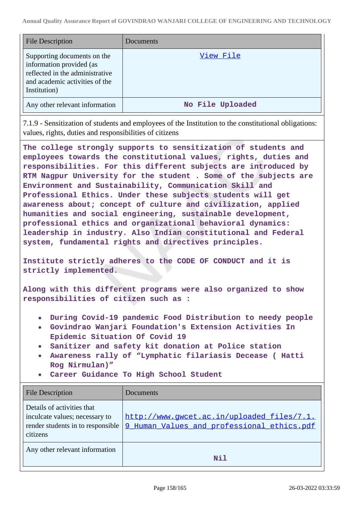| <b>File Description</b>                                                                                                                      | <b>Documents</b> |
|----------------------------------------------------------------------------------------------------------------------------------------------|------------------|
| Supporting documents on the<br>information provided (as<br>reflected in the administrative<br>and academic activities of the<br>Institution) | <u>View File</u> |
| Any other relevant information                                                                                                               | No File Uploaded |

7.1.9 - Sensitization of students and employees of the Institution to the constitutional obligations: values, rights, duties and responsibilities of citizens

**The college strongly supports to sensitization of students and employees towards the constitutional values, rights, duties and responsibilities. For this different subjects are introduced by RTM Nagpur University for the student . Some of the subjects are Environment and Sustainability, Communication Skill and Professional Ethics. Under these subjects students will get awareness about; concept of culture and civilization, applied humanities and social engineering, sustainable development, professional ethics and organizational behavioral dynamics: leadership in industry. Also Indian constitutional and Federal system, fundamental rights and directives principles.**

**Institute strictly adheres to the CODE OF CONDUCT and it is strictly implemented.**

**Along with this different programs were also organized to show responsibilities of citizen such as :**

- **During Covid-19 pandemic Food Distribution to needy people**
- **Govindrao Wanjari Foundation's Extension Activities In Epidemic Situation Of Covid 19**
- **Sanitizer and safety kit donation at Police station**
- **Awareness rally of "Lymphatic filariasis Decease ( Hatti Rog Nirmulan)"**
- **Career Guidance To High School Student**

| <b>File Description</b>                                                                                       | Documents                                                                                |
|---------------------------------------------------------------------------------------------------------------|------------------------------------------------------------------------------------------|
| Details of activities that<br>inculcate values; necessary to<br>render students in to responsible<br>citizens | http://www.gwcet.ac.in/uploaded_files/7.1.<br>9 Human Values and professional ethics.pdf |
| Any other relevant information                                                                                | Nil                                                                                      |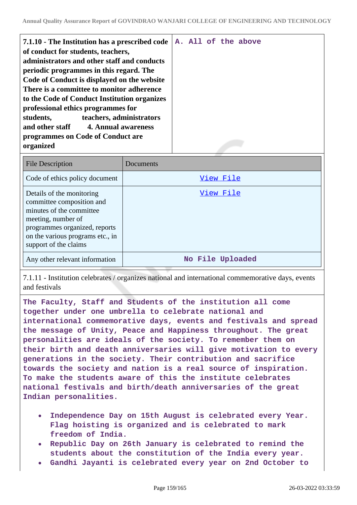| 7.1.10 - The Institution has a prescribed code<br>of conduct for students, teachers,<br>administrators and other staff and conducts<br>periodic programmes in this regard. The<br>Code of Conduct is displayed on the website<br>There is a committee to monitor adherence<br>to the Code of Conduct Institution organizes<br>professional ethics programmes for<br>teachers, administrators<br>students, |  |  | A. All of the above |
|-----------------------------------------------------------------------------------------------------------------------------------------------------------------------------------------------------------------------------------------------------------------------------------------------------------------------------------------------------------------------------------------------------------|--|--|---------------------|
| and other staff 4. Annual awareness<br>programmes on Code of Conduct are<br>organized                                                                                                                                                                                                                                                                                                                     |  |  |                     |

| <b>File Description</b>                                                                                                                                                                                | Documents        |
|--------------------------------------------------------------------------------------------------------------------------------------------------------------------------------------------------------|------------------|
| Code of ethics policy document                                                                                                                                                                         | View File        |
| Details of the monitoring<br>committee composition and<br>minutes of the committee<br>meeting, number of<br>programmes organized, reports<br>on the various programs etc., in<br>support of the claims | View File        |
| Any other relevant information                                                                                                                                                                         | No File Uploaded |

7.1.11 - Institution celebrates / organizes national and international commemorative days, events and festivals

**The Faculty, Staff and Students of the institution all come together under one umbrella to celebrate national and international commemorative days, events and festivals and spread the message of Unity, Peace and Happiness throughout. The great personalities are ideals of the society. To remember them on their birth and death anniversaries will give motivation to every generations in the society. Their contribution and sacrifice towards the society and nation is a real source of inspiration. To make the students aware of this the institute celebrates national festivals and birth/death anniversaries of the great Indian personalities.**

- **Independence Day on 15th August is celebrated every Year. Flag hoisting is organized and is celebrated to mark freedom of India.**
- **Republic Day on 26th January is celebrated to remind the students about the constitution of the India every year.**
- **Gandhi Jayanti is celebrated every year on 2nd October to**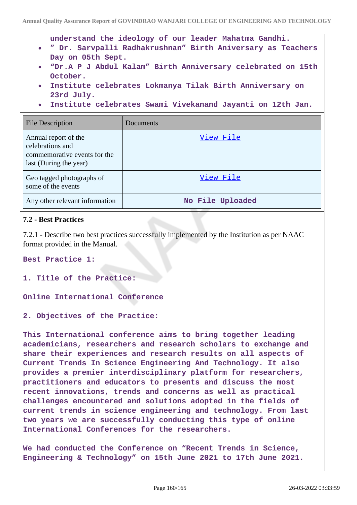**understand the ideology of our leader Mahatma Gandhi.**

- **" Dr. Sarvpalli Radhakrushnan" Birth Aniversary as Teachers Day on 05th Sept.**
- **"Dr.A P J Abdul Kalam" Birth Anniversary celebrated on 15th October.**
- **Institute celebrates Lokmanya Tilak Birth Anniversary on 23rd July.**
- **Institute celebrates Swami Vivekanand Jayanti on 12th Jan.**

| <b>File Description</b>                                                                            | Documents        |
|----------------------------------------------------------------------------------------------------|------------------|
| Annual report of the<br>celebrations and<br>commemorative events for the<br>last (During the year) | View File        |
| Geo tagged photographs of<br>some of the events                                                    | View File        |
| Any other relevant information                                                                     | No File Uploaded |

# **7.2 - Best Practices**

7.2.1 - Describe two best practices successfully implemented by the Institution as per NAAC format provided in the Manual.

**Best Practice 1:**

**1. Title of the Practice:**

**Online International Conference**

**2. Objectives of the Practice:**

**This International conference aims to bring together leading academicians, researchers and research scholars to exchange and share their experiences and research results on all aspects of Current Trends In Science Engineering And Technology. It also provides a premier interdisciplinary platform for researchers, practitioners and educators to presents and discuss the most recent innovations, trends and concerns as well as practical challenges encountered and solutions adopted in the fields of current trends in science engineering and technology. From last two years we are successfully conducting this type of online International Conferences for the researchers.**

**We had conducted the Conference on "Recent Trends in Science, Engineering & Technology" on 15th June 2021 to 17th June 2021.**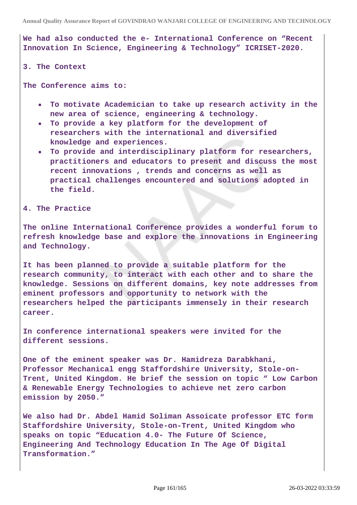**We had also conducted the e- International Conference on "Recent Innovation In Science, Engineering & Technology" ICRISET-2020.**

#### **3. The Context**

**The Conference aims to:**

- **To motivate Academician to take up research activity in the new area of science, engineering & technology.**
- **To provide a key platform for the development of researchers with the international and diversified knowledge and experiences.**
- **To provide and interdisciplinary platform for researchers, practitioners and educators to present and discuss the most recent innovations , trends and concerns as well as practical challenges encountered and solutions adopted in the field.**

**4. The Practice**

**The online International Conference provides a wonderful forum to refresh knowledge base and explore the innovations in Engineering and Technology.**

**It has been planned to provide a suitable platform for the research community, to interact with each other and to share the knowledge. Sessions on different domains, key note addresses from eminent professors and opportunity to network with the researchers helped the participants immensely in their research career.**

**In conference international speakers were invited for the different sessions.**

**One of the eminent speaker was Dr. Hamidreza Darabkhani, Professor Mechanical engg Staffordshire University, Stole-on-Trent, United Kingdom. He brief the session on topic " Low Carbon & Renewable Energy Technologies to achieve net zero carbon emission by 2050."**

**We also had Dr. Abdel Hamid Soliman Assoicate professor ETC form Staffordshire University, Stole-on-Trent, United Kingdom who speaks on topic "Education 4.0- The Future Of Science, Engineering And Technology Education In The Age Of Digital Transformation."**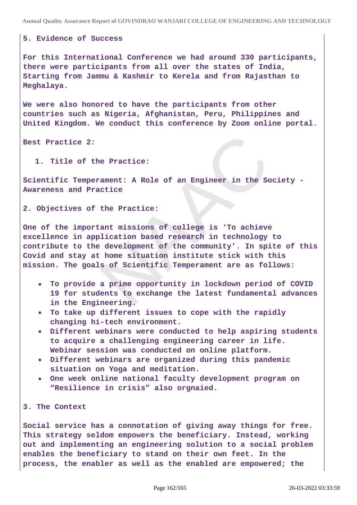**Annual Quality Assurance Report of GOVINDRAO WANJARI COLLEGE OF ENGINEERING AND TECHNOLOGY**

### **5. Evidence of Success**

**For this International Conference we had around 330 participants, there were participants from all over the states of India, Starting from Jammu & Kashmir to Kerela and from Rajasthan to Meghalaya.**

**We were also honored to have the participants from other countries such as Nigeria, Afghanistan, Peru, Philippines and United Kingdom. We conduct this conference by Zoom online portal.**

**Best Practice 2:**

**1. Title of the Practice:**

**Scientific Temperament: A Role of an Engineer in the Society - Awareness and Practice**

**2. Objectives of the Practice:**

**One of the important missions of college is 'To achieve excellence in application based research in technology to contribute to the development of the community'. In spite of this Covid and stay at home situation institute stick with this mission. The goals of Scientific Temperament are as follows:**

- **To provide a prime opportunity in lockdown period of COVID 19 for students to exchange the latest fundamental advances in the Engineering.**
- **To take up different issues to cope with the rapidly changing hi-tech environment.**
- **Different webinars were conducted to help aspiring students to acquire a challenging engineering career in life. Webinar session was conducted on online platform.**
- **Different webinars are organized during this pandemic situation on Yoga and meditation.**
- **One week online national faculty development program on "Resilience in crisis" also orgnaied.**

**3. The Context**

**Social service has a connotation of giving away things for free. This strategy seldom empowers the beneficiary. Instead, working out and implementing an engineering solution to a social problem enables the beneficiary to stand on their own feet. In the process, the enabler as well as the enabled are empowered; the**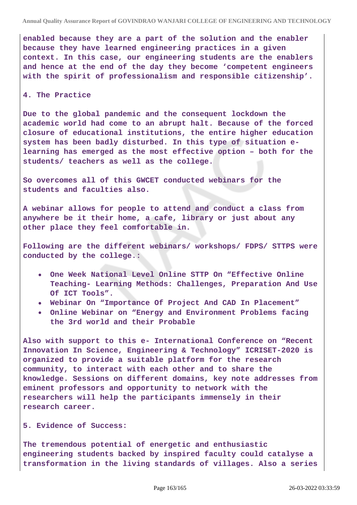**enabled because they are a part of the solution and the enabler because they have learned engineering practices in a given context. In this case, our engineering students are the enablers and hence at the end of the day they become 'competent engineers with the spirit of professionalism and responsible citizenship'.**

#### **4. The Practice**

**Due to the global pandemic and the consequent lockdown the academic world had come to an abrupt halt. Because of the forced closure of educational institutions, the entire higher education system has been badly disturbed. In this type of situation elearning has emerged as the most effective option – both for the students/ teachers as well as the college.**

**So overcomes all of this GWCET conducted webinars for the students and faculties also.**

**A webinar allows for people to attend and conduct a class from anywhere be it their home, a cafe, library or just about any other place they feel comfortable in.**

**Following are the different webinars/ workshops/ FDPS/ STTPS were conducted by the college.:**

- **One Week National Level Online STTP On "Effective Online Teaching- Learning Methods: Challenges, Preparation And Use Of ICT Tools".**
- **Webinar On "Importance Of Project And CAD In Placement"**
- **Online Webinar on "Energy and Environment Problems facing the 3rd world and their Probable**

**Also with support to this e- International Conference on "Recent Innovation In Science, Engineering & Technology" ICRISET-2020 is organized to provide a suitable platform for the research community, to interact with each other and to share the knowledge. Sessions on different domains, key note addresses from eminent professors and opportunity to network with the researchers will help the participants immensely in their research career.**

**5. Evidence of Success:**

**The tremendous potential of energetic and enthusiastic engineering students backed by inspired faculty could catalyse a transformation in the living standards of villages. Also a series**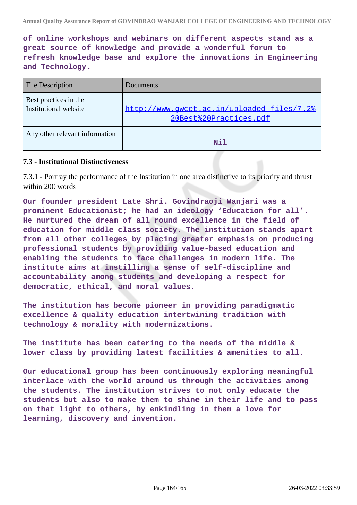**of online workshops and webinars on different aspects stand as a great source of knowledge and provide a wonderful forum to refresh knowledge base and explore the innovations in Engineering and Technology.**

| <b>File Description</b>                        | Documents                                                            |
|------------------------------------------------|----------------------------------------------------------------------|
| Best practices in the<br>Institutional website | http://www.qwcet.ac.in/uploaded files/7.2%<br>20Best%20Practices.pdf |
| Any other relevant information                 | N <sub>1</sub> 1                                                     |

# **7.3 - Institutional Distinctiveness**

7.3.1 - Portray the performance of the Institution in one area distinctive to its priority and thrust within 200 words

**Our founder president Late Shri. Govindraoji Wanjari was a prominent Educationist; he had an ideology 'Education for all'. He nurtured the dream of all round excellence in the field of education for middle class society. The institution stands apart from all other colleges by placing greater emphasis on producing professional students by providing value-based education and enabling the students to face challenges in modern life. The institute aims at instilling a sense of self-discipline and accountability among students and developing a respect for democratic, ethical, and moral values.**

**The institution has become pioneer in providing paradigmatic excellence & quality education intertwining tradition with technology & morality with modernizations.**

**The institute has been catering to the needs of the middle & lower class by providing latest facilities & amenities to all.**

**Our educational group has been continuously exploring meaningful interlace with the world around us through the activities among the students. The institution strives to not only educate the students but also to make them to shine in their life and to pass on that light to others, by enkindling in them a love for learning, discovery and invention.**